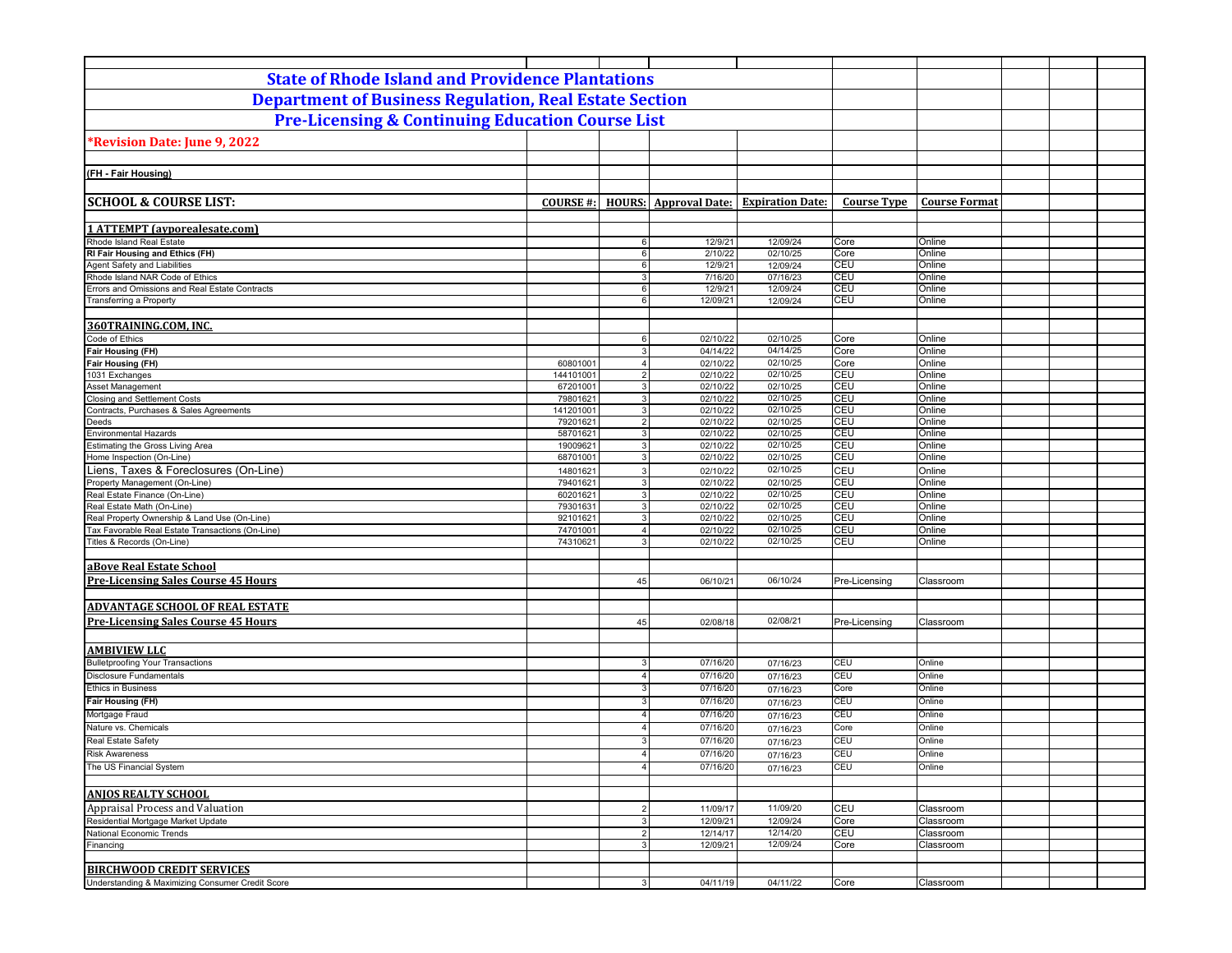| <b>State of Rhode Island and Providence Plantations</b>                |                      |                                  |                              |                         |                    |                        |  |
|------------------------------------------------------------------------|----------------------|----------------------------------|------------------------------|-------------------------|--------------------|------------------------|--|
| <b>Department of Business Regulation, Real Estate Section</b>          |                      |                                  |                              |                         |                    |                        |  |
| <b>Pre-Licensing &amp; Continuing Education Course List</b>            |                      |                                  |                              |                         |                    |                        |  |
| Revision Date: June 9, 2022                                            |                      |                                  |                              |                         |                    |                        |  |
|                                                                        |                      |                                  |                              |                         |                    |                        |  |
| (FH - Fair Housing)                                                    |                      |                                  |                              |                         |                    |                        |  |
|                                                                        |                      |                                  |                              |                         |                    |                        |  |
| <b>SCHOOL &amp; COURSE LIST:</b>                                       | COURSE #:            |                                  | <b>HOURS:</b> Approval Date: | <b>Expiration Date:</b> | <b>Course Type</b> | <b>Course Format</b>   |  |
|                                                                        |                      |                                  |                              |                         |                    |                        |  |
| <b>1 ATTEMPT</b> (ayporealesate.com)<br>Rhode Island Real Estate       |                      | $6 \mid$                         | 12/9/21                      | 12/09/24                | Core               | Online                 |  |
| RI Fair Housing and Ethics (FH)                                        |                      | $6 \overline{6}$                 | 2/10/22                      | 02/10/25                | Core               | Online                 |  |
| Agent Safety and Liabilities                                           |                      | 6                                | 12/9/21                      | 12/09/24                | CEU                | Online                 |  |
| Rhode Island NAR Code of Ethics                                        |                      | 3 <sup>1</sup>                   | 7/16/20                      | 07/16/23                | CEU                | Online                 |  |
| Errors and Omissions and Real Estate Contracts                         |                      | 6                                | 12/9/21                      | 12/09/24                | CEU                | Online                 |  |
| Transferring a Property                                                |                      | 6                                | 12/09/21                     | 12/09/24                | CEU                | Online                 |  |
|                                                                        |                      |                                  |                              |                         |                    |                        |  |
| 360TRAINING.COM, INC.                                                  |                      |                                  |                              |                         |                    |                        |  |
| Code of Ethics<br>Fair Housing (FH)                                    |                      | $6\phantom{1}$                   | 02/10/22                     | 02/10/25<br>04/14/25    | Core<br>Core       | Online                 |  |
| <b>Fair Housing (FH)</b>                                               | 60801001             | $\overline{3}$<br>$\overline{4}$ | 04/14/22<br>02/10/22         | 02/10/25                | Core               | Online<br>Online       |  |
| 1031 Exchanges                                                         | 144101001            | $\overline{2}$                   | 02/10/22                     | 02/10/25                | CEU                | Online                 |  |
| Asset Management                                                       | 67201001             | 3                                | 02/10/22                     | 02/10/25                | CEU                | Online                 |  |
| Closing and Settlement Costs                                           | 79801621             | $\overline{3}$                   | 02/10/22                     | 02/10/25                | CEU                | Online                 |  |
| Contracts, Purchases & Sales Agreements                                | 141201001            | $\overline{3}$                   | 02/10/22                     | 02/10/25                | CEU                | Online                 |  |
| Deeds                                                                  | 79201621             | 2                                | 02/10/22                     | 02/10/25                | CEU                | Online                 |  |
| <b>Environmental Hazards</b>                                           | 58701621             | 3                                | 02/10/22                     | 02/10/25                | CEU                | Online                 |  |
| Estimating the Gross Living Area<br>Home Inspection (On-Line)          | 19009621             | $\overline{3}$                   | 02/10/22                     | 02/10/25                | CEU                | Online                 |  |
|                                                                        | 68701001             | $\mathbf{3}$                     | 02/10/22                     | 02/10/25<br>02/10/25    | CEU                | Online                 |  |
| Liens, Taxes & Foreclosures (On-Line)<br>Property Management (On-Line) | 14801621<br>79401621 | 3<br>3 <sup>1</sup>              | 02/10/22<br>02/10/22         | 02/10/25                | CEU<br>CEU         | Online<br>Online       |  |
| Real Estate Finance (On-Line)                                          | 60201621             | $\mathbf{3}$                     | 02/10/22                     | 02/10/25                | CEU                | Online                 |  |
| Real Estate Math (On-Line)                                             | 79301631             | 3 <sup>1</sup>                   | 02/10/22                     | 02/10/25                | CEU                | Online                 |  |
| Real Property Ownership & Land Use (On-Line)                           | 92101621             | 3                                | 02/10/22                     | 02/10/25                | <b>CEU</b>         | Online                 |  |
| Tax Favorable Real Estate Transactions (On-Line)                       | 74701001             | 4 <sup>1</sup>                   | 02/10/22                     | 02/10/25                | <b>CEU</b>         | Online                 |  |
| Titles & Records (On-Line)                                             | 74310621             | 3                                | 02/10/22                     | 02/10/25                | CEU                | Online                 |  |
|                                                                        |                      |                                  |                              |                         |                    |                        |  |
| aBove Real Estate School                                               |                      |                                  |                              |                         |                    |                        |  |
| <b>Pre-Licensing Sales Course 45 Hours</b>                             |                      | 45                               | 06/10/21                     | 06/10/24                | Pre-Licensing      | Classroom              |  |
|                                                                        |                      |                                  |                              |                         |                    |                        |  |
| <b>ADVANTAGE SCHOOL OF REAL ESTATE</b>                                 |                      |                                  |                              |                         |                    |                        |  |
| <b>Pre-Licensing Sales Course 45 Hours</b>                             |                      | 45                               | 02/08/18                     | 02/08/21                | Pre-Licensing      | Classroom              |  |
|                                                                        |                      |                                  |                              |                         |                    |                        |  |
| <b>AMBIVIEW LLC</b>                                                    |                      |                                  |                              |                         |                    |                        |  |
| <b>Bulletproofing Your Transactions</b>                                |                      | 3                                | 07/16/20                     | 07/16/23                | <b>CEU</b>         | Online                 |  |
| <b>Disclosure Fundamentals</b>                                         |                      | $\overline{4}$                   | 07/16/20                     | 07/16/23                | CEU                | Online                 |  |
| <b>Ethics in Business</b>                                              |                      | 3                                | 07/16/20                     | 07/16/23                | Core               | Online                 |  |
| Fair Housing (FH)                                                      |                      | 3                                | 07/16/20                     | 07/16/23                | CEU                | Online                 |  |
| Mortgage Fraud                                                         |                      | $\overline{4}$                   | 07/16/20                     | 07/16/23                | CEU                | Online                 |  |
| Nature vs. Chemicals                                                   |                      | $\overline{4}$                   | 07/16/20                     | 07/16/23                | Core               | Online                 |  |
| Real Estate Safety                                                     |                      | 3                                | 07/16/20                     | 07/16/23                | CEU                | Online                 |  |
| <b>Risk Awareness</b>                                                  |                      |                                  | 07/16/20                     | 07/16/23                | CEU                | Online                 |  |
| The US Financial System                                                |                      | $\overline{4}$                   | 07/16/20                     | 07/16/23                | CEU                | Online                 |  |
| <b>ANJOS REALTY SCHOOL</b>                                             |                      |                                  |                              |                         |                    |                        |  |
|                                                                        |                      |                                  |                              |                         |                    |                        |  |
| Appraisal Process and Valuation                                        |                      | $\overline{2}$                   | 11/09/17                     | 11/09/20                | CEU                | Classroom              |  |
| Residential Mortgage Market Update<br>National Economic Trends         |                      | $\mathbf{3}$<br>$\overline{2}$   | 12/09/21<br>12/14/17         | 12/09/24<br>12/14/20    | Core<br>CEU        | Classroom<br>Classroom |  |
| Financing                                                              |                      | 3                                | 12/09/21                     | 12/09/24                | Core               | Classroom              |  |
|                                                                        |                      |                                  |                              |                         |                    |                        |  |
| <b>BIRCHWOOD CREDIT SERVICES</b>                                       |                      |                                  |                              |                         |                    |                        |  |
| Understanding & Maximizing Consumer Credit Score                       |                      | $\overline{3}$                   | 04/11/19                     | 04/11/22                | Core               | Classroom              |  |
|                                                                        |                      |                                  |                              |                         |                    |                        |  |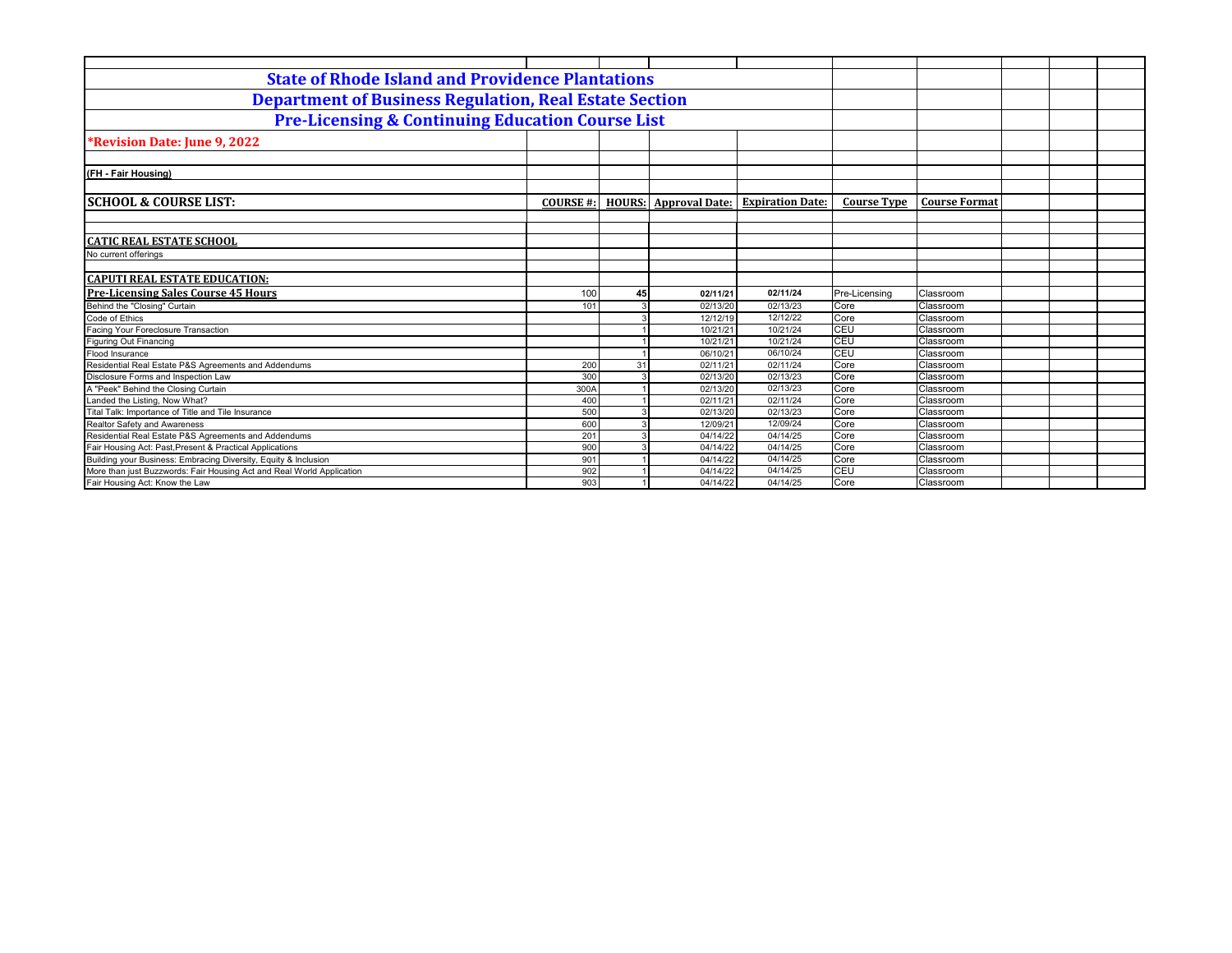| <b>State of Rhode Island and Providence Plantations</b>               |                 |    |                              |                         |                    |                      |  |
|-----------------------------------------------------------------------|-----------------|----|------------------------------|-------------------------|--------------------|----------------------|--|
| <b>Department of Business Regulation, Real Estate Section</b>         |                 |    |                              |                         |                    |                      |  |
| <b>Pre-Licensing &amp; Continuing Education Course List</b>           |                 |    |                              |                         |                    |                      |  |
| *Revision Date: June 9, 2022                                          |                 |    |                              |                         |                    |                      |  |
|                                                                       |                 |    |                              |                         |                    |                      |  |
| (FH - Fair Housing)                                                   |                 |    |                              |                         |                    |                      |  |
| <b> SCHOOL &amp; COURSE LIST:</b>                                     | <b>COURSE#:</b> |    | <b>HOURS:</b> Approval Date: | <b>Expiration Date:</b> | <b>Course Type</b> | <b>Course Format</b> |  |
|                                                                       |                 |    |                              |                         |                    |                      |  |
| <b>CATIC REAL ESTATE SCHOOL</b>                                       |                 |    |                              |                         |                    |                      |  |
| No current offerings                                                  |                 |    |                              |                         |                    |                      |  |
| <b>CAPUTI REAL ESTATE EDUCATION:</b>                                  |                 |    |                              |                         |                    |                      |  |
| <b>Pre-Licensing Sales Course 45 Hours</b>                            | 100             | 45 | 02/11/21                     | 02/11/24                | Pre-Licensing      | Classroom            |  |
| Behind the "Closing" Curtain                                          | 101             |    | 02/13/20                     | 02/13/23                | Core               | Classroom            |  |
| Code of Ethics                                                        |                 |    | 12/12/19                     | 12/12/22                | Core               | Classroom            |  |
| Facing Your Foreclosure Transaction                                   |                 |    | 10/21/21                     | 10/21/24                | CEU                | Classroom            |  |
| <b>Figuring Out Financing</b>                                         |                 |    | 10/21/21                     | 10/21/24                | CEU                | Classroom            |  |
| <b>Flood Insurance</b>                                                |                 |    | 06/10/21                     | 06/10/24                | CEU                | Classroom            |  |
| Residential Real Estate P&S Agreements and Addendums                  | 200             | 31 | 02/11/21                     | 02/11/24                | Core               | Classroom            |  |
| Disclosure Forms and Inspection Law                                   | 300             |    | 02/13/20                     | 02/13/23                | Core               | Classroom            |  |
| A "Peek" Behind the Closing Curtain                                   | 300A            |    | 02/13/20                     | 02/13/23                | Core               | Classroom            |  |
| Landed the Listing, Now What?                                         | 400             |    | 02/11/21                     | 02/11/24                | Core               | Classroom            |  |
| Tital Talk: Importance of Title and Tile Insurance                    | 500             |    | 02/13/20                     | 02/13/23                | Core               | Classroom            |  |
| Realtor Safety and Awareness                                          | 600             |    | 12/09/21                     | 12/09/24                | Core               | Classroom            |  |
| Residential Real Estate P&S Agreements and Addendums                  | 201             |    | 04/14/22                     | 04/14/25                | Core               | Classroom            |  |
| Fair Housing Act: Past, Present & Practical Applications              | 900             |    | 04/14/22                     | 04/14/25                | Core               | Classroom            |  |
| Building your Business: Embracing Diversity, Equity & Inclusion       | 901             |    | 04/14/22                     | 04/14/25                | Core               | Classroom            |  |
| More than just Buzzwords: Fair Housing Act and Real World Application | 902             |    | 04/14/22                     | 04/14/25                | CEU                | Classroom            |  |
| Fair Housing Act: Know the Law                                        | 903             |    | 04/14/22                     | 04/14/25                | Core               | Classroom            |  |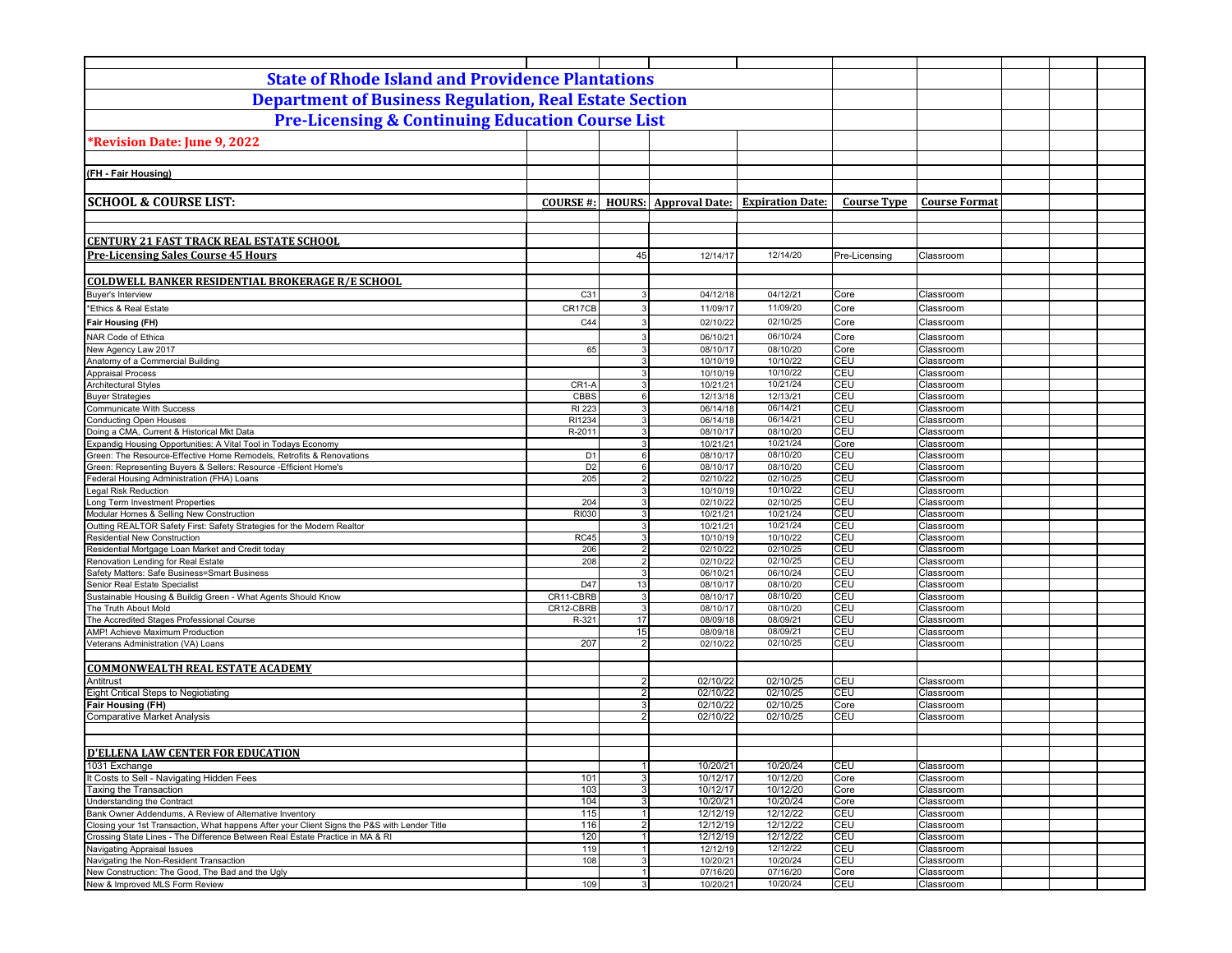| <b>State of Rhode Island and Providence Plantations</b>                                                         |                       |                             |                              |                         |                          |                        |  |
|-----------------------------------------------------------------------------------------------------------------|-----------------------|-----------------------------|------------------------------|-------------------------|--------------------------|------------------------|--|
| <b>Department of Business Regulation, Real Estate Section</b>                                                   |                       |                             |                              |                         |                          |                        |  |
| <b>Pre-Licensing &amp; Continuing Education Course List</b>                                                     |                       |                             |                              |                         |                          |                        |  |
|                                                                                                                 |                       |                             |                              |                         |                          |                        |  |
| *Revision Date: June 9, 2022                                                                                    |                       |                             |                              |                         |                          |                        |  |
|                                                                                                                 |                       |                             |                              |                         |                          |                        |  |
| (FH - Fair Housing)                                                                                             |                       |                             |                              |                         |                          |                        |  |
|                                                                                                                 |                       |                             |                              |                         |                          |                        |  |
| <b>SCHOOL &amp; COURSE LIST:</b>                                                                                | <b>COURSE#:</b>       |                             | <b>HOURS:</b> Approval Date: | <b>Expiration Date:</b> | <b>Course Type</b>       | <b>Course Format</b>   |  |
|                                                                                                                 |                       |                             |                              |                         |                          |                        |  |
| <b>CENTURY 21 FAST TRACK REAL ESTATE SCHOOL</b>                                                                 |                       |                             |                              |                         |                          |                        |  |
| <b>Pre-Licensing Sales Course 45 Hours</b>                                                                      |                       | 45                          | 12/14/17                     | 12/14/20                | Pre-Licensing            | Classroom              |  |
|                                                                                                                 |                       |                             |                              |                         |                          |                        |  |
| <b>COLDWELL BANKER RESIDENTIAL BROKERAGE R/E SCHOOL</b><br>Buyer's Interview                                    | C31                   | 3                           | 04/12/18                     | 04/12/21                | Core                     | Classroom              |  |
| *Ethics & Real Estate                                                                                           | CR17CB                | 3                           | 11/09/17                     | 11/09/20                | Core                     | Classroom              |  |
| <b>Fair Housing (FH)</b>                                                                                        | C44                   | 3                           | 02/10/22                     | 02/10/25                | Core                     | Classroom              |  |
| NAR Code of Ethica                                                                                              |                       | 3                           | 06/10/21                     | 06/10/24                | Core                     | Classroom              |  |
| New Agency Law 2017                                                                                             | 65                    | 3                           | 08/10/17                     | 08/10/20                | Core                     | Classroom              |  |
| Anatomy of a Commercial Building                                                                                |                       | 3 <sup>1</sup>              | 10/10/19                     | 10/10/22                | CEU                      | Classroom              |  |
| <b>Appraisal Process</b>                                                                                        |                       | 3                           | 10/10/19                     | 10/10/22                | CEU                      | Classroom              |  |
| <b>Architectural Styles</b>                                                                                     | CR1-A                 | 3<br>6                      | 10/21/21                     | 10/21/24                | CEU<br>CEU               | Classroom              |  |
| <b>Buyer Strategies</b><br><b>Communicate With Success</b>                                                      | CBBS<br>RI 223        | 3                           | 12/13/18<br>06/14/18         | 12/13/21<br>06/14/21    | CEU                      | Classroom<br>Classroom |  |
| <b>Conducting Open Houses</b>                                                                                   | RI1234                | 3                           | 06/14/18                     | 06/14/21                | CEU                      | Classroom              |  |
| Doing a CMA, Current & Historical Mkt Data                                                                      | R-2011                | 3                           | 08/10/17                     | 08/10/20                | <b>CEU</b>               | Classroom              |  |
| Expandig Housing Opportunities: A Vital Tool in Todays Economy                                                  |                       | 3                           | 10/21/21                     | 10/21/24                | Core                     | Classroom              |  |
| Green: The Resource-Effective Home Remodels, Retrofits & Renovations                                            | D <sub>1</sub>        | 6                           | 08/10/17                     | 08/10/20                | <b>CEU</b>               | Classroom              |  |
| Green: Representing Buyers & Sellers: Resource - Efficient Home's<br>Federal Housing Administration (FHA) Loans | D <sub>2</sub><br>205 | 6<br>$\mathfrak{p}$         | 08/10/17<br>02/10/22         | 08/10/20<br>02/10/25    | <b>CEU</b><br><b>CEU</b> | Classroom<br>Classroom |  |
| Legal Risk Reduction                                                                                            |                       | 3                           | 10/10/19                     | 10/10/22                | <b>CEU</b>               | Classroom              |  |
| Long Term Investment Properties                                                                                 | 204                   | 3                           | 02/10/22                     | 02/10/25                | CEU                      | Classroom              |  |
| Modular Homes & Selling New Construction                                                                        | RI030                 | 3                           | 10/21/21                     | 10/21/24                | CEU                      | Classroom              |  |
| Outting REALTOR Safety First: Safety Strategies for the Modern Realtor                                          |                       | 3                           | 10/21/21                     | 10/21/24                | CEU                      | Classroom              |  |
| <b>Residential New Construction</b>                                                                             | <b>RC45</b><br>206    | 3<br>$\overline{2}$         | 10/10/19<br>02/10/22         | 10/10/22                | CEU<br>CEU               | Classroom              |  |
| Residential Mortgage Loan Market and Credit today<br>Renovation Lending for Real Estate                         | 208                   | $\overline{2}$              | 02/10/22                     | 02/10/25<br>02/10/25    | CEU                      | Classroom<br>Classroom |  |
| Safety Matters: Safe Business=Smart Business                                                                    |                       | 3                           | 06/10/21                     | 06/10/24                | CEU                      | Classroom              |  |
| Senior Real Estate Specialist                                                                                   | D47                   | 13                          | 08/10/17                     | 08/10/20                | CEU                      | Classroom              |  |
| Sustainable Housing & Buildig Green - What Agents Should Know                                                   | CR11-CBRB             | $\mathbf{3}$                | 08/10/17                     | 08/10/20                | CEU                      | Classroom              |  |
| The Truth About Mold                                                                                            | CR12-CBRB             | $\mathbf{3}$                | 08/10/17                     | 08/10/20                | CEU                      | Classroom              |  |
| The Accredited Stages Professional Course                                                                       | R-321                 | 17                          | 08/09/18                     | 08/09/21                | CEU                      | Classroom              |  |
| AMP! Achieve Maximum Production<br>Veterans Administration (VA) Loans                                           | 207                   | 15<br>$\overline{2}$        | 08/09/18                     | 08/09/21<br>02/10/25    | CEU<br>CEU               | Classroom              |  |
|                                                                                                                 |                       |                             | 02/10/22                     |                         |                          | Classroom              |  |
| <b>COMMONWEALTH REAL ESTATE ACADEMY</b>                                                                         |                       |                             |                              |                         |                          |                        |  |
| Antitrust                                                                                                       |                       | $\overline{2}$              | 02/10/22                     | 02/10/25                | <b>CEU</b>               | Classroom              |  |
| <b>Eight Critical Steps to Negiotiating</b>                                                                     |                       | $\overline{2}$              | 02/10/22                     | 02/10/25                | CEU                      | Classroom              |  |
| Fair Housing (FH)                                                                                               |                       | 3                           | 02/10/22                     | 02/10/25                | Core                     | Classroom              |  |
| <b>Comparative Market Analysis</b>                                                                              |                       | $\overline{2}$              | 02/10/22                     | 02/10/25                | CEU                      | Classroom              |  |
|                                                                                                                 |                       |                             |                              |                         |                          |                        |  |
|                                                                                                                 |                       |                             |                              |                         |                          |                        |  |
| <b>D'ELLENA LAW CENTER FOR EDUCATION</b><br>1031 Exchange                                                       |                       | 1                           | 10/20/21                     | 10/20/24                | CEU                      | Classroom              |  |
| It Costs to Sell - Navigating Hidden Fees                                                                       | 101                   | 3                           | 10/12/17                     | 10/12/20                | Core                     | Classroom              |  |
| Taxing the Transaction                                                                                          | 103                   | 3 <sup>1</sup>              | 10/12/17                     | 10/12/20                | Core                     | Classroom              |  |
| Understanding the Contract                                                                                      | 104                   | 3 <sup>1</sup>              | 10/20/21                     | 10/20/24                | Core                     | Classroom              |  |
| Bank Owner Addendums, A Review of Alternative Inventory                                                         | 115                   | 1                           | 12/12/19                     | 12/12/22                | CEU                      | Classroom              |  |
| Closing your 1st Transaction, What happens After your Client Signs the P&S with Lender Title                    | 116                   | $\overline{2}$              | 12/12/19                     | 12/12/22                | CEU                      | Classroom              |  |
| Crossing State Lines - The Difference Between Real Estate Practice in MA & RI<br>Navigating Appraisal Issues    | 120<br>119            | $\vert$ 1<br>$\overline{1}$ | 12/12/19<br>12/12/19         | 12/12/22<br>12/12/22    | CEU<br>CEU               | Classroom              |  |
| Navigating the Non-Resident Transaction                                                                         | 108                   | $\overline{3}$              | 10/20/21                     | 10/20/24                | CEU                      | Classroom<br>Classroom |  |
| New Construction: The Good, The Bad and the Ugly                                                                |                       | $\mathbf{1}$                | 07/16/20                     | 07/16/20                | Core                     | Classroom              |  |
| New & Improved MLS Form Review                                                                                  | 109                   | 3                           | 10/20/21                     | 10/20/24                | CEU                      | Classroom              |  |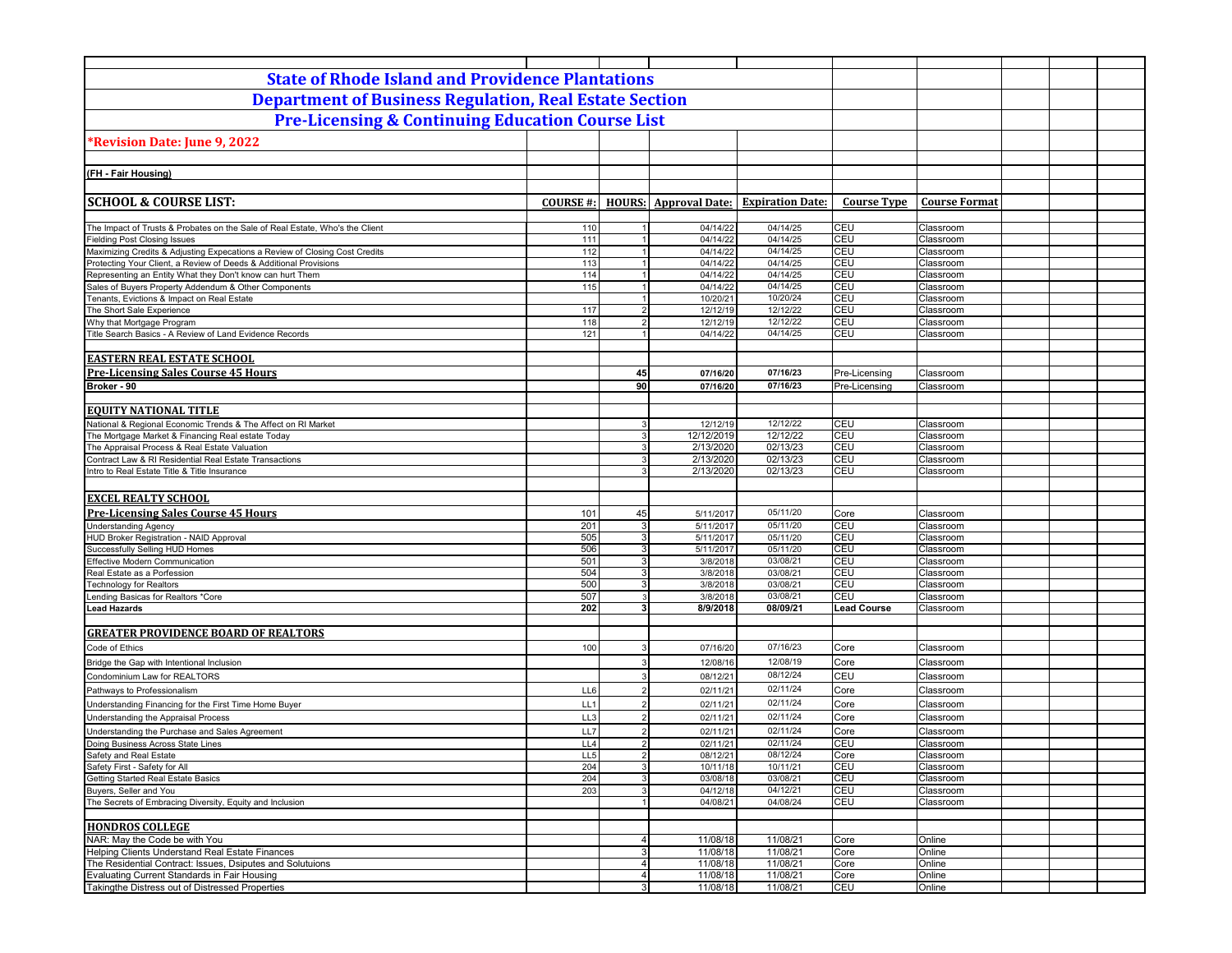| <b>State of Rhode Island and Providence Plantations</b>                                                           |                 |                              |                              |                         |                                |                        |  |  |
|-------------------------------------------------------------------------------------------------------------------|-----------------|------------------------------|------------------------------|-------------------------|--------------------------------|------------------------|--|--|
| <b>Department of Business Regulation, Real Estate Section</b>                                                     |                 |                              |                              |                         |                                |                        |  |  |
|                                                                                                                   |                 |                              |                              |                         |                                |                        |  |  |
| <b>Pre-Licensing &amp; Continuing Education Course List</b>                                                       |                 |                              |                              |                         |                                |                        |  |  |
| *Revision Date: June 9, 2022                                                                                      |                 |                              |                              |                         |                                |                        |  |  |
|                                                                                                                   |                 |                              |                              |                         |                                |                        |  |  |
| (FH - Fair Housing)                                                                                               |                 |                              |                              |                         |                                |                        |  |  |
|                                                                                                                   |                 |                              |                              |                         |                                |                        |  |  |
| <b>SCHOOL &amp; COURSE LIST:</b>                                                                                  |                 |                              |                              | <b>Expiration Date:</b> | <b>Course Type</b>             | <b>Course Format</b>   |  |  |
|                                                                                                                   | <b>COURSE#:</b> |                              | <b>HOURS:</b> Approval Date: |                         |                                |                        |  |  |
| The Impact of Trusts & Probates on the Sale of Real Estate, Who's the Client                                      | 110             |                              | 04/14/22                     | 04/14/25                | CEU                            | Classroom              |  |  |
| <b>Fielding Post Closing Issues</b>                                                                               | 111             |                              | 04/14/22                     | 04/14/25                | CEU                            | Classroom              |  |  |
| Maximizing Credits & Adjusting Expecations a Review of Closing Cost Credits                                       | 112             |                              | 04/14/22                     | 04/14/25                | CEU                            | Classroom              |  |  |
| Protecting Your Client, a Review of Deeds & Additional Provisions                                                 | 113             | 1                            | 04/14/22                     | 04/14/25                | CEU                            | Classroom              |  |  |
| Representing an Entity What they Don't know can hurt Them<br>Sales of Buyers Property Addendum & Other Components | 114<br>115      |                              | 04/14/22<br>04/14/22         | 04/14/25<br>04/14/25    | CEU<br>CEU                     | Classroom<br>Classroom |  |  |
| Tenants, Evictions & Impact on Real Estate                                                                        |                 |                              | 10/20/21                     | 10/20/24                | CEU                            | Classroom              |  |  |
| The Short Sale Experience                                                                                         | 117             | $\overline{2}$               | 12/12/19                     | 12/12/22                | <b>CEU</b>                     | Classroom              |  |  |
| Why that Mortgage Program                                                                                         | 118             | $\mathfrak{p}$               | 12/12/19                     | 12/12/22                | CEU                            | Classroom              |  |  |
| Title Search Basics - A Review of Land Evidence Records                                                           | 121             |                              | 04/14/22                     | 04/14/25                | CEU                            | Classroom              |  |  |
|                                                                                                                   |                 |                              |                              |                         |                                |                        |  |  |
| <b>EASTERN REAL ESTATE SCHOOL</b>                                                                                 |                 |                              |                              |                         |                                |                        |  |  |
| <b>Pre-Licensing Sales Course 45 Hours</b><br>Broker - 90                                                         |                 | 45<br>90                     | 07/16/20<br>07/16/20         | 07/16/23<br>07/16/23    | Pre-Licensing<br>Pre-Licensing | Classroom<br>Classroom |  |  |
|                                                                                                                   |                 |                              |                              |                         |                                |                        |  |  |
| <b>EQUITY NATIONAL TITLE</b>                                                                                      |                 |                              |                              |                         |                                |                        |  |  |
| National & Regional Economic Trends & The Affect on RI Market                                                     |                 | 3                            | 12/12/19                     | 12/12/22                | CEU                            | Classroom              |  |  |
| The Mortgage Market & Financing Real estate Today                                                                 |                 | $\mathbf{3}$                 | 12/12/2019                   | 12/12/22                | CEU                            | Classroom              |  |  |
| The Appraisal Process & Real Estate Valuation                                                                     |                 | 3                            | 2/13/2020                    | 02/13/23                | CEU                            | Classroom              |  |  |
| Contract Law & RI Residential Real Estate Transactions                                                            |                 | 3                            | 2/13/2020                    | 02/13/23                | CEU                            | Classroom              |  |  |
| Intro to Real Estate Title & Title Insurance                                                                      |                 | 3                            | 2/13/2020                    | 02/13/23                | CEU                            | Classroom              |  |  |
|                                                                                                                   |                 |                              |                              |                         |                                |                        |  |  |
| <b>EXCEL REALTY SCHOOL</b>                                                                                        |                 |                              |                              | 05/11/20                |                                |                        |  |  |
| <b>Pre-Licensing Sales Course 45 Hours</b><br><b>Understanding Agency</b>                                         | 101<br>201      | 45<br>3                      | 5/11/2017<br>5/11/2017       | 05/11/20                | Core<br>CEU                    | Classroom<br>Classroom |  |  |
| HUD Broker Registration - NAID Approval                                                                           | 505             | 3                            | 5/11/2017                    | 05/11/20                | CEU                            | Classroom              |  |  |
| Successfully Selling HUD Homes                                                                                    | 506             | 3                            | 5/11/2017                    | 05/11/20                | CEU                            | Classroom              |  |  |
| <b>Effective Modern Communication</b>                                                                             | 501             | 3                            | 3/8/2018                     | 03/08/21                | CEU                            | Classroom              |  |  |
| Real Estate as a Porfession                                                                                       | 504             | 3                            | 3/8/2018                     | 03/08/21                | CEU                            | Classroom              |  |  |
| <b>Technology for Realtors</b><br>Lending Basicas for Realtors *Core                                              | 500<br>507      | 3<br>3                       | 3/8/2018<br>3/8/2018         | 03/08/21<br>03/08/21    | CEU<br><b>CEU</b>              | Classroom<br>Classroom |  |  |
| <b>Lead Hazards</b>                                                                                               | 202             | 3                            | 8/9/2018                     | 08/09/21                | <b>Lead Course</b>             | Classroom              |  |  |
|                                                                                                                   |                 |                              |                              |                         |                                |                        |  |  |
| <b>GREATER PROVIDENCE BOARD OF REALTORS</b>                                                                       |                 |                              |                              |                         |                                |                        |  |  |
| Code of Ethics                                                                                                    | 100             | 3                            | 07/16/20                     | 07/16/23                | Core                           | Classroom              |  |  |
| Bridge the Gap with Intentional Inclusion                                                                         |                 | 3                            | 12/08/16                     | 12/08/19                | Core                           | Classroom              |  |  |
| Condominium Law for REALTORS                                                                                      |                 | 3                            | 08/12/21                     | 08/12/24                | CEU                            | Classroom              |  |  |
| Pathways to Professionalism                                                                                       | LL6             | $\overline{2}$               | 02/11/21                     | 02/11/24                | Core                           | Classroom              |  |  |
| Understanding Financing for the First Time Home Buyer                                                             | LL1             | $\overline{2}$               | 02/11/21                     | 02/11/24                | Core                           | Classroom              |  |  |
| Understanding the Appraisal Process                                                                               | LL3             | $\overline{2}$               | 02/11/21                     | 02/11/24                | Core                           | Classroom              |  |  |
| Understanding the Purchase and Sales Agreement                                                                    | LL7             | $\overline{2}$               | 02/11/21                     | 02/11/24                | Core                           | Classroom              |  |  |
| Doing Business Across State Lines                                                                                 | LL4             | $\overline{2}$               | 02/11/21                     | 02/11/24                | <b>CEU</b>                     | Classroom              |  |  |
| Safety and Real Estate<br>Safety First - Safety for All                                                           | LL5<br>204      | $\epsilon$<br>3 <sup>1</sup> | 08/12/21                     | 08/12/24                | Core<br>CEU                    | Classroom<br>Classroom |  |  |
| Getting Started Real Estate Basics                                                                                | 204             | 3                            | 10/11/18<br>03/08/18         | 10/11/21<br>03/08/21    | CEU                            | Classroom              |  |  |
| Buyers, Seller and You                                                                                            | 203             | 3                            | 04/12/18                     | 04/12/21                | CEU                            | Classroom              |  |  |
| The Secrets of Embracing Diversity, Equity and Inclusion                                                          |                 |                              | 04/08/21                     | 04/08/24                | CEU                            | Classroom              |  |  |
|                                                                                                                   |                 |                              |                              |                         |                                |                        |  |  |
| <b>HONDROS COLLEGE</b>                                                                                            |                 |                              |                              |                         |                                |                        |  |  |
| NAR: May the Code be with You<br><b>Helping Clients Understand Real Estate Finances</b>                           |                 | $\overline{4}$               | 11/08/18                     | 11/08/21                | Core                           | Online                 |  |  |
| The Residential Contract: Issues, Dsiputes and Solutuions                                                         |                 | $\overline{3}$<br>$\vert$ 4  | 11/08/18<br>11/08/18         | 11/08/21<br>11/08/21    | Core<br>Core                   | Online<br>Online       |  |  |
| Evaluating Current Standards in Fair Housing                                                                      |                 | $\overline{4}$               | 11/08/18                     | 11/08/21                | Core                           | Online                 |  |  |
| Takingthe Distress out of Distressed Properties                                                                   |                 | 3 <sup>1</sup>               | 11/08/18                     | 11/08/21                | CEU                            | Online                 |  |  |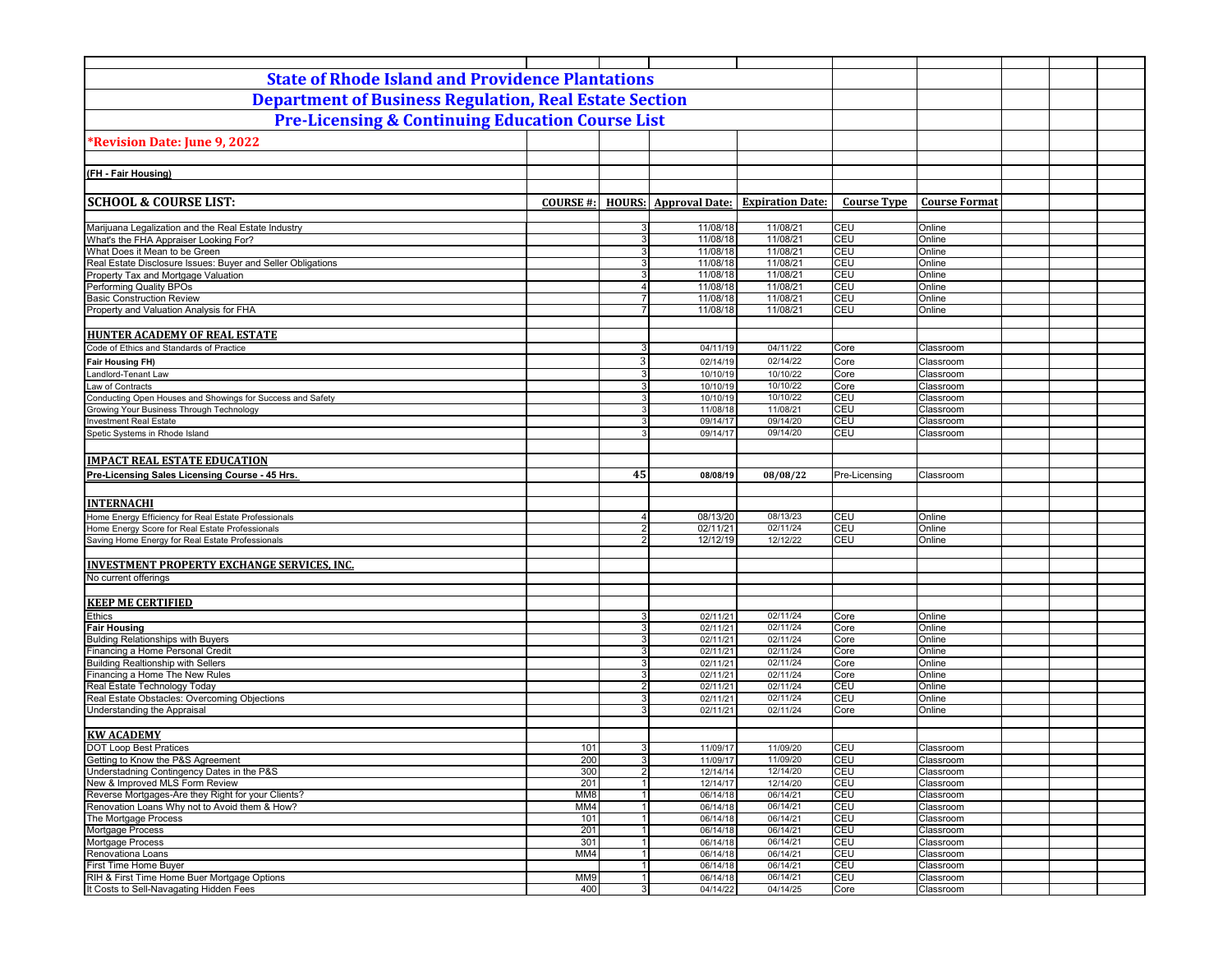| <b>State of Rhode Island and Providence Plantations</b>                                                |                 |                         |                              |                         |                    |                        |  |
|--------------------------------------------------------------------------------------------------------|-----------------|-------------------------|------------------------------|-------------------------|--------------------|------------------------|--|
| <b>Department of Business Regulation, Real Estate Section</b>                                          |                 |                         |                              |                         |                    |                        |  |
| <b>Pre-Licensing &amp; Continuing Education Course List</b>                                            |                 |                         |                              |                         |                    |                        |  |
| <b>*Revision Date: June 9, 2022</b>                                                                    |                 |                         |                              |                         |                    |                        |  |
|                                                                                                        |                 |                         |                              |                         |                    |                        |  |
| (FH - Fair Housing)                                                                                    |                 |                         |                              |                         |                    |                        |  |
|                                                                                                        |                 |                         |                              |                         |                    |                        |  |
| <b>SCHOOL &amp; COURSE LIST:</b>                                                                       | <b>COURSE#:</b> |                         | <b>HOURS:</b> Approval Date: | <b>Expiration Date:</b> | <b>Course Type</b> | <b>Course Format</b>   |  |
| Marijuana Legalization and the Real Estate Industry                                                    |                 | 3                       | 11/08/18                     | 11/08/21                | CEU                | Online                 |  |
| What's the FHA Appraiser Looking For?                                                                  |                 | 3                       | 11/08/18                     | 11/08/21                | CEU                | Online                 |  |
| What Does it Mean to be Green                                                                          |                 | 3                       | 11/08/18                     | 11/08/21                | CEU                | Online                 |  |
| Real Estate Disclosure Issues: Buyer and Seller Obligations                                            |                 | 3 <sup>1</sup>          | 11/08/18                     | 11/08/21                | CEU                | Online                 |  |
| Property Tax and Mortgage Valuation<br>Performing Quality BPOs                                         |                 | 3<br>$\overline{4}$     | 11/08/18<br>11/08/18         | 11/08/21<br>11/08/21    | CEU<br>CEU         | Online<br>Online       |  |
| <b>Basic Construction Review</b>                                                                       |                 | $\overline{7}$          | 11/08/18                     | 11/08/21                | CEU                | Online                 |  |
| Property and Valuation Analysis for FHA                                                                |                 | $\overline{7}$          | 11/08/18                     | 11/08/21                | CEU                | Online                 |  |
|                                                                                                        |                 |                         |                              |                         |                    |                        |  |
| <b>HUNTER ACADEMY OF REAL ESTATE</b>                                                                   |                 |                         |                              |                         |                    |                        |  |
| Code of Ethics and Standards of Practice                                                               |                 | 3                       | 04/11/19                     | 04/11/22                | Core               | Classroom              |  |
| <b>Fair Housing FH)</b>                                                                                |                 | 3                       | 02/14/19                     | 02/14/22                | Core               | Classroom              |  |
| Landlord-Tenant Law                                                                                    |                 | 3                       | 10/10/19                     | 10/10/22                | Core               | Classroom              |  |
| Law of Contracts                                                                                       |                 | 3                       | 10/10/19                     | 10/10/22                | Core               | Classroom              |  |
| Conducting Open Houses and Showings for Success and Safety<br>Growing Your Business Through Technology |                 | 3<br>3                  | 10/10/19<br>11/08/18         | 10/10/22<br>11/08/21    | CEU<br>CEU         | Classroom<br>Classroom |  |
| <b>Investment Real Estate</b>                                                                          |                 | 3                       | 09/14/17                     | 09/14/20                | CEU                | Classroom              |  |
| Spetic Systems in Rhode Island                                                                         |                 | 3                       | 09/14/17                     | 09/14/20                | CEU                | Classroom              |  |
|                                                                                                        |                 |                         |                              |                         |                    |                        |  |
| <b>IMPACT REAL ESTATE EDUCATION</b>                                                                    |                 |                         |                              |                         |                    |                        |  |
| Pre-Licensing Sales Licensing Course - 45 Hrs.                                                         |                 | 45                      | 08/08/19                     | 08/08/22                | Pre-Licensing      | Classroom              |  |
|                                                                                                        |                 |                         |                              |                         |                    |                        |  |
| <b>INTERNACHI</b>                                                                                      |                 |                         |                              |                         |                    |                        |  |
| Home Energy Efficiency for Real Estate Professionals                                                   |                 | $\overline{\mathbf{A}}$ | 08/13/20                     | 08/13/23                | CEU                | Online                 |  |
| Home Energy Score for Real Estate Professionals                                                        |                 | 2 <sub>1</sub>          | 02/11/21                     | 02/11/24                | <b>CEU</b>         | Online                 |  |
| Saving Home Energy for Real Estate Professionals                                                       |                 | $\overline{2}$          | 12/12/19                     | 12/12/22                | CEU                | Online                 |  |
|                                                                                                        |                 |                         |                              |                         |                    |                        |  |
| <b>INVESTMENT PROPERTY EXCHANGE SERVICES, INC.</b>                                                     |                 |                         |                              |                         |                    |                        |  |
| No current offerings                                                                                   |                 |                         |                              |                         |                    |                        |  |
| <b>KEEP ME CERTIFIED</b>                                                                               |                 |                         |                              |                         |                    |                        |  |
| Ethics                                                                                                 |                 | 3                       | 02/11/21                     | 02/11/24                | Core               | Online                 |  |
| <b>Fair Housing</b>                                                                                    |                 | 3 <sup>1</sup>          | 02/11/21                     | 02/11/24                | Core               | Online                 |  |
| <b>Bulding Relationships with Buyers</b>                                                               |                 | 3                       | 02/11/21                     | 02/11/24                | Core               | Online                 |  |
| Financing a Home Personal Credit                                                                       |                 | 3 <sup>1</sup>          | 02/11/21                     | 02/11/24                | Core               | Online                 |  |
| <b>Building Realtionship with Sellers</b>                                                              |                 | 3                       | 02/11/21                     | 02/11/24                | Core               | Online                 |  |
| Financing a Home The New Rules<br>Real Estate Technology Today                                         |                 | 3<br>$\overline{2}$     | 02/11/21<br>02/11/21         | 02/11/24<br>02/11/24    | Core<br>CEU        | Online<br>Online       |  |
| Real Estate Obstacles: Overcoming Objections                                                           |                 | 3                       | 02/11/21                     | 02/11/24                | CEU                | Online                 |  |
| Understanding the Appraisal                                                                            |                 | 3                       | 02/11/21                     | 02/11/24                | Core               | Online                 |  |
|                                                                                                        |                 |                         |                              |                         |                    |                        |  |
| <b>KW ACADEMY</b>                                                                                      |                 |                         |                              |                         |                    |                        |  |
| <b>DOT Loop Best Pratices</b>                                                                          | 101             | 3 <sup>1</sup>          | 11/09/17                     | 11/09/20                | CEU                | Classroom              |  |
| Getting to Know the P&S Agreement                                                                      | 200             | 3 <sup>1</sup>          | 11/09/17                     | 11/09/20                | CEU                | Classroom              |  |
| Understadning Contingency Dates in the P&S<br>New & Improved MLS Form Review                           | 300<br>201      | $2 \vert$               | 12/14/14<br>12/14/17         | 12/14/20<br>12/14/20    | CEU<br>CEU         | Classroom<br>Classroom |  |
| Reverse Mortgages-Are they Right for your Clients?                                                     | MM8             | $\mathbf{1}$            | 06/14/18                     | 06/14/21                | CEU                | Classroom              |  |
| Renovation Loans Why not to Avoid them & How?                                                          | MM4             | $\overline{1}$          | 06/14/18                     | 06/14/21                | CEU                | Classroom              |  |
| The Mortgage Process                                                                                   | 101             | 1                       | 06/14/18                     | 06/14/21                | CEU                | Classroom              |  |
| Mortgage Process                                                                                       | 201             | $\vert$                 | 06/14/18                     | 06/14/21                | CEU                | Classroom              |  |
| Mortgage Process                                                                                       | 301             | $\vert$ 1               | 06/14/18                     | 06/14/21                | CEU                | Classroom              |  |
| Renovationa Loans<br>First Time Home Buyer                                                             | MM4             | $\overline{1}$          | 06/14/18<br>06/14/18         | 06/14/21                | CEU<br>CEU         | Classroom              |  |
| RIH & First Time Home Buer Mortgage Options                                                            | MM9             | $\vert$ 1<br>1          | 06/14/18                     | 06/14/21<br>06/14/21    | CEU                | Classroom<br>Classroom |  |
| It Costs to Sell-Navagating Hidden Fees                                                                | 400             | $3 \mid$                | 04/14/22                     | 04/14/25                | Core               | Classroom              |  |
|                                                                                                        |                 |                         |                              |                         |                    |                        |  |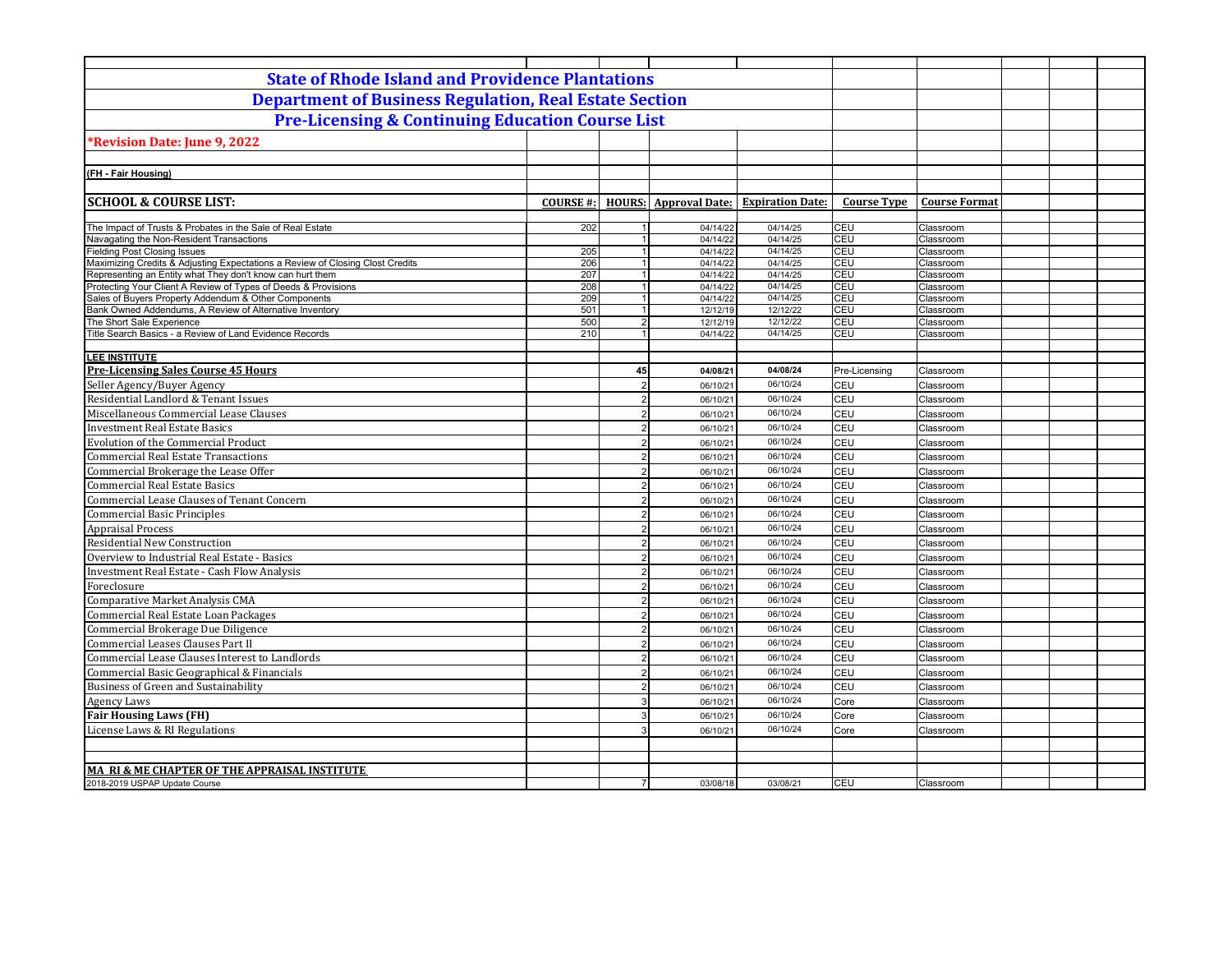| <b>State of Rhode Island and Providence Plantations</b>                                                                |                 |                      |                      |                                               |                    |                        |  |  |
|------------------------------------------------------------------------------------------------------------------------|-----------------|----------------------|----------------------|-----------------------------------------------|--------------------|------------------------|--|--|
| <b>Department of Business Regulation, Real Estate Section</b>                                                          |                 |                      |                      |                                               |                    |                        |  |  |
| <b>Pre-Licensing &amp; Continuing Education Course List</b>                                                            |                 |                      |                      |                                               |                    |                        |  |  |
| *Revision Date: June 9, 2022                                                                                           |                 |                      |                      |                                               |                    |                        |  |  |
|                                                                                                                        |                 |                      |                      |                                               |                    |                        |  |  |
| (FH - Fair Housing)                                                                                                    |                 |                      |                      |                                               |                    |                        |  |  |
|                                                                                                                        |                 |                      |                      |                                               |                    |                        |  |  |
| <b>SCHOOL &amp; COURSE LIST:</b>                                                                                       | <b>COURSE#:</b> |                      |                      | <b>HOURS:</b> Approval Date: Expiration Date: | <b>Course Type</b> | <b>Course Format</b>   |  |  |
|                                                                                                                        |                 |                      |                      |                                               |                    |                        |  |  |
| The Impact of Trusts & Probates in the Sale of Real Estate                                                             | 202             |                      | 04/14/22             | 04/14/25                                      | CEU                | Classroom              |  |  |
| Navagating the Non-Resident Transactions                                                                               |                 | 1                    | 04/14/22             | 04/14/25                                      | <b>CEU</b>         | Classroom              |  |  |
| ielding Post Closing Issues                                                                                            | 205             | $\overline{1}$       | 04/14/22             | 04/14/25                                      | CEU                | Classroom              |  |  |
| Maximizing Credits & Adjusting Expectations a Review of Closing Clost Credits                                          | 206             | 1                    | 04/14/22             | 04/14/25                                      | CEU                | Classroom              |  |  |
| Representing an Entity what They don't know can hurt them                                                              | 207             | 1<br>1               | 04/14/22             | 04/14/25<br>04/14/25                          | CEU<br><b>CEU</b>  | Classroom              |  |  |
| Protecting Your Client A Review of Types of Deeds & Provisions<br>Sales of Buyers Property Addendum & Other Components | 208<br>209      | 1                    | 04/14/22<br>04/14/22 | 04/14/25                                      | CEU                | Classroom<br>Classroom |  |  |
| Bank Owned Addendums, A Review of Alternative Inventory                                                                | 501             | 1                    | 12/12/19             | 12/12/22                                      | CEU                | Classroom              |  |  |
| The Short Sale Experience                                                                                              | 500             | $\overline{2}$       | 12/12/19             | 12/12/22                                      | CEU                | Classroom              |  |  |
| Title Search Basics - a Review of Land Evidence Records                                                                | 210             | $\blacktriangleleft$ | 04/14/22             | 04/14/25                                      | CEU                | Classroom              |  |  |
|                                                                                                                        |                 |                      |                      |                                               |                    |                        |  |  |
| <b>LEE INSTITUTE</b>                                                                                                   |                 |                      |                      |                                               |                    |                        |  |  |
| <b>Pre-Licensing Sales Course 45 Hours</b>                                                                             |                 | 45                   | 04/08/21             | 04/08/24                                      | Pre-Licensing      | Classroom              |  |  |
| Seller Agency/Buyer Agency                                                                                             |                 | $\overline{2}$       | 06/10/21             | 06/10/24                                      | CEU                | Classroom              |  |  |
| Residential Landlord & Tenant Issues                                                                                   |                 | $\overline{2}$       | 06/10/21             | 06/10/24                                      | CEU                | Classroom              |  |  |
| Miscellaneous Commercial Lease Clauses                                                                                 |                 | $\overline{2}$       | 06/10/21             | 06/10/24                                      | <b>CEU</b>         | Classroom              |  |  |
| <b>Investment Real Estate Basics</b>                                                                                   |                 | $\overline{2}$       | 06/10/21             | 06/10/24                                      | <b>CEU</b>         | Classroom              |  |  |
| <b>Evolution of the Commercial Product</b>                                                                             |                 | $\mathcal{P}$        | 06/10/21             | 06/10/24                                      | CEU                | Classroom              |  |  |
| <b>Commercial Real Estate Transactions</b>                                                                             |                 | $\overline{2}$       | 06/10/21             | 06/10/24                                      | CEU                | Classroom              |  |  |
| Commercial Brokerage the Lease Offer                                                                                   |                 | $\mathcal{P}$        | 06/10/21             | 06/10/24                                      | CEU                | Classroom              |  |  |
| <b>Commercial Real Estate Basics</b>                                                                                   |                 | $\mathcal{P}$        | 06/10/21             | 06/10/24                                      | CEU                | Classroom              |  |  |
| Commercial Lease Clauses of Tenant Concern                                                                             |                 | $\overline{2}$       | 06/10/21             | 06/10/24                                      | <b>CEU</b>         | Classroom              |  |  |
| <b>Commercial Basic Principles</b>                                                                                     |                 | $\mathcal{P}$        | 06/10/21             | 06/10/24                                      | CEU                | Classroom              |  |  |
|                                                                                                                        |                 |                      |                      | 06/10/24                                      | <b>CEU</b>         |                        |  |  |
| <b>Appraisal Process</b>                                                                                               |                 | 2                    | 06/10/21             |                                               |                    | Classroom              |  |  |
| <b>Residential New Construction</b>                                                                                    |                 | $\overline{2}$       | 06/10/21             | 06/10/24                                      | CEU                | Classroom              |  |  |
| Overview to Industrial Real Estate - Basics                                                                            |                 | $\overline{2}$       | 06/10/21             | 06/10/24                                      | CEU                | Classroom              |  |  |
| <b>Investment Real Estate - Cash Flow Analysis</b>                                                                     |                 | $\overline{2}$       | 06/10/21             | 06/10/24                                      | CEU                | Classroom              |  |  |
| Foreclosure                                                                                                            |                 | $\overline{2}$       | 06/10/21             | 06/10/24                                      | CEU                | Classroom              |  |  |
| Comparative Market Analysis CMA                                                                                        |                 | $\overline{2}$       | 06/10/21             | 06/10/24                                      | CEU                | Classroom              |  |  |
| Commercial Real Estate Loan Packages                                                                                   |                 | $\mathcal{P}$        | 06/10/21             | 06/10/24                                      | CEU                | Classroom              |  |  |
| Commercial Brokerage Due Diligence                                                                                     |                 |                      | 06/10/21             | 06/10/24                                      | CEU                | Classroom              |  |  |
| Commercial Leases Clauses Part II                                                                                      |                 | $\overline{2}$       | 06/10/21             | 06/10/24                                      | CEU                | Classroom              |  |  |
| Commercial Lease Clauses Interest to Landlords                                                                         |                 | $\mathfrak{p}$       | 06/10/21             | 06/10/24                                      | CEU                | Classroom              |  |  |
| Commercial Basic Geographical & Financials                                                                             |                 | $\mathcal{D}$        | 06/10/21             | 06/10/24                                      | CEU                | Classroom              |  |  |
| <b>Business of Green and Sustainability</b>                                                                            |                 | $\mathcal{P}$        | 06/10/21             | 06/10/24                                      | CEU                | Classroom              |  |  |
| <b>Agency Laws</b>                                                                                                     |                 | $\mathcal{R}$        | 06/10/21             | 06/10/24                                      | Core               | Classroom              |  |  |
| <b>Fair Housing Laws (FH)</b>                                                                                          |                 | $\mathcal{R}$        | 06/10/21             | 06/10/24                                      | Core               | Classroom              |  |  |
| License Laws & RI Regulations                                                                                          |                 | 3                    | 06/10/21             | 06/10/24                                      | Core               | Classroom              |  |  |
|                                                                                                                        |                 |                      |                      |                                               |                    |                        |  |  |
|                                                                                                                        |                 |                      |                      |                                               |                    |                        |  |  |
| MA RI & ME CHAPTER OF THE APPRAISAL INSTITUTE                                                                          |                 |                      |                      |                                               |                    |                        |  |  |
| 2018-2019 USPAP Update Course                                                                                          |                 |                      | 03/08/18             | 03/08/21                                      | CEU                | Classroom              |  |  |
|                                                                                                                        |                 |                      |                      |                                               |                    |                        |  |  |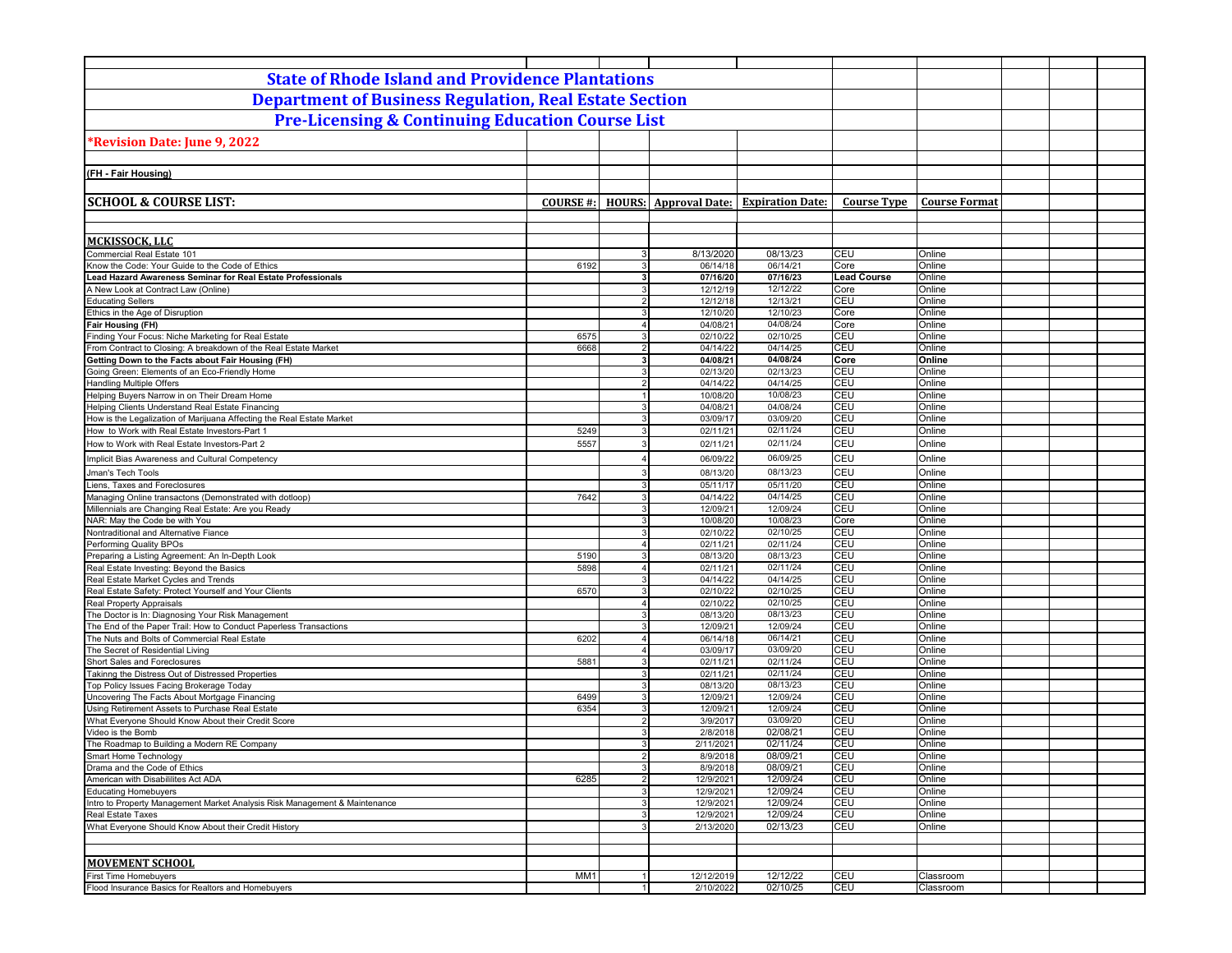|                                                                                                                | <b>State of Rhode Island and Providence Plantations</b> |                           |                              |                         |                    |                      |  |  |
|----------------------------------------------------------------------------------------------------------------|---------------------------------------------------------|---------------------------|------------------------------|-------------------------|--------------------|----------------------|--|--|
| <b>Department of Business Regulation, Real Estate Section</b>                                                  |                                                         |                           |                              |                         |                    |                      |  |  |
| <b>Pre-Licensing &amp; Continuing Education Course List</b>                                                    |                                                         |                           |                              |                         |                    |                      |  |  |
| Revision Date: June 9, 2022                                                                                    |                                                         |                           |                              |                         |                    |                      |  |  |
|                                                                                                                |                                                         |                           |                              |                         |                    |                      |  |  |
| (FH - Fair Housing)                                                                                            |                                                         |                           |                              |                         |                    |                      |  |  |
|                                                                                                                |                                                         |                           |                              |                         |                    |                      |  |  |
| <b>SCHOOL &amp; COURSE LIST:</b>                                                                               | <b>COURSE #:</b>                                        |                           | <b>HOURS:</b> Approval Date: | <b>Expiration Date:</b> | <b>Course Type</b> | <b>Course Format</b> |  |  |
|                                                                                                                |                                                         |                           |                              |                         |                    |                      |  |  |
| MCKISSOCK, LLC                                                                                                 |                                                         |                           |                              |                         |                    |                      |  |  |
| Commercial Real Estate 101                                                                                     |                                                         | 3 <sup>1</sup>            | 8/13/2020                    | 08/13/23                | CEU                | Online               |  |  |
| Know the Code: Your Guide to the Code of Ethics                                                                | 6192                                                    | 3                         | 06/14/18                     | 06/14/21                | Core               | Online               |  |  |
| Lead Hazard Awareness Seminar for Real Estate Professionals                                                    |                                                         | 3 <sup>1</sup>            | 07/16/20                     | 07/16/23                | <b>Lead Course</b> | Online               |  |  |
| A New Look at Contract Law (Online)                                                                            |                                                         | $\mathbf{3}$              | 12/12/19                     | 12/12/22                | Core               | Online               |  |  |
| <b>Educating Sellers</b>                                                                                       |                                                         | $\overline{2}$            | 12/12/18                     | 12/13/21                | CEU                | Online               |  |  |
| Ethics in the Age of Disruption                                                                                |                                                         | 3<br>4 <sup>1</sup>       | 12/10/20<br>04/08/21         | 12/10/23<br>04/08/24    | Core<br>Core       | Online<br>Online     |  |  |
| Fair Housing (FH)<br>Finding Your Focus: Niche Marketing for Real Estate                                       | 6575                                                    | 3                         | 02/10/22                     | 02/10/25                | <b>CEU</b>         | Online               |  |  |
| From Contract to Closing: A breakdown of the Real Estate Market                                                | 6668                                                    | $\overline{2}$            | 04/14/22                     | 04/14/25                | CEU                | Online               |  |  |
| Getting Down to the Facts about Fair Housing (FH)                                                              |                                                         | 3                         | 04/08/21                     | 04/08/24                | Core               | Online               |  |  |
| Going Green: Elements of an Eco-Friendly Home                                                                  |                                                         | $\mathbf{3}$              | 02/13/20                     | 02/13/23                | CEU                | Online               |  |  |
| <b>Handling Multiple Offers</b>                                                                                |                                                         | $\overline{2}$            | 04/14/22                     | 04/14/25                | CEU                | Online               |  |  |
| Helping Buyers Narrow in on Their Dream Home                                                                   |                                                         | $\mathbf{1}$              | 10/08/20                     | 10/08/23                | CEU                | Online               |  |  |
| Helping Clients Understand Real Estate Financing                                                               |                                                         | 3                         | 04/08/21                     | 04/08/24                | CEU                | Online               |  |  |
| How is the Legalization of Marijuana Affecting the Real Estate Market                                          |                                                         | 3                         | 03/09/17                     | 03/09/20                | CEU                | Online               |  |  |
| How to Work with Real Estate Investors-Part 1                                                                  | 5249                                                    | 3                         | 02/11/21                     | 02/11/24                | CEU                | Online               |  |  |
| How to Work with Real Estate Investors-Part 2                                                                  | 5557                                                    | 3                         | 02/11/21                     | 02/11/24                | <b>CEU</b>         | Online               |  |  |
| Implicit Bias Awareness and Cultural Competency                                                                |                                                         | $\overline{4}$            | 06/09/22                     | 06/09/25                | CEU                | Online               |  |  |
| Jman's Tech Tools                                                                                              |                                                         | 3                         | 08/13/20                     | 08/13/23                | CEU                | Online               |  |  |
| Liens, Taxes and Foreclosures                                                                                  |                                                         | 3                         | 05/11/17                     | 05/11/20                | CEU                | Online               |  |  |
| Managing Online transactons (Demonstrated with dotloop)<br>Millennials are Changing Real Estate: Are you Ready | 7642                                                    | 3<br>3                    | 04/14/22<br>12/09/21         | 04/14/25<br>12/09/24    | CEU<br>CEU         | Online<br>Online     |  |  |
| NAR: May the Code be with You                                                                                  |                                                         | $\overline{3}$            | 10/08/20                     | 10/08/23                | Core               | Online               |  |  |
| Nontraditional and Alternative Fiance                                                                          |                                                         | 3                         | 02/10/22                     | 02/10/25                | <b>CEU</b>         | Online               |  |  |
| Performing Quality BPOs                                                                                        |                                                         | $\Delta$                  | 02/11/21                     | 02/11/24                | CEU                | Online               |  |  |
| Preparing a Listing Agreement: An In-Depth Look                                                                | 5190                                                    | 3                         | 08/13/20                     | 08/13/23                | <b>CEU</b>         | Online               |  |  |
| Real Estate Investing: Beyond the Basics                                                                       | 5898                                                    | $\overline{4}$            | 02/11/21                     | 02/11/24                | CEU                | Online               |  |  |
| Real Estate Market Cycles and Trends                                                                           |                                                         | 3                         | 04/14/22                     | 04/14/25                | CEU                | Online               |  |  |
| Real Estate Safety: Protect Yourself and Your Clients                                                          | 6570                                                    | 3                         | 02/10/22                     | 02/10/25                | CEU                | Online               |  |  |
| <b>Real Property Appraisals</b><br>The Doctor is In: Diagnosing Your Risk Management                           |                                                         | $\overline{4}$<br>3       | 02/10/22<br>08/13/20         | 02/10/25<br>08/13/23    | CEU<br>CEU         | Online<br>Online     |  |  |
| The End of the Paper Trail: How to Conduct Paperless Transactions                                              |                                                         | 3                         | 12/09/21                     | 12/09/24                | CEU                | Online               |  |  |
| The Nuts and Bolts of Commercial Real Estate                                                                   | 6202                                                    | $\overline{\mathbf{4}}$   | 06/14/18                     | 06/14/21                | CEU                | Online               |  |  |
| The Secret of Residential Living                                                                               |                                                         | $\overline{4}$            | 03/09/17                     | 03/09/20                | CEU                | Online               |  |  |
| Short Sales and Foreclosures                                                                                   | 5881                                                    | $\mathbf{3}$              | 02/11/21                     | 02/11/24                | CEU                | Online               |  |  |
| Takinng the Distress Out of Distressed Properties                                                              |                                                         | 3                         | 02/11/21                     | 02/11/24                | CEU                | Online               |  |  |
| Top Policy Issues Facing Brokerage Today                                                                       |                                                         | 3                         | 08/13/20                     | 08/13/23                | CEU                | Online               |  |  |
| Uncovering The Facts About Mortgage Financing                                                                  | 6499                                                    | $\overline{3}$            | 12/09/21                     | 12/09/24<br>12/09/24    | CEU                | Online               |  |  |
| Using Retirement Assets to Purchase Real Estate<br>What Everyone Should Know About their Credit Score          | 6354                                                    | $\mathbf{3}$<br>$2 \vert$ | 12/09/21<br>3/9/2017         | 03/09/20                | CEU<br>CEU         | Online<br>Online     |  |  |
| Video is the Bomb                                                                                              |                                                         | 3                         | 2/8/2018                     | 02/08/21                | CEU                | Online               |  |  |
| The Roadmap to Building a Modern RE Company                                                                    |                                                         | $\mathbf{3}$              | 2/11/2021                    | 02/11/24                | CEU                | Online               |  |  |
| Smart Home Technology                                                                                          |                                                         |                           | 8/9/2018                     | 08/09/21                | CEU                | Online               |  |  |
| Drama and the Code of Ethics                                                                                   |                                                         | $\overline{3}$            | 8/9/2018                     | 08/09/21                | CEU                | Online               |  |  |
| American with Disabililites Act ADA                                                                            | 6285                                                    | $\overline{2}$            | 12/9/2021                    | 12/09/24                | CEU                | Online               |  |  |
| <b>Educating Homebuyers</b>                                                                                    |                                                         | 3 <sup>1</sup>            | 12/9/2021                    | 12/09/24                | CEU                | Online               |  |  |
| Intro to Property Management Market Analysis Risk Management & Maintenance                                     |                                                         | 3 <sup>1</sup>            | 12/9/2021                    | 12/09/24                | CEU                | Online               |  |  |
| Real Estate Taxes<br>What Everyone Should Know About their Credit History                                      |                                                         | 3 <sup>1</sup><br>3       | 12/9/2021<br>2/13/2020       | 12/09/24<br>02/13/23    | CEU<br>CEU         | Online<br>Online     |  |  |
|                                                                                                                |                                                         |                           |                              |                         |                    |                      |  |  |
|                                                                                                                |                                                         |                           |                              |                         |                    |                      |  |  |
| <b>MOVEMENT SCHOOL</b>                                                                                         |                                                         |                           |                              |                         |                    |                      |  |  |
| <b>First Time Homebuyers</b>                                                                                   | MM <sub>1</sub>                                         | $\rightarrow$             | 12/12/2019                   | 12/12/22                | CEU                | Classroom            |  |  |
| Flood Insurance Basics for Realtors and Homebuyers                                                             |                                                         | 1 <sup>1</sup>            | 2/10/2022                    | 02/10/25                | CEU                | Classroom            |  |  |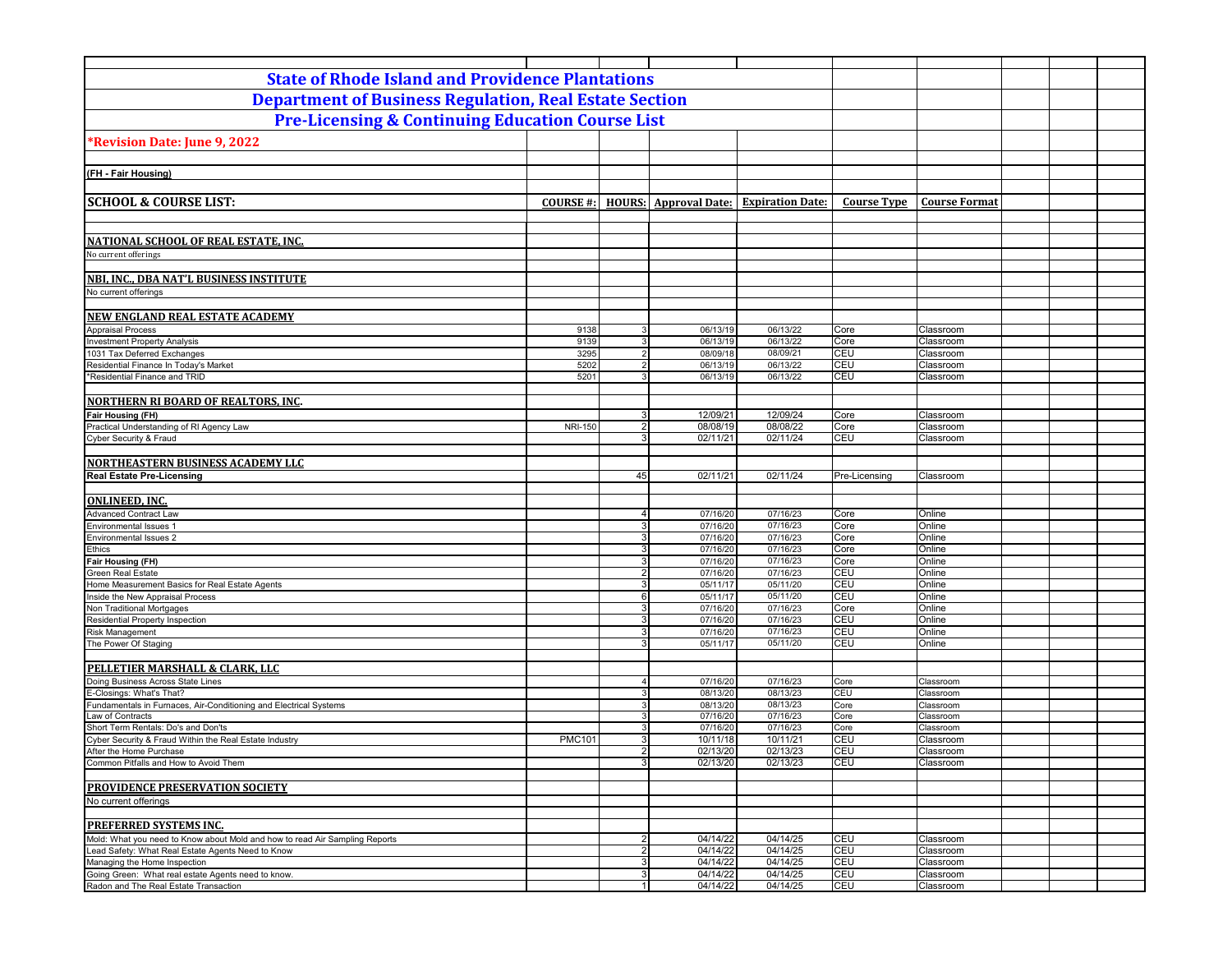| <b>State of Rhode Island and Providence Plantations</b>                      |                 |                                  |                              |                         |                    |                        |  |  |  |
|------------------------------------------------------------------------------|-----------------|----------------------------------|------------------------------|-------------------------|--------------------|------------------------|--|--|--|
| <b>Department of Business Regulation, Real Estate Section</b>                |                 |                                  |                              |                         |                    |                        |  |  |  |
| <b>Pre-Licensing &amp; Continuing Education Course List</b>                  |                 |                                  |                              |                         |                    |                        |  |  |  |
|                                                                              |                 |                                  |                              |                         |                    |                        |  |  |  |
| *Revision Date: June 9, 2022                                                 |                 |                                  |                              |                         |                    |                        |  |  |  |
|                                                                              |                 |                                  |                              |                         |                    |                        |  |  |  |
| (FH - Fair Housing)                                                          |                 |                                  |                              |                         |                    |                        |  |  |  |
|                                                                              |                 |                                  |                              |                         |                    |                        |  |  |  |
| <b>SCHOOL &amp; COURSE LIST:</b>                                             | <b>COURSE#:</b> |                                  | <b>HOURS:</b> Approval Date: | <b>Expiration Date:</b> | <b>Course Type</b> | <b>Course Format</b>   |  |  |  |
|                                                                              |                 |                                  |                              |                         |                    |                        |  |  |  |
| NATIONAL SCHOOL OF REAL ESTATE, INC.                                         |                 |                                  |                              |                         |                    |                        |  |  |  |
| No current offerings                                                         |                 |                                  |                              |                         |                    |                        |  |  |  |
|                                                                              |                 |                                  |                              |                         |                    |                        |  |  |  |
| NBI. INC., DBA NAT'L BUSINESS INSTITUTE                                      |                 |                                  |                              |                         |                    |                        |  |  |  |
| No current offerings                                                         |                 |                                  |                              |                         |                    |                        |  |  |  |
|                                                                              |                 |                                  |                              |                         |                    |                        |  |  |  |
| NEW ENGLAND REAL ESTATE ACADEMY                                              |                 |                                  |                              |                         |                    |                        |  |  |  |
| <b>Appraisal Process</b><br><b>Investment Property Analysis</b>              | 9138<br>9139    | 3<br>$\mathbf{3}$                | 06/13/19<br>06/13/19         | 06/13/22<br>06/13/22    | Core<br>Core       | Classroom<br>Classroom |  |  |  |
| 1031 Tax Deferred Exchanges                                                  | 3295            | 2                                | 08/09/18                     | 08/09/21                | CEU                | Classroom              |  |  |  |
| Residential Finance In Today's Market                                        | 5202            | $\overline{2}$                   | 06/13/19                     | 06/13/22                | CEU                | Classroom              |  |  |  |
| *Residential Finance and TRID                                                | 5201            | $\mathbf{3}$                     | 06/13/19                     | 06/13/22                | CEU                | Classroom              |  |  |  |
|                                                                              |                 |                                  |                              |                         |                    |                        |  |  |  |
| <b>NORTHERN RI BOARD OF REALTORS, INC.</b>                                   |                 |                                  |                              |                         |                    |                        |  |  |  |
| Fair Housing (FH)                                                            |                 | 3                                | 12/09/21                     | 12/09/24                | Core               | Classroom              |  |  |  |
| Practical Understanding of RI Agency Law                                     | <b>NRI-150</b>  | 2                                | 08/08/19                     | 08/08/22                | Core               | Classroom              |  |  |  |
| Cyber Security & Fraud                                                       |                 | 3 <sup>1</sup>                   | 02/11/21                     | 02/11/24                | CEU                | Classroom              |  |  |  |
|                                                                              |                 |                                  |                              |                         |                    |                        |  |  |  |
| <b>NORTHEASTERN BUSINESS ACADEMY LLC</b><br><b>Real Estate Pre-Licensing</b> |                 | 45                               | 02/11/21                     | 02/11/24                | Pre-Licensing      |                        |  |  |  |
|                                                                              |                 |                                  |                              |                         |                    | Classroom              |  |  |  |
| <b>ONLINEED, INC.</b>                                                        |                 |                                  |                              |                         |                    |                        |  |  |  |
| <b>Advanced Contract Law</b>                                                 |                 | $\overline{4}$                   | 07/16/20                     | 07/16/23                | Core               | Online                 |  |  |  |
| <b>Environmental Issues 1</b>                                                |                 | 3 <sup>1</sup>                   | 07/16/20                     | 07/16/23                | Core               | Online                 |  |  |  |
| Environmental Issues 2                                                       |                 | 3 <sup>1</sup>                   | 07/16/20                     | 07/16/23                | Core               | Online                 |  |  |  |
| Ethics                                                                       |                 | 3 <sup>1</sup>                   | 07/16/20                     | 07/16/23                | Core               | Online                 |  |  |  |
| Fair Housing (FH)                                                            |                 | 3 <sup>1</sup>                   | 07/16/20                     | 07/16/23                | Core               | Online                 |  |  |  |
| <b>Green Real Estate</b><br>Home Measurement Basics for Real Estate Agents   |                 | 2 <sup>1</sup><br>3 <sup>1</sup> | 07/16/20<br>05/11/17         | 07/16/23<br>05/11/20    | CEU<br>CEU         | Online<br>Online       |  |  |  |
| Inside the New Appraisal Process                                             |                 | $6 \overline{6}$                 | 05/11/17                     | 05/11/20                | CEU                | Online                 |  |  |  |
| Non Traditional Mortgages                                                    |                 | 3 <sup>1</sup>                   | 07/16/20                     | 07/16/23                | Core               | Online                 |  |  |  |
| Residential Property Inspection                                              |                 | $\overline{3}$                   | 07/16/20                     | 07/16/23                | CEU                | Online                 |  |  |  |
| Risk Management                                                              |                 | 3 <sup>1</sup>                   | 07/16/20                     | 07/16/23                | CEU                | Online                 |  |  |  |
| The Power Of Staging                                                         |                 | 3 <sup>1</sup>                   | 05/11/17                     | 05/11/20                | CEU                | Online                 |  |  |  |
|                                                                              |                 |                                  |                              |                         |                    |                        |  |  |  |
| PELLETIER MARSHALL & CLARK, LLC                                              |                 |                                  |                              |                         |                    |                        |  |  |  |
| Doing Business Across State Lines<br>E-Closings: What's That?                |                 | $\overline{4}$<br>3 <sup>1</sup> | 07/16/20<br>08/13/20         | 07/16/23<br>08/13/23    | Core<br>CEU        | Classroom<br>Classroom |  |  |  |
| Fundamentals in Furnaces, Air-Conditioning and Electrical Systems            |                 | $\mathbf{3}$                     | 08/13/20                     | 08/13/23                | Core               | Classroom              |  |  |  |
| Law of Contracts                                                             |                 | 3                                | 07/16/20                     | 07/16/23                | Core               | Classroom              |  |  |  |
| Short Term Rentals: Do's and Don'ts                                          |                 | 3 <sup>1</sup>                   | 07/16/20                     | 07/16/23                | Core               | Classroom              |  |  |  |
| Cyber Security & Fraud Within the Real Estate Industry                       | <b>PMC101</b>   | 3 <sup>1</sup>                   | 10/11/18                     | 10/11/21                | CEU                | Classroom              |  |  |  |
| After the Home Purchase                                                      |                 | 2 <sup>1</sup>                   | 02/13/20                     | 02/13/23                | CEU                | Classroom              |  |  |  |
| Common Pitfalls and How to Avoid Them                                        |                 | 3                                | 02/13/20                     | 02/13/23                | CEU                | Classroom              |  |  |  |
| PROVIDENCE PRESERVATION SOCIETY                                              |                 |                                  |                              |                         |                    |                        |  |  |  |
| No current offerings                                                         |                 |                                  |                              |                         |                    |                        |  |  |  |
|                                                                              |                 |                                  |                              |                         |                    |                        |  |  |  |
| <b>PREFERRED SYSTEMS INC.</b>                                                |                 |                                  |                              |                         |                    |                        |  |  |  |
| Mold: What you need to Know about Mold and how to read Air Sampling Reports  |                 | $\overline{2}$                   | 04/14/22                     | 04/14/25                | CEU                | Classroom              |  |  |  |
| Lead Safety: What Real Estate Agents Need to Know                            |                 | $\overline{2}$                   | 04/14/22                     | 04/14/25                | <b>CEU</b>         | Classroom              |  |  |  |
| Managing the Home Inspection                                                 |                 | 3 <sup>1</sup>                   | 04/14/22                     | 04/14/25                | <b>CEU</b>         | Classroom              |  |  |  |
| Going Green: What real estate Agents need to know.                           |                 | 3 <br>1 <sup>1</sup>             | 04/14/22                     | 04/14/25                | CEU                | Classroom              |  |  |  |
| Radon and The Real Estate Transaction                                        |                 |                                  | 04/14/22                     | 04/14/25                | CEU                | Classroom              |  |  |  |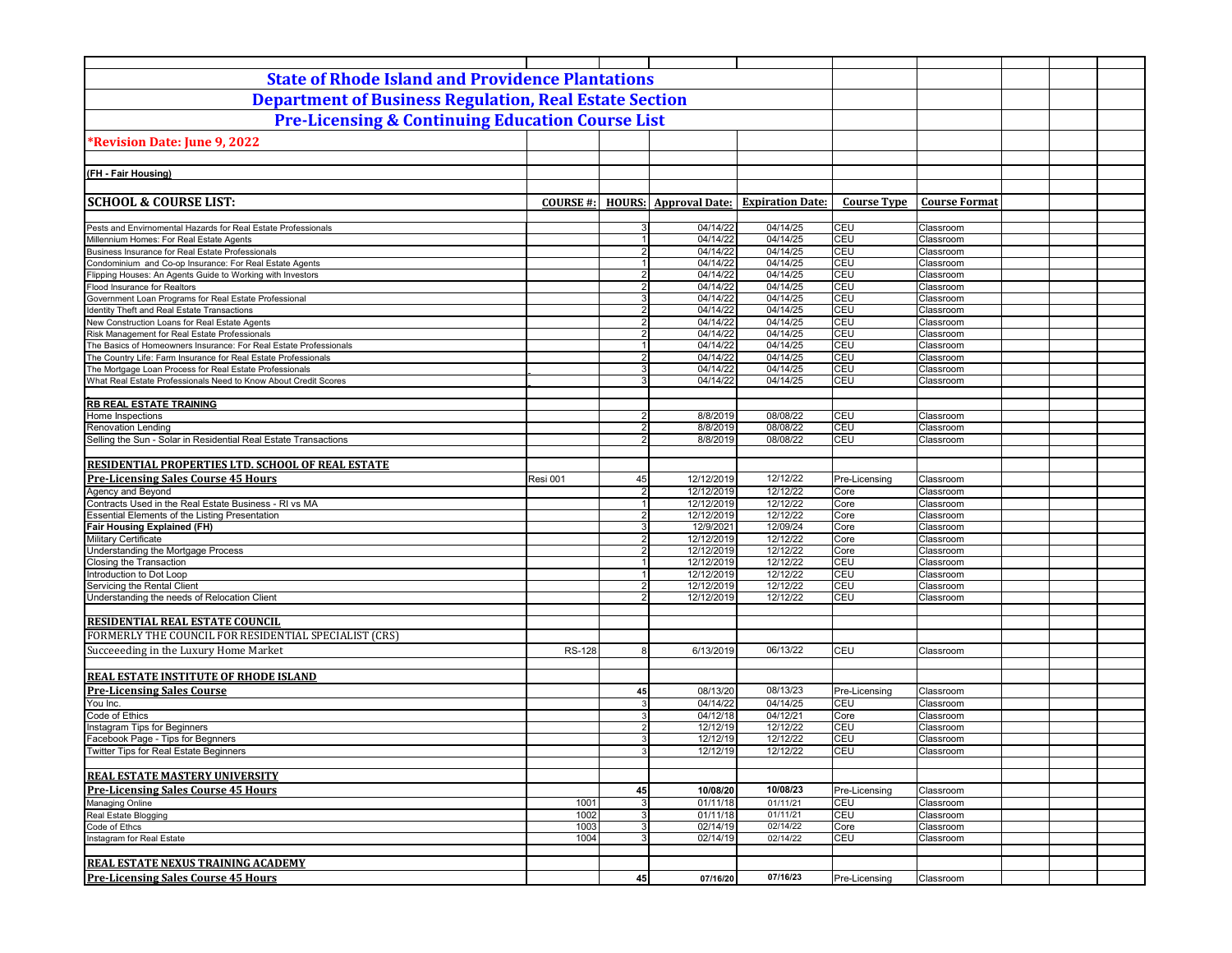| <b>State of Rhode Island and Providence Plantations</b>                                                            |                 |                                  |                              |                         |                      |                        |  |  |
|--------------------------------------------------------------------------------------------------------------------|-----------------|----------------------------------|------------------------------|-------------------------|----------------------|------------------------|--|--|
| <b>Department of Business Regulation, Real Estate Section</b>                                                      |                 |                                  |                              |                         |                      |                        |  |  |
| <b>Pre-Licensing &amp; Continuing Education Course List</b>                                                        |                 |                                  |                              |                         |                      |                        |  |  |
| *Revision Date: June 9, 2022                                                                                       |                 |                                  |                              |                         |                      |                        |  |  |
|                                                                                                                    |                 |                                  |                              |                         |                      |                        |  |  |
| (FH - Fair Housing)                                                                                                |                 |                                  |                              |                         |                      |                        |  |  |
|                                                                                                                    |                 |                                  |                              |                         |                      |                        |  |  |
| <b>SCHOOL &amp; COURSE LIST:</b>                                                                                   | <b>COURSE#:</b> |                                  | <b>HOURS:</b> Approval Date: | <b>Expiration Date:</b> | <b>Course Type</b>   | <b>Course Format</b>   |  |  |
| Pests and Envirnomental Hazards for Real Estate Professionals                                                      |                 | $\mathbf{3}$                     | 04/14/22                     | 04/14/25                | CEU                  | Classroom              |  |  |
| Millennium Homes: For Real Estate Agents                                                                           |                 | 1                                | 04/14/22                     | 04/14/25                | CEU                  | Classroom              |  |  |
| Business Insurance for Real Estate Professionals                                                                   |                 | 2 <sup>1</sup>                   | 04/14/22                     | 04/14/25                | CEU                  | Classroom              |  |  |
| Condominium and Co-op Insurance: For Real Estate Agents                                                            |                 | 1                                | 04/14/22                     | 04/14/25                | CEU                  | Classroom              |  |  |
| Flipping Houses: An Agents Guide to Working with Investors                                                         |                 | 2 <sub>1</sub>                   | 04/14/22                     | 04/14/25                | CEU                  | Classroom              |  |  |
| Flood Insurance for Realtors                                                                                       |                 | $\overline{2}$                   | 04/14/22                     | 04/14/25                | CEU                  | Classroom              |  |  |
| Government Loan Programs for Real Estate Professional                                                              |                 | $\overline{3}$                   | 04/14/22                     | 04/14/25                | CEU                  | Classroom              |  |  |
| Identity Theft and Real Estate Transactions                                                                        |                 | $\overline{2}$                   | 04/14/22                     | 04/14/25                | CEU                  | Classroom              |  |  |
| New Construction Loans for Real Estate Agents                                                                      |                 | 2 <sup>1</sup><br>2 <sup>1</sup> | 04/14/22<br>04/14/22         | 04/14/25<br>04/14/25    | CEU<br>CEU           | Classroom              |  |  |
| Risk Management for Real Estate Professionals<br>The Basics of Homeowners Insurance: For Real Estate Professionals |                 | 1                                | 04/14/22                     | 04/14/25                | <b>CEU</b>           | Classroom<br>Classroom |  |  |
| The Country Life: Farm Insurance for Real Estate Professionals                                                     |                 | $\overline{2}$                   | 04/14/22                     | 04/14/25                | CEU                  | Classroom              |  |  |
| The Mortgage Loan Process for Real Estate Professionals                                                            |                 | $\mathbf{3}$                     | 04/14/22                     | 04/14/25                | CEU                  | Classroom              |  |  |
| What Real Estate Professionals Need to Know About Credit Scores                                                    |                 | 3                                | 04/14/22                     | 04/14/25                | CEU                  | Classroom              |  |  |
|                                                                                                                    |                 |                                  |                              |                         |                      |                        |  |  |
| <b>RB REAL ESTATE TRAINING</b>                                                                                     |                 |                                  |                              |                         |                      |                        |  |  |
| Home Inspections                                                                                                   |                 | 2                                | 8/8/2019                     | 08/08/22                | CEU                  | Classroom              |  |  |
| <b>Renovation Lending</b>                                                                                          |                 | 2                                | 8/8/2019                     | 08/08/22                | CEU                  | Classroom              |  |  |
| Selling the Sun - Solar in Residential Real Estate Transactions                                                    |                 | $\overline{2}$                   | 8/8/2019                     | 08/08/22                | CEU                  | Classroom              |  |  |
|                                                                                                                    |                 |                                  |                              |                         |                      |                        |  |  |
| RESIDENTIAL PROPERTIES LTD. SCHOOL OF REAL ESTATE                                                                  |                 |                                  |                              |                         |                      |                        |  |  |
| <b>Pre-Licensing Sales Course 45 Hours</b>                                                                         | Resi 001        | 45                               | 12/12/2019                   | 12/12/22                | Pre-Licensing        | Classroom              |  |  |
| Agency and Beyond                                                                                                  |                 | 2 <sup>1</sup><br>1 <sup>1</sup> | 12/12/2019                   | 12/12/22                | Core                 | Classroom              |  |  |
| Contracts Used in the Real Estate Business - RI vs MA<br>Essential Elements of the Listing Presentation            |                 | $\overline{2}$                   | 12/12/2019<br>12/12/2019     | 12/12/22<br>12/12/22    | Core<br>Core         | Classroom<br>Classroom |  |  |
| <b>Fair Housing Explained (FH)</b>                                                                                 |                 | $\overline{3}$                   | 12/9/2021                    | 12/09/24                | Core                 | Classroom              |  |  |
| <b>Military Certificate</b>                                                                                        |                 | 2 <sub>1</sub>                   | 12/12/2019                   | 12/12/22                | Core                 | Classroom              |  |  |
| Understanding the Mortgage Process                                                                                 |                 | $\overline{2}$                   | 12/12/2019                   | 12/12/22                | Core                 | Classroom              |  |  |
| Closing the Transaction                                                                                            |                 | $\vert$ 1                        | 12/12/2019                   | 12/12/22                | CEU                  | Classroom              |  |  |
| Introduction to Dot Loop                                                                                           |                 | 1                                | 12/12/2019                   | 12/12/22                | CEU                  | Classroom              |  |  |
| Servicing the Rental Client                                                                                        |                 | $\overline{2}$                   | 12/12/2019                   | 12/12/22                | CEU                  | Classroom              |  |  |
| Understanding the needs of Relocation Client                                                                       |                 | 2 <sup>1</sup>                   | 12/12/2019                   | 12/12/22                | CEU                  | Classroom              |  |  |
|                                                                                                                    |                 |                                  |                              |                         |                      |                        |  |  |
| RESIDENTIAL REAL ESTATE COUNCIL                                                                                    |                 |                                  |                              |                         |                      |                        |  |  |
| FORMERLY THE COUNCIL FOR RESIDENTIAL SPECIALIST (CRS)                                                              |                 |                                  |                              |                         |                      |                        |  |  |
| Succeeeding in the Luxury Home Market                                                                              | <b>RS-128</b>   | 8                                | 6/13/2019                    | 06/13/22                | CEU                  | Classroom              |  |  |
|                                                                                                                    |                 |                                  |                              |                         |                      |                        |  |  |
| REAL ESTATE INSTITUTE OF RHODE ISLAND                                                                              |                 |                                  |                              |                         |                      |                        |  |  |
| <b>Pre-Licensing Sales Course</b>                                                                                  |                 | 45                               | 08/13/20                     | 08/13/23                | Pre-Licensing        | Classroom              |  |  |
| You Inc.                                                                                                           |                 | 3                                | 04/14/22                     | 04/14/25                | CEU                  | Classroom              |  |  |
| Code of Ethics                                                                                                     |                 | 3                                | 04/12/18                     | 04/12/21                | Core                 | Classroom              |  |  |
| Instagram Tips for Beginners                                                                                       |                 | $\overline{2}$                   | 12/12/19                     | 12/12/22                | CEU                  | Classroom              |  |  |
| Facebook Page - Tips for Begnners<br>Twitter Tips for Real Estate Beginners                                        |                 | 3<br>3 <sup>1</sup>              | 12/12/19<br>12/12/19         | 12/12/22<br>12/12/22    | CEU<br>CEU           | Classroom<br>Classroom |  |  |
|                                                                                                                    |                 |                                  |                              |                         |                      |                        |  |  |
| <b>REAL ESTATE MASTERY UNIVERSITY</b>                                                                              |                 |                                  |                              |                         |                      |                        |  |  |
| <b>Pre-Licensing Sales Course 45 Hours</b>                                                                         |                 |                                  |                              | 10/08/23                |                      |                        |  |  |
|                                                                                                                    | 1001            | 45<br>3 <sup>1</sup>             | 10/08/20<br>01/11/18         | 01/11/21                | Pre-Licensing<br>CEU | Classroom<br>Classroom |  |  |
| Managing Online<br>Real Estate Blogging                                                                            | 1002            | 3                                | 01/11/18                     | 01/11/21                | CEU                  | Classroom              |  |  |
| Code of Ethcs                                                                                                      | 1003            | 3 <sup>1</sup>                   | 02/14/19                     | 02/14/22                | Core                 | Classroom              |  |  |
| Instagram for Real Estate                                                                                          | 1004            | 3 <sup>1</sup>                   | 02/14/19                     | 02/14/22                | CEU                  | Classroom              |  |  |
|                                                                                                                    |                 |                                  |                              |                         |                      |                        |  |  |
| REAL ESTATE NEXUS TRAINING ACADEMY                                                                                 |                 |                                  |                              |                         |                      |                        |  |  |
| <b>Pre-Licensing Sales Course 45 Hours</b>                                                                         |                 | 45                               | 07/16/20                     | 07/16/23                | Pre-Licensing        | Classroom              |  |  |
|                                                                                                                    |                 |                                  |                              |                         |                      |                        |  |  |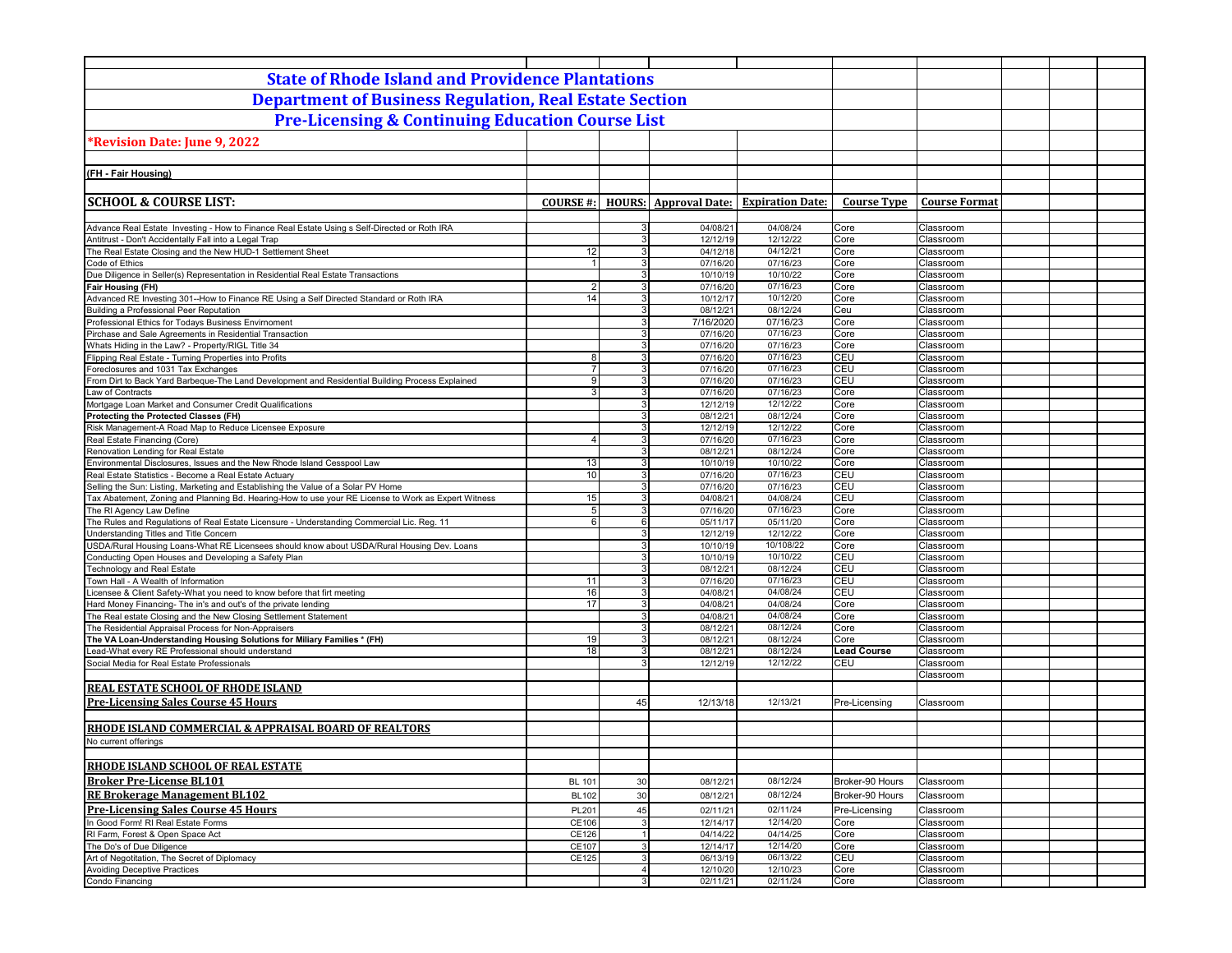| <b>State of Rhode Island and Providence Plantations</b>                                                                                |                      |                     |                              |                         |                    |                        |  |
|----------------------------------------------------------------------------------------------------------------------------------------|----------------------|---------------------|------------------------------|-------------------------|--------------------|------------------------|--|
| <b>Department of Business Regulation, Real Estate Section</b>                                                                          |                      |                     |                              |                         |                    |                        |  |
| <b>Pre-Licensing &amp; Continuing Education Course List</b>                                                                            |                      |                     |                              |                         |                    |                        |  |
| Revision Date: June 9, 2022*                                                                                                           |                      |                     |                              |                         |                    |                        |  |
|                                                                                                                                        |                      |                     |                              |                         |                    |                        |  |
| (FH - Fair Housing)                                                                                                                    |                      |                     |                              |                         |                    |                        |  |
|                                                                                                                                        |                      |                     |                              |                         |                    |                        |  |
| <b>SCHOOL &amp; COURSE LIST:</b>                                                                                                       | <b>COURSE #:</b>     |                     | <b>HOURS:</b> Approval Date: | <b>Expiration Date:</b> | <b>Course Type</b> | <b>Course Format</b>   |  |
|                                                                                                                                        |                      |                     |                              |                         |                    |                        |  |
| Advance Real Estate Investing - How to Finance Real Estate Using s Self-Directed or Roth IRA                                           |                      | 3                   | 04/08/21                     | 04/08/24                | Core               | Classroom              |  |
| Antitrust - Don't Accidentally Fall into a Legal Trap<br>The Real Estate Closing and the New HUD-1 Settlement Sheet                    | 12                   | 3<br>3 <sup>1</sup> | 12/12/19<br>04/12/18         | 12/12/22<br>04/12/21    | Core<br>Core       | Classroom<br>Classroom |  |
| Code of Ethics                                                                                                                         | -1                   | 3 <sup>1</sup>      | 07/16/20                     | 07/16/23                | Core               | Classroom              |  |
| Due Diligence in Seller(s) Representation in Residential Real Estate Transactions                                                      |                      | 3 <sup>1</sup>      | 10/10/19                     | 10/10/22                | Core               | Classroom              |  |
| Fair Housing (FH)                                                                                                                      | $\overline{2}$       | 3 <sup>1</sup>      | 07/16/20                     | 07/16/23                | Core               | Classroom              |  |
| Advanced RE Investing 301--How to Finance RE Using a Self Directed Standard or Roth IRA                                                | 14                   | 3 <sup>1</sup>      | 10/12/17                     | 10/12/20                | Core               | Classroom              |  |
| <b>Building a Professional Peer Reputation</b>                                                                                         |                      | 3 <sup>1</sup>      | 08/12/21                     | 08/12/24                | Ceu                | Classroom              |  |
| Professional Ethics for Todays Business Envirnoment                                                                                    |                      | 3 <sup>1</sup>      | 7/16/2020                    | 07/16/23                | Core               | Classroom              |  |
| Pirchase and Sale Agreements in Residential Transaction                                                                                |                      | 3 <sup>1</sup>      | 07/16/20                     | 07/16/23                | Core               | Classroom              |  |
| Whats Hiding in the Law? - Property/RIGL Title 34                                                                                      |                      | 3                   | 07/16/20                     | 07/16/23                | Core               | Classroom              |  |
| Flipping Real Estate - Turning Properties into Profits                                                                                 | 8                    | 3 <sup>1</sup><br>3 | 07/16/20                     | 07/16/23                | CEU<br>CEU         | Classroom              |  |
| Foreclosures and 1031 Tax Exchanges<br>From Dirt to Back Yard Barbeque-The Land Development and Residential Building Process Explained | 9 <sub>l</sub>       | 3 <sup>1</sup>      | 07/16/20<br>07/16/20         | 07/16/23<br>07/16/23    | CEU                | Classroom<br>Classroom |  |
| Law of Contracts                                                                                                                       | 3                    | 3                   | 07/16/20                     | 07/16/23                | Core               | Classroom              |  |
| Mortgage Loan Market and Consumer Credit Qualifications                                                                                |                      | 3 <sup>1</sup>      | 12/12/19                     | 12/12/22                | Core               | Classroom              |  |
| Protecting the Protected Classes (FH)                                                                                                  |                      | 3                   | 08/12/21                     | 08/12/24                | Core               | Classroom              |  |
| Risk Management-A Road Map to Reduce Licensee Exposure                                                                                 |                      | 3 <sup>1</sup>      | 12/12/19                     | 12/12/22                | Core               | Classroom              |  |
| Real Estate Financing (Core)                                                                                                           | $\overline{4}$       | 3                   | 07/16/20                     | 07/16/23                | Core               | Classroom              |  |
| Renovation Lending for Real Estate                                                                                                     |                      | 3                   | 08/12/21                     | 08/12/24                | Core               | Classroom              |  |
| Environmental Disclosures, Issues and the New Rhode Island Cesspool Law                                                                | 13                   | 3                   | 10/10/19                     | 10/10/22                | Core               | Classroom              |  |
| Real Estate Statistics - Become a Real Estate Actuary                                                                                  | 10                   | 3                   | 07/16/20                     | 07/16/23                | CEU                | Classroom              |  |
| Selling the Sun: Listing, Marketing and Establishing the Value of a Solar PV Home                                                      |                      | 3 <sup>1</sup><br>3 | 07/16/20                     | 07/16/23                | CEU                | Classroom              |  |
| Tax Abatement, Zoning and Planning Bd. Hearing-How to use your RE License to Work as Expert Witness<br>The RI Agency Law Define        | 15<br>5 <sub>l</sub> | 3                   | 04/08/21<br>07/16/20         | 04/08/24<br>07/16/23    | CEU<br>Core        | Classroom<br>Classroom |  |
| The Rules and Regulations of Real Estate Licensure - Understanding Commercial Lic. Reg. 11                                             | 6                    | 6                   | 05/11/17                     | 05/11/20                | Core               | Classroom              |  |
| Understanding Titles and Title Concern                                                                                                 |                      | $\overline{3}$      | 12/12/19                     | 12/12/22                | Core               | Classroom              |  |
| SDA/Rural Housing Loans-What RE Licensees should know about USDA/Rural Housing Dev. Loans                                              |                      | $\overline{3}$      | 10/10/19                     | 10/108/22               | Core               | Classroom              |  |
| Conducting Open Houses and Developing a Safety Plan                                                                                    |                      | 3 <sup>1</sup>      | 10/10/19                     | 10/10/22                | CEU                | Classroom              |  |
| Technology and Real Estate                                                                                                             |                      | 3 <sup>1</sup>      | 08/12/21                     | 08/12/24                | CEU                | Classroom              |  |
| Town Hall - A Wealth of Information                                                                                                    | 11                   | 3 <sup>1</sup>      | 07/16/20                     | 07/16/23                | CEU                | Classroom              |  |
| Licensee & Client Safety-What you need to know before that firt meeting                                                                | 16                   | 3 <sup>1</sup>      | 04/08/21                     | 04/08/24                | CEU                | Classroom              |  |
| Hard Money Financing- The in's and out's of the private lending                                                                        | 17                   | 3 <sup>1</sup>      | 04/08/21                     | 04/08/24                | Core               | Classroom              |  |
| The Real estate Closing and the New Closing Settlement Statement                                                                       |                      | 3<br>3 <sup>1</sup> | 04/08/21                     | 04/08/24<br>08/12/24    | Core               | Classroom              |  |
| The Residential Appraisal Process for Non-Appraisers<br>The VA Loan-Understanding Housing Solutions for Miliary Families * (FH)        | 19                   | 3                   | 08/12/21<br>08/12/21         | 08/12/24                | Core<br>Core       | Classroom<br>Classroom |  |
| Lead-What every RE Professional should understand                                                                                      | 18                   | 3 <sup>1</sup>      | 08/12/21                     | 08/12/24                | <b>Lead Course</b> | Classroom              |  |
| Social Media for Real Estate Professionals                                                                                             |                      | 3                   | 12/12/19                     | 12/12/22                | CEU                | Classroom              |  |
|                                                                                                                                        |                      |                     |                              |                         |                    | Classroom              |  |
| <b>REAL ESTATE SCHOOL OF RHODE ISLAND</b>                                                                                              |                      |                     |                              |                         |                    |                        |  |
| <b>Pre-Licensing Sales Course 45 Hours</b>                                                                                             |                      | 45                  | 12/13/18                     | 12/13/21                | Pre-Licensing      | Classroom              |  |
|                                                                                                                                        |                      |                     |                              |                         |                    |                        |  |
| RHODE ISLAND COMMERCIAL & APPRAISAL BOARD OF REALTORS                                                                                  |                      |                     |                              |                         |                    |                        |  |
| No current offerings                                                                                                                   |                      |                     |                              |                         |                    |                        |  |
|                                                                                                                                        |                      |                     |                              |                         |                    |                        |  |
| RHODE ISLAND SCHOOL OF REAL ESTATE                                                                                                     |                      |                     |                              |                         |                    |                        |  |
| <b>Broker Pre-License BL101</b>                                                                                                        | <b>BL 101</b>        | 30                  | 08/12/21                     | 08/12/24                | Broker-90 Hours    | Classroom              |  |
| <b>RE Brokerage Management BL102</b>                                                                                                   | <b>BL102</b>         | 30                  | 08/12/21                     | 08/12/24                | Broker-90 Hours    | Classroom              |  |
| <b>Pre-Licensing Sales Course 45 Hours</b>                                                                                             | PL201                | 45                  | 02/11/21                     | 02/11/24                | Pre-Licensing      | Classroom              |  |
| In Good Form! RI Real Estate Forms                                                                                                     | CE106                | $\mathbf{3}$        | 12/14/17                     | 12/14/20                | Core               | Classroom              |  |
| RI Farm, Forest & Open Space Act                                                                                                       | CE126                | $\overline{1}$      | 04/14/22                     | 04/14/25                | Core               | Classroom              |  |
| The Do's of Due Diligence                                                                                                              | CE107                | 3 <sup>1</sup>      | 12/14/17                     | 12/14/20                | Core               | Classroom              |  |
| Art of Negotitation, The Secret of Diplomacy                                                                                           | CE125                | $\overline{3}$      | 06/13/19                     | 06/13/22                | CEU                | Classroom              |  |
| <b>Avoiding Deceptive Practices</b>                                                                                                    |                      | $\overline{4}$      | 12/10/20                     | 12/10/23                | Core               | Classroom              |  |
| Condo Financing                                                                                                                        |                      | 3 <sup>1</sup>      | 02/11/21                     | 02/11/24                | Core               | Classroom              |  |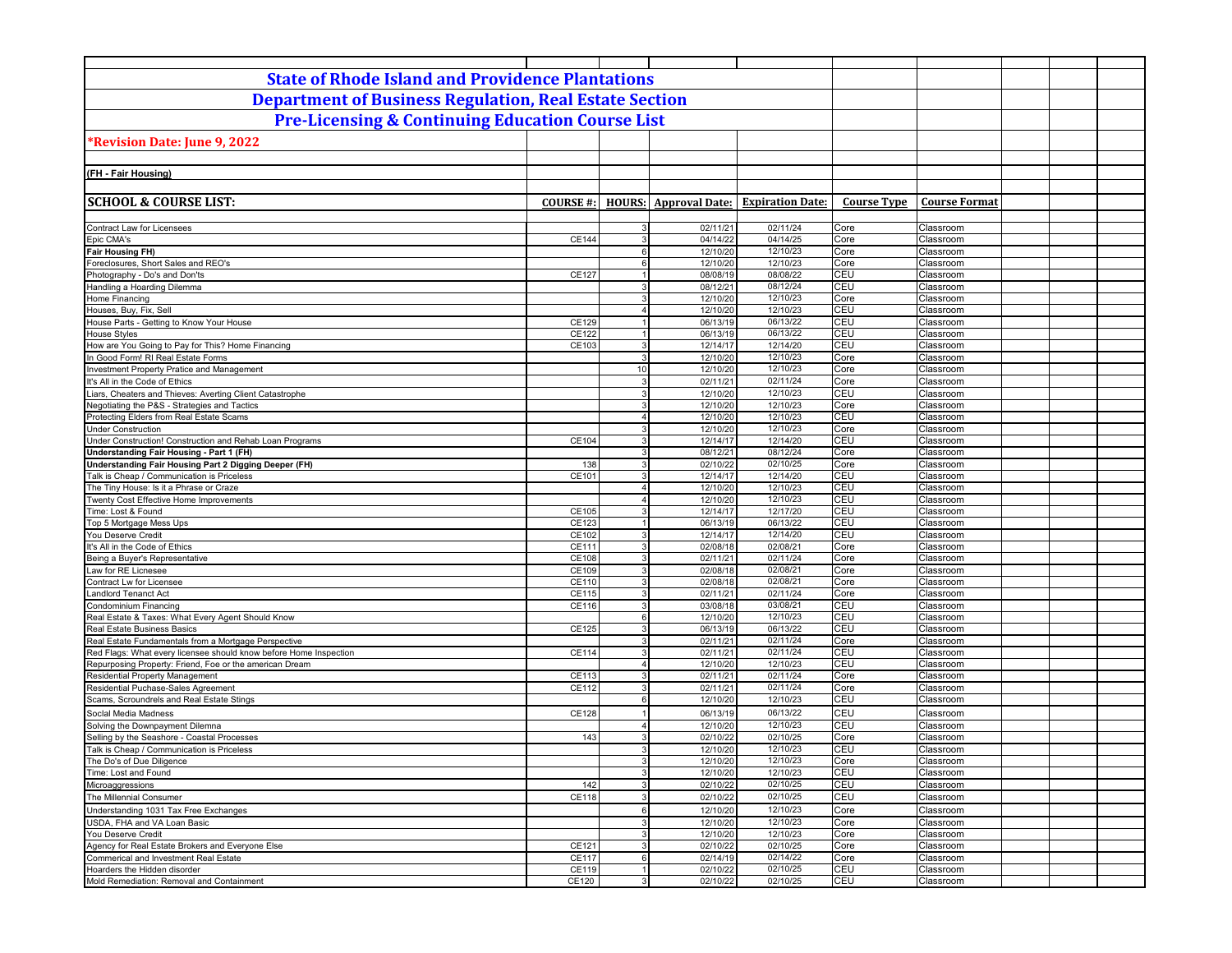| <b>State of Rhode Island and Providence Plantations</b>                                             |                  |                                    |                              |                         |                    |                        |  |
|-----------------------------------------------------------------------------------------------------|------------------|------------------------------------|------------------------------|-------------------------|--------------------|------------------------|--|
| <b>Department of Business Regulation, Real Estate Section</b>                                       |                  |                                    |                              |                         |                    |                        |  |
| <b>Pre-Licensing &amp; Continuing Education Course List</b>                                         |                  |                                    |                              |                         |                    |                        |  |
|                                                                                                     |                  |                                    |                              |                         |                    |                        |  |
| Revision Date: June 9, 2022                                                                         |                  |                                    |                              |                         |                    |                        |  |
|                                                                                                     |                  |                                    |                              |                         |                    |                        |  |
| (FH - Fair Housing)                                                                                 |                  |                                    |                              |                         |                    |                        |  |
|                                                                                                     |                  |                                    |                              |                         |                    |                        |  |
| <b>SCHOOL &amp; COURSE LIST:</b>                                                                    | <b>COURSE #:</b> |                                    | <b>HOURS:</b> Approval Date: | <b>Expiration Date:</b> | <b>Course Type</b> | <b>Course Format</b>   |  |
|                                                                                                     |                  |                                    |                              |                         |                    |                        |  |
| <b>Contract Law for Licensees</b><br>Epic CMA's                                                     | CE144            | 3<br>3                             | 02/11/21<br>04/14/22         | 02/11/24<br>04/14/25    | Core<br>Core       | Classroom<br>Classroom |  |
| <b>Fair Housing FH)</b>                                                                             |                  | 6                                  | 12/10/20                     | 12/10/23                | Core               | Classroom              |  |
| Foreclosures, Short Sales and REO's                                                                 |                  | $6 \overline{6}$                   | 12/10/20                     | 12/10/23                | Core               | Classroom              |  |
| Photography - Do's and Don'ts                                                                       | CE127            | $\mathbf{1}$                       | 08/08/19                     | 08/08/22                | CEU                | Classroom              |  |
| Handling a Hoarding Dilemma                                                                         |                  | $\overline{3}$                     | 08/12/21                     | 08/12/24                | CEU                | Classroom              |  |
| Home Financing<br>Houses, Buy, Fix, Sell                                                            |                  | 3<br>4 <sup>1</sup>                | 12/10/20<br>12/10/20         | 12/10/23<br>12/10/23    | Core<br>CEU        | Classroom<br>Classroom |  |
| House Parts - Getting to Know Your House                                                            | CE129            | $\overline{1}$                     | 06/13/19                     | 06/13/22                | CEU                | Classroom              |  |
| <b>House Styles</b>                                                                                 | CE122            | 1                                  | 06/13/19                     | 06/13/22                | CEU                | Classroom              |  |
| How are You Going to Pay for This? Home Financing                                                   | CE103            | 3                                  | 12/14/17                     | 12/14/20                | <b>CEU</b>         | Classroom              |  |
| In Good Form! RI Real Estate Forms                                                                  |                  | $\overline{3}$                     | 12/10/20                     | 12/10/23                | Core               | Classroom              |  |
| Investment Property Pratice and Management<br>It's All in the Code of Ethics                        |                  | 10<br>3                            | 12/10/20<br>02/11/21         | 12/10/23<br>02/11/24    | Core<br>Core       | Classroom<br>Classroom |  |
| Liars, Cheaters and Thieves: Averting Client Catastrophe                                            |                  | 3                                  | 12/10/20                     | 12/10/23                | CEU                | Classroom              |  |
| Negotiating the P&S - Strategies and Tactics                                                        |                  | 3                                  | 12/10/20                     | 12/10/23                | Core               | Classroom              |  |
| Protecting Elders from Real Estate Scams                                                            |                  | $\overline{4}$                     | 12/10/20                     | 12/10/23                | CEU                | Classroom              |  |
| <b>Under Construction</b>                                                                           |                  | 3                                  | 12/10/20                     | 12/10/23                | Core               | Classroom              |  |
| Under Construction! Construction and Rehab Loan Programs                                            | CE104            | $\mathbf{3}$                       | 12/14/17                     | 12/14/20                | CEU                | Classroom              |  |
| Understanding Fair Housing - Part 1 (FH)                                                            |                  | 3                                  | 08/12/21                     | 08/12/24                | Core<br>Core       | Classroom              |  |
| Understanding Fair Housing Part 2 Digging Deeper (FH)<br>Talk is Cheap / Communication is Priceless | 138<br>CE101     | $\mathbf{3}$<br>3                  | 02/10/22<br>12/14/17         | 02/10/25<br>12/14/20    | CEU                | Classroom<br>Classroom |  |
| The Tiny House: Is it a Phrase or Craze                                                             |                  | $\overline{4}$                     | 12/10/20                     | 12/10/23                | CEU                | Classroom              |  |
| Twenty Cost Effective Home Improvements                                                             |                  | $\overline{4}$                     | 12/10/20                     | 12/10/23                | CEU                | Classroom              |  |
| Time: Lost & Found                                                                                  | CE105            | $\overline{3}$                     | 12/14/17                     | 12/17/20                | <b>CEU</b>         | Classroom              |  |
| Top 5 Mortgage Mess Ups                                                                             | CE123            |                                    | 06/13/19                     | 06/13/22                | <b>CEU</b>         | Classroom              |  |
| You Deserve Credit<br>It's All in the Code of Ethics                                                | CE102<br>CE111   | $\overline{3}$<br>3                | 12/14/17<br>02/08/18         | 12/14/20<br>02/08/21    | CEU<br>Core        | Classroom<br>Classroom |  |
| Being a Buyer's Representative                                                                      | CE108            | $\mathbf{3}$                       | 02/11/21                     | 02/11/24                | Core               | Classroom              |  |
| Law for RE Licnesee                                                                                 | CE109            | 3                                  | 02/08/18                     | 02/08/21                | Core               | Classroom              |  |
| Contract Lw for Licensee                                                                            | CE110            | 3                                  | 02/08/18                     | 02/08/21                | Core               | Classroom              |  |
| andlord Tenanct Act                                                                                 | CE115            | 3                                  | 02/11/21                     | 02/11/24                | Core               | Classroom              |  |
| Condominium Financing                                                                               | CE116            | 3                                  | 03/08/18                     | 03/08/21<br>12/10/23    | <b>CEU</b><br>CEU  | Classroom              |  |
| Real Estate & Taxes: What Every Agent Should Know<br>Real Estate Business Basics                    | CE125            | $6 \overline{6}$<br>$\overline{3}$ | 12/10/20<br>06/13/19         | 06/13/22                | CEU                | Classroom<br>Classroom |  |
| Real Estate Fundamentals from a Mortgage Perspective                                                |                  | 3                                  | 02/11/21                     | 02/11/24                | Core               | Classroom              |  |
| Red Flags: What every licensee should know before Home Inspection                                   | CE114            | $\mathbf{3}$                       | 02/11/21                     | 02/11/24                | CEU                | Classroom              |  |
| Repurposing Property: Friend, Foe or the american Dream                                             |                  | $\overline{4}$                     | 12/10/20                     | 12/10/23                | CEU                | Classroom              |  |
| Residential Property Management                                                                     | CE113            | 3                                  | 02/11/21                     | 02/11/24                | Core               | Classroom              |  |
| Residential Puchase-Sales Agreement<br>Scams, Scroundrels and Real Estate Stings                    | CE112            | $\overline{3}$<br>6                | 02/11/21<br>12/10/20         | 02/11/24<br>12/10/23    | Core<br><b>CEU</b> | Classroom<br>Classroom |  |
| Social Media Madness                                                                                | CE128            |                                    | 06/13/19                     | 06/13/22                | CEU                | Classroom              |  |
| Solving the Downpayment Dilemna                                                                     |                  | $\overline{4}$                     | 12/10/20                     | 12/10/23                | CEU                | Classroom              |  |
| Selling by the Seashore - Coastal Processes                                                         | 143              | 3                                  | 02/10/22                     | 02/10/25                | Core               | Classroom              |  |
| Talk is Cheap / Communication is Priceless                                                          |                  | $\overline{3}$                     | 12/10/20                     | 12/10/23                | <b>CEU</b>         | Classroom              |  |
| The Do's of Due Diligence                                                                           |                  | 3                                  | 12/10/20                     | 12/10/23                | Core               | Classroom              |  |
| Time: Lost and Found<br>Microaggressions                                                            | 142              | 3 <sup>1</sup><br>$\overline{3}$   | 12/10/20<br>02/10/22         | 12/10/23<br>02/10/25    | CEU<br>CEU         | Classroom<br>Classroom |  |
| The Millennial Consumer                                                                             | CE118            | $\overline{3}$                     | 02/10/22                     | 02/10/25                | CEU                | Classroom              |  |
| Understanding 1031 Tax Free Exchanges                                                               |                  | $6 \overline{6}$                   | 12/10/20                     | 12/10/23                | Core               | Classroom              |  |
| USDA, FHA and VA Loan Basic                                                                         |                  | $\mathbf{3}$                       | 12/10/20                     | 12/10/23                | Core               | Classroom              |  |
| You Deserve Credit                                                                                  |                  | 3                                  | 12/10/20                     | 12/10/23                | Core               | Classroom              |  |
| Agency for Real Estate Brokers and Everyone Else                                                    | CE121            | 3                                  | 02/10/22                     | 02/10/25                | Core               | Classroom              |  |
| Commerical and Investment Real Estate<br>Hoarders the Hidden disorder                               | <b>CE117</b>     | $6 \overline{6}$                   | 02/14/19                     | 02/14/22                | Core               | Classroom              |  |
| Mold Remediation: Removal and Containment                                                           | CE119<br>CE120   | 1<br>3 <sup>1</sup>                | 02/10/22<br>02/10/22         | 02/10/25<br>02/10/25    | CEU<br>CEU         | Classroom<br>Classroom |  |
|                                                                                                     |                  |                                    |                              |                         |                    |                        |  |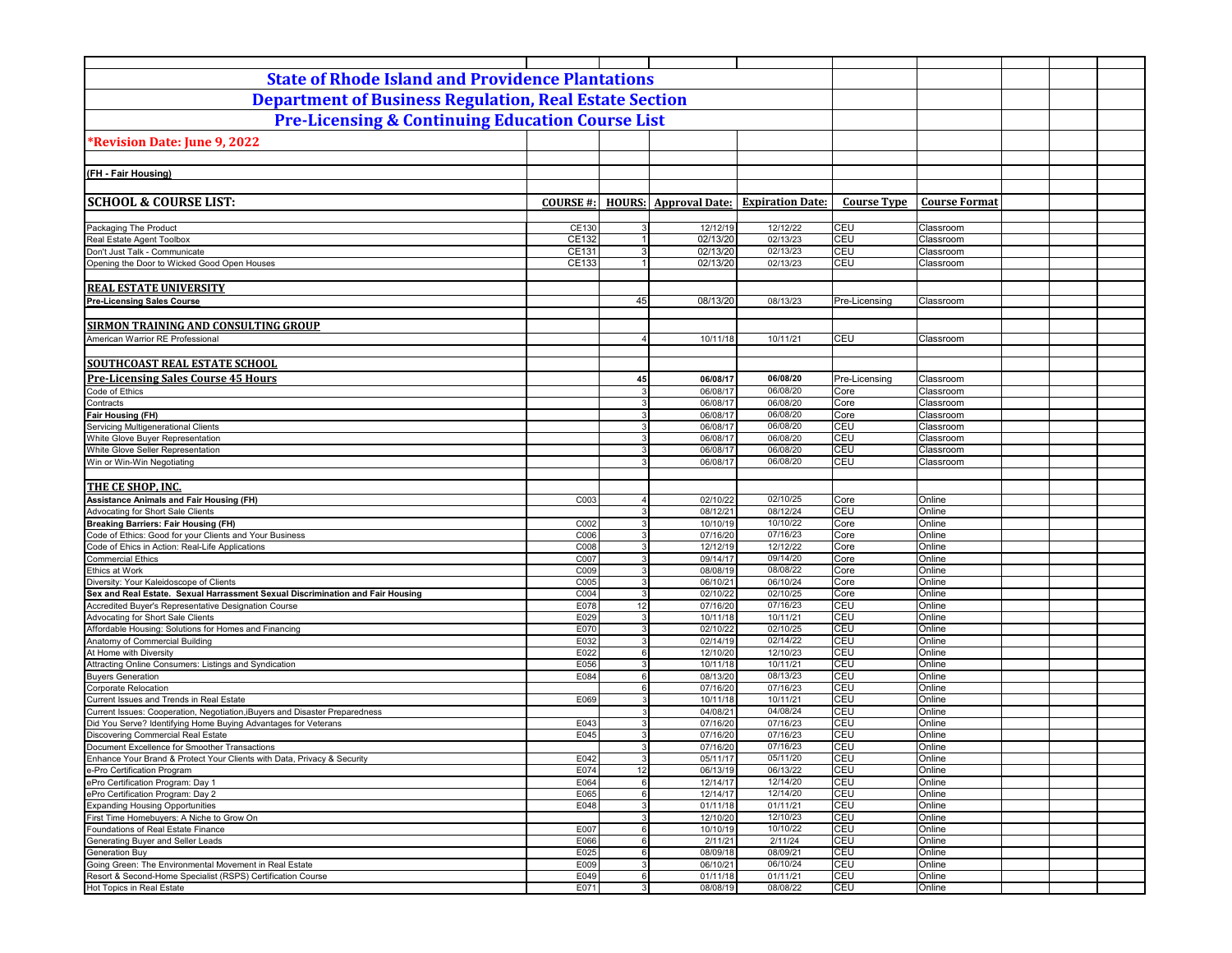| <b>State of Rhode Island and Providence Plantations</b>                                                    |                 |                       |                              |                         |                    |                        |  |
|------------------------------------------------------------------------------------------------------------|-----------------|-----------------------|------------------------------|-------------------------|--------------------|------------------------|--|
| <b>Department of Business Regulation, Real Estate Section</b>                                              |                 |                       |                              |                         |                    |                        |  |
|                                                                                                            |                 |                       |                              |                         |                    |                        |  |
| <b>Pre-Licensing &amp; Continuing Education Course List</b>                                                |                 |                       |                              |                         |                    |                        |  |
| Revision Date: June 9, 2022 <sup>*</sup>                                                                   |                 |                       |                              |                         |                    |                        |  |
|                                                                                                            |                 |                       |                              |                         |                    |                        |  |
| (FH - Fair Housing)                                                                                        |                 |                       |                              |                         |                    |                        |  |
|                                                                                                            |                 |                       |                              |                         |                    |                        |  |
| <b>SCHOOL &amp; COURSE LIST:</b>                                                                           | <b>COURSE#:</b> |                       | <b>HOURS:</b> Approval Date: | <b>Expiration Date:</b> | <b>Course Type</b> | <b>Course Format</b>   |  |
|                                                                                                            |                 |                       |                              |                         |                    |                        |  |
| Packaging The Product                                                                                      | CE130           | 3                     | 12/12/19                     | 12/12/22                | <b>CEU</b>         | Classroom              |  |
| Real Estate Agent Toolbox                                                                                  | CE132<br>CE131  | 1<br>3 <sup>1</sup>   | 02/13/20                     | 02/13/23<br>02/13/23    | CEU<br><b>CEU</b>  | Classroom<br>Classroom |  |
| Don't Just Talk - Communicate<br>Opening the Door to Wicked Good Open Houses                               | CE133           | 1                     | 02/13/20<br>02/13/20         | 02/13/23                | <b>CEU</b>         | Classroom              |  |
|                                                                                                            |                 |                       |                              |                         |                    |                        |  |
| <b>REAL ESTATE UNIVERSITY</b>                                                                              |                 |                       |                              |                         |                    |                        |  |
| <b>Pre-Licensing Sales Course</b>                                                                          |                 | 45                    | 08/13/20                     | 08/13/23                | Pre-Licensing      | Classroom              |  |
|                                                                                                            |                 |                       |                              |                         |                    |                        |  |
| <b>SIRMON TRAINING AND CONSULTING GROUP</b>                                                                |                 |                       |                              |                         |                    |                        |  |
| American Warrior RE Professional                                                                           |                 | $\overline{4}$        | 10/11/18                     | 10/11/21                | CEU                | Classroom              |  |
| <b>SOUTHCOAST REAL ESTATE SCHOOL</b>                                                                       |                 |                       |                              |                         |                    |                        |  |
| <b>Pre-Licensing Sales Course 45 Hours</b>                                                                 |                 | 45                    | 06/08/17                     | 06/08/20                | Pre-Licensing      | Classroom              |  |
| Code of Ethics                                                                                             |                 | 3                     | 06/08/17                     | 06/08/20                | Core               | Classroom              |  |
| Contracts                                                                                                  |                 | 3                     | 06/08/17                     | 06/08/20                | Core               | Classroom              |  |
| Fair Housing (FH)                                                                                          |                 | $\mathbf{3}$          | 06/08/17                     | 06/08/20                | Core               | Classroom              |  |
| Servicing Multigenerational Clients                                                                        |                 | 3 <sup>1</sup>        | 06/08/17                     | 06/08/20                | CEU                | Classroom              |  |
| White Glove Buyer Representation                                                                           |                 | $\mathbf{3}$          | 06/08/17                     | 06/08/20                | CEU                | Classroom              |  |
| White Glove Seller Representation<br>Win or Win-Win Negotiating                                            |                 | 3<br>3                | 06/08/17<br>06/08/17         | 06/08/20<br>06/08/20    | CEU<br><b>CEU</b>  | Classroom<br>Classroom |  |
|                                                                                                            |                 |                       |                              |                         |                    |                        |  |
| <b>THE CE SHOP, INC.</b>                                                                                   |                 |                       |                              |                         |                    |                        |  |
| Assistance Animals and Fair Housing (FH)                                                                   | C003            | $\overline{4}$        | 02/10/22                     | 02/10/25                | Core               | Online                 |  |
| Advocating for Short Sale Clients                                                                          |                 | $\mathbf{3}$          | 08/12/21                     | 08/12/24                | CEU                | Online                 |  |
| <b>Breaking Barriers: Fair Housing (FH)</b>                                                                | C002            | $\overline{3}$        | 10/10/19                     | 10/10/22                | Core               | Online                 |  |
| Code of Ethics: Good for your Clients and Your Business<br>Code of Ehics in Action: Real-Life Applications | C006<br>C008    | $\mathbf{3}$<br>3     | 07/16/20<br>12/12/19         | 07/16/23<br>12/12/22    | Core<br>Core       | Online<br>Online       |  |
| <b>Commercial Ethics</b>                                                                                   | C007            | 3 <sup>1</sup>        | 09/14/17                     | 09/14/20                | Core               | Online                 |  |
| Ethics at Work                                                                                             | C009            | 3                     | 08/08/19                     | 08/08/22                | Core               | Online                 |  |
| Diversity: Your Kaleidoscope of Clients                                                                    | C005            | $\overline{3}$        | 06/10/21                     | 06/10/24                | Core               | Online                 |  |
| Sex and Real Estate. Sexual Harrassment Sexual Discrimination and Fair Housing                             | C004            | 3                     | 02/10/22                     | 02/10/25                | Core               | Online                 |  |
| Accredited Buyer's Representative Designation Course                                                       | E078            | 12                    | 07/16/20                     | 07/16/23<br>10/11/21    | CEU<br>CEU         | Online                 |  |
| Advocating for Short Sale Clients<br>Affordable Housing: Solutions for Homes and Financing                 | E029<br>E070    | 3<br>$\mathbf{3}$     | 10/11/18<br>02/10/22         | 02/10/25                | CEU                | Online<br>Online       |  |
| Anatomy of Commercial Building                                                                             | E032            | 3                     | 02/14/19                     | 02/14/22                | CEU                | Online                 |  |
| At Home with Diversity                                                                                     | E022            | 6                     | 12/10/20                     | 12/10/23                | CEU                | Online                 |  |
| Attracting Online Consumers: Listings and Syndication                                                      | E056            | 3                     | 10/11/18                     | 10/11/21                | CEU                | Online                 |  |
| <b>Buyers Generation</b>                                                                                   | E084            | 6                     | 08/13/20                     | 08/13/23                | CEU                | Online                 |  |
| Corporate Relocation<br>Current Issues and Trends in Real Estate                                           | E069            | $6 \overline{6}$<br>3 | 07/16/20<br>10/11/18         | 07/16/23<br>10/11/21    | CEU<br>CEU         | Online<br>Online       |  |
| Current Issues: Cooperation, Negotiation, iBuyers and Disaster Preparedness                                |                 | 3                     | 04/08/21                     | 04/08/24                | CEU                | Online                 |  |
| Did You Serve? Identifying Home Buying Advantages for Veterans                                             | E043            | 3                     | 07/16/20                     | 07/16/23                | CEU                | Online                 |  |
| Discovering Commercial Real Estate                                                                         | E045            | 3                     | 07/16/20                     | 07/16/23                | CEU                | Online                 |  |
| Document Excellence for Smoother Transactions                                                              |                 | 3                     | 07/16/20                     | 07/16/23                | CEU                | Online                 |  |
| Enhance Your Brand & Protect Your Clients with Data, Privacy & Security                                    | E042            | 3                     | 05/11/17                     | 05/11/20                | <b>CEU</b>         | Online                 |  |
| e-Pro Certification Program<br>ePro Certification Program: Day 1                                           | E074<br>E064    | 12<br>$6 \mid$        | 06/13/19<br>12/14/17         | 06/13/22<br>12/14/20    | <b>CEU</b><br>CEU  | Online<br>Online       |  |
| ePro Certification Program: Day 2                                                                          | E065            | $6 \overline{6}$      | 12/14/17                     | 12/14/20                | CEU                | Online                 |  |
| <b>Expanding Housing Opportunities</b>                                                                     | E048            | $\mathbf{3}$          | 01/11/18                     | 01/11/21                | CEU                | Online                 |  |
| First Time Homebuyers: A Niche to Grow On                                                                  |                 | $\overline{3}$        | 12/10/20                     | 12/10/23                | CEU                | Online                 |  |
| Foundations of Real Estate Finance                                                                         | E007            | 6                     | 10/10/19                     | 10/10/22                | CEU                | Online                 |  |
| Generating Buyer and Seller Leads                                                                          | E066            | 6                     | 2/11/21                      | 2/11/24                 | CEU                | Online                 |  |
| <b>Generation Buy</b><br>Going Green: The Environmental Movement in Real Estate                            | E025<br>E009    | $6 \overline{6}$<br>3 | 08/09/18<br>06/10/21         | 08/09/21<br>06/10/24    | CEU<br><b>CEU</b>  | Online<br>Online       |  |
| Resort & Second-Home Specialist (RSPS) Certification Course                                                | E049            | $6 \mid$              | 01/11/18                     | 01/11/21                | <b>CEU</b>         | Online                 |  |
| Hot Topics in Real Estate                                                                                  | E071            | 3 <sup>1</sup>        | 08/08/19                     | 08/08/22                | CEU                | Online                 |  |
|                                                                                                            |                 |                       |                              |                         |                    |                        |  |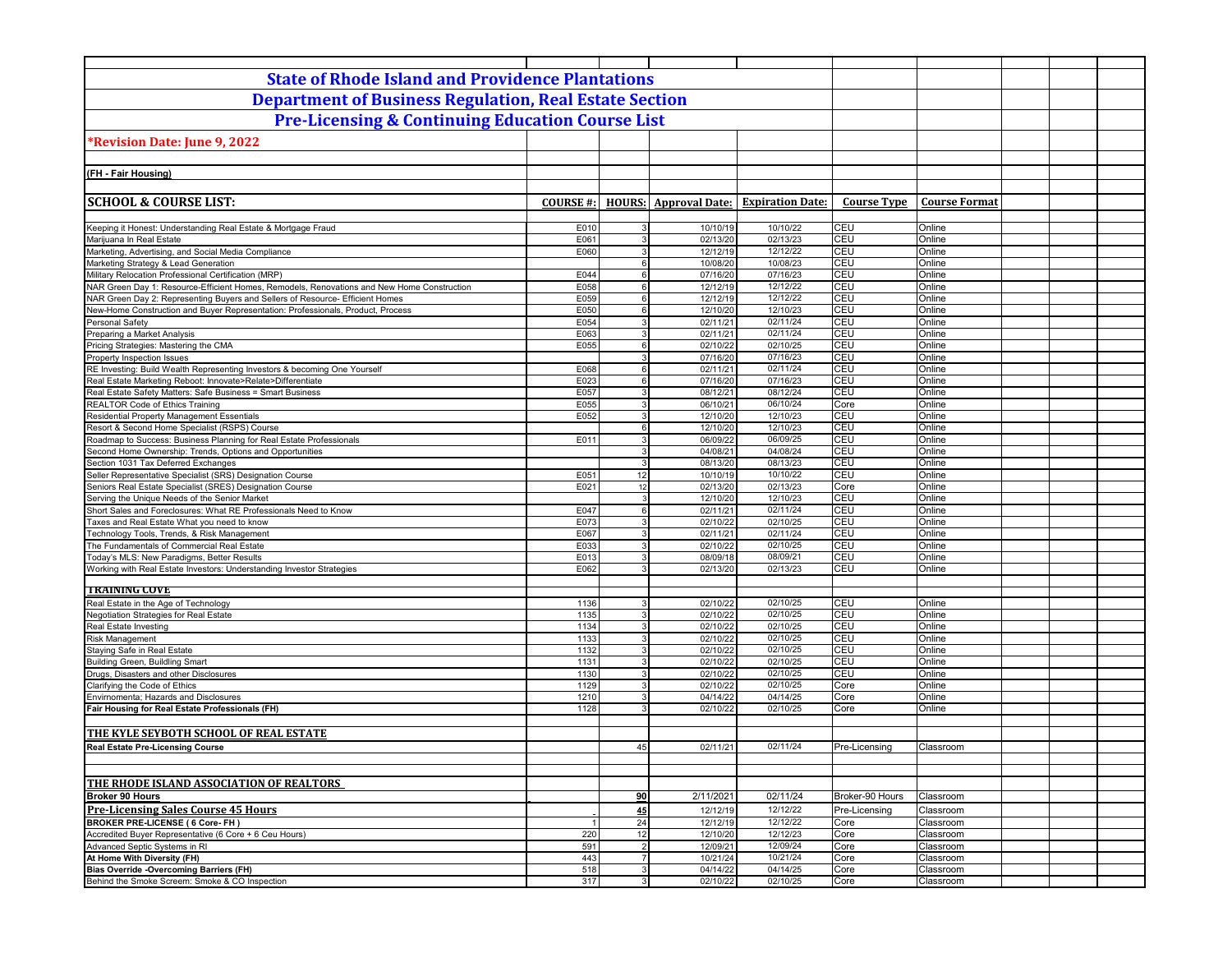| <b>State of Rhode Island and Providence Plantations</b>                                                                                            |                  |                       |                              |                                   |                    |                        |  |
|----------------------------------------------------------------------------------------------------------------------------------------------------|------------------|-----------------------|------------------------------|-----------------------------------|--------------------|------------------------|--|
| <b>Department of Business Regulation, Real Estate Section</b>                                                                                      |                  |                       |                              |                                   |                    |                        |  |
| <b>Pre-Licensing &amp; Continuing Education Course List</b>                                                                                        |                  |                       |                              |                                   |                    |                        |  |
|                                                                                                                                                    |                  |                       |                              |                                   |                    |                        |  |
| Revision Date: June 9, 2022*                                                                                                                       |                  |                       |                              |                                   |                    |                        |  |
|                                                                                                                                                    |                  |                       |                              |                                   |                    |                        |  |
| (FH - Fair Housing)                                                                                                                                |                  |                       |                              |                                   |                    |                        |  |
|                                                                                                                                                    |                  |                       |                              |                                   |                    |                        |  |
| <b>SCHOOL &amp; COURSE LIST:</b>                                                                                                                   | <b>COURSE #:</b> |                       | <b>HOURS:</b> Approval Date: | <b>Expiration Date:</b>           | <b>Course Type</b> | <b>Course Format</b>   |  |
| Keeping it Honest: Understanding Real Estate & Mortgage Fraud                                                                                      | E010             | 3                     | 10/10/19                     | 10/10/22                          | <b>CEU</b>         | Online                 |  |
| Marijuana In Real Estate                                                                                                                           | E061             | 3                     | 02/13/20                     | 02/13/23                          | CEU                | Online                 |  |
| Marketing, Advertising, and Social Media Compliance                                                                                                | E060             | 3                     | 12/12/19                     | 12/12/22                          | CEU                | Online                 |  |
| Marketing Strategy & Lead Generation                                                                                                               |                  | $6 \overline{6}$      | 10/08/20                     | 10/08/23                          | CEU                | Online                 |  |
| Military Relocation Professional Certification (MRP)<br>NAR Green Day 1: Resource-Efficient Homes, Remodels, Renovations and New Home Construction | E044<br>E058     | 6<br>$6 \overline{6}$ | 07/16/20<br>12/12/19         | $\overline{07/16/23}$<br>12/12/22 | CEU<br>CEU         | Online<br>Online       |  |
| NAR Green Day 2: Representing Buyers and Sellers of Resource- Efficient Homes                                                                      | E059             | 6                     | 12/12/19                     | 12/12/22                          | CEU                | Online                 |  |
| New-Home Construction and Buyer Representation: Professionals, Product, Process                                                                    | E050             | 6                     | 12/10/20                     | 12/10/23                          | CEU                | Online                 |  |
| <b>Personal Safety</b>                                                                                                                             | E054             | 3                     | 02/11/21                     | 02/11/24                          | CEU                | Online                 |  |
| Preparing a Market Analysis                                                                                                                        | E063             | 3 <sup>1</sup>        | 02/11/21                     | 02/11/24                          | CEU                | Online                 |  |
| Pricing Strategies: Mastering the CMA                                                                                                              | E055             | 6                     | 02/10/22                     | 02/10/25                          | CEU                | Online                 |  |
| Property Inspection Issues<br>RE Investing: Build Wealth Representing Investors & becoming One Yourself                                            | E068             | 3<br>6                | 07/16/20<br>02/11/21         | 07/16/23<br>02/11/24              | CEU<br>CEU         | Online<br>Online       |  |
| Real Estate Marketing Reboot: Innovate>Relate>Differentiate                                                                                        | E023             | $6 \overline{6}$      | 07/16/20                     | 07/16/23                          | CEU                | Online                 |  |
| Real Estate Safety Matters: Safe Business = Smart Business                                                                                         | E057             | 3                     | 08/12/21                     | 08/12/24                          | <b>CEU</b>         | Online                 |  |
| <b>REALTOR Code of Ethics Training</b>                                                                                                             | E055             | $\mathbf{3}$          | 06/10/21                     | 06/10/24                          | Core               | Online                 |  |
| Residential Property Management Essentials                                                                                                         | E052             | 3                     | 12/10/20                     | 12/10/23                          | CEU                | Online                 |  |
| Resort & Second Home Specialist (RSPS) Course                                                                                                      |                  | $6 \overline{6}$      | 12/10/20                     | 12/10/23                          | CEU                | Online                 |  |
| Roadmap to Success: Business Planning for Real Estate Professionals<br>Second Home Ownership: Trends, Options and Opportunities                    | E011             | 3<br>3                | 06/09/22<br>04/08/21         | 06/09/25<br>04/08/24              | CEU<br>CEU         | Online<br>Online       |  |
| Section 1031 Tax Deferred Exchanges                                                                                                                |                  | 3                     | 08/13/20                     | 08/13/23                          | CEU                | Online                 |  |
| Seller Representative Specialist (SRS) Designation Course                                                                                          | E051             | 12                    | 10/10/19                     | 10/10/22                          | <b>CEU</b>         | Online                 |  |
| Seniors Real Estate Specialist (SRES) Designation Course                                                                                           | E021             | 12                    | 02/13/20                     | 02/13/23                          | Core               | Online                 |  |
| Serving the Unique Needs of the Senior Market                                                                                                      |                  | 3                     | 12/10/20                     | 12/10/23                          | CEU                | Online                 |  |
| Short Sales and Foreclosures: What RE Professionals Need to Know                                                                                   | E047             | $6 \overline{6}$      | 02/11/21                     | 02/11/24                          | CEU                | Online                 |  |
| Taxes and Real Estate What you need to know                                                                                                        | E073             | 3                     | 02/10/22                     | 02/10/25                          | CEU                | Online                 |  |
| Technology Tools, Trends, & Risk Management<br>The Fundamentals of Commercial Real Estate                                                          | E067<br>E033     | $\overline{3}$<br>3   | 02/11/21<br>02/10/22         | 02/11/24<br>02/10/25              | CEU<br>CEU         | Online<br>Online       |  |
| Today's MLS: New Paradigms, Better Results                                                                                                         | E013             | $\mathbf{3}$          | 08/09/18                     | 08/09/21                          | CEU                | Online                 |  |
| Working with Real Estate Investors: Understanding Investor Strategies                                                                              | E062             | 3                     | 02/13/20                     | 02/13/23                          | CEU                | Online                 |  |
|                                                                                                                                                    |                  |                       |                              |                                   |                    |                        |  |
| <b>TRAINING COVE</b>                                                                                                                               |                  |                       |                              |                                   |                    |                        |  |
| Real Estate in the Age of Technology                                                                                                               | 1136<br>1135     | 3<br>$\mathbf{3}$     | 02/10/22                     | 02/10/25                          | CEU<br><b>CEU</b>  | Online<br>Online       |  |
| Negotiation Strategies for Real Estate<br>Real Estate Investing                                                                                    | 1134             | 3                     | 02/10/22<br>02/10/22         | 02/10/25<br>02/10/25              | CEU                | Online                 |  |
| <b>Risk Management</b>                                                                                                                             | 1133             | 3                     | 02/10/22                     | 02/10/25                          | CEU                | Online                 |  |
| Staying Safe in Real Estate                                                                                                                        | 1132             | 3 <sup>1</sup>        | 02/10/22                     | 02/10/25                          | CEU                | Online                 |  |
| <b>Building Green, Buildling Smart</b>                                                                                                             | 1131             | $\mathbf{3}$          | 02/10/22                     | 02/10/25                          | CEU                | Online                 |  |
| Drugs, Disasters and other Disclosures                                                                                                             | 1130             | 3                     | 02/10/22                     | 02/10/25                          | CEU                | Online                 |  |
| Clarifying the Code of Ethics                                                                                                                      | 1129             | 3                     | 02/10/22                     | 02/10/25                          | Core               | Online                 |  |
| Envirnomenta; Hazards and Disclosures                                                                                                              | 1210             | 3<br>3                | 04/14/22                     | 04/14/25<br>02/10/25              | Core               | Online                 |  |
| Fair Housing for Real Estate Professionals (FH)                                                                                                    | 1128             |                       | 02/10/22                     |                                   | Core               | Online                 |  |
| THE KYLE SEYBOTH SCHOOL OF REAL ESTATE                                                                                                             |                  |                       |                              |                                   |                    |                        |  |
| <b>Real Estate Pre-Licensing Course</b>                                                                                                            |                  | 45                    | 02/11/21                     | 02/11/24                          | Pre-Licensing      | Classroom              |  |
|                                                                                                                                                    |                  |                       |                              |                                   |                    |                        |  |
|                                                                                                                                                    |                  |                       |                              |                                   |                    |                        |  |
| THE RHODE ISLAND ASSOCIATION OF REALTORS                                                                                                           |                  |                       |                              |                                   |                    |                        |  |
| <b>Broker 90 Hours</b>                                                                                                                             |                  | 90                    | 2/11/2021                    | 02/11/24                          | Broker-90 Hours    | Classroom              |  |
| <b>Pre-Licensing Sales Course 45 Hours</b>                                                                                                         |                  | 45                    | 12/12/19                     | 12/12/22                          | Pre-Licensing      | Classroom              |  |
| <b>BROKER PRE-LICENSE (6 Core-FH)</b>                                                                                                              | $\overline{1}$   | 24                    | 12/12/19                     | 12/12/22                          | Core               | Classroom              |  |
| Accredited Buyer Representative (6 Core + 6 Ceu Hours)                                                                                             | 220              | 12                    | 12/10/20                     | 12/12/23                          | Core               | Classroom              |  |
| Advanced Septic Systems in RI<br>At Home With Diversity (FH)                                                                                       | 591<br>443       | 2<br>$\overline{7}$   | 12/09/21<br>10/21/24         | 12/09/24<br>10/21/24              | Core<br>Core       | Classroom<br>Classroom |  |
| <b>Bias Override -Overcoming Barriers (FH)</b>                                                                                                     | 518              | $\overline{3}$        | 04/14/22                     | 04/14/25                          | Core               | Classroom              |  |
| Behind the Smoke Screem: Smoke & CO Inspection                                                                                                     | 317              | 3 <sup>1</sup>        | 02/10/22                     | 02/10/25                          | Core               | Classroom              |  |
|                                                                                                                                                    |                  |                       |                              |                                   |                    |                        |  |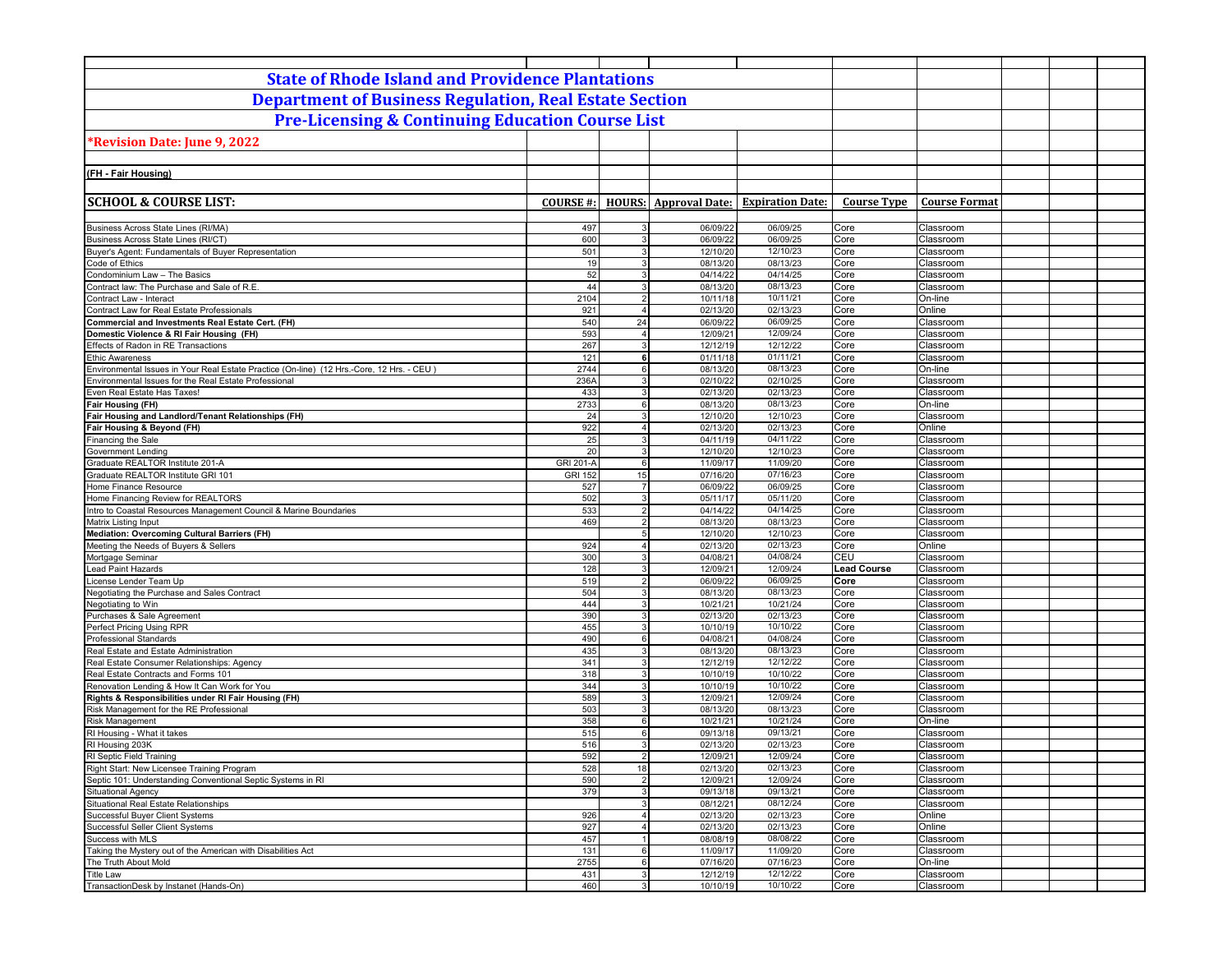| <b>State of Rhode Island and Providence Plantations</b>                                                            |                                    |                                |                              |                         |                    |                        |  |
|--------------------------------------------------------------------------------------------------------------------|------------------------------------|--------------------------------|------------------------------|-------------------------|--------------------|------------------------|--|
| <b>Department of Business Regulation, Real Estate Section</b>                                                      |                                    |                                |                              |                         |                    |                        |  |
| <b>Pre-Licensing &amp; Continuing Education Course List</b>                                                        |                                    |                                |                              |                         |                    |                        |  |
| Revision Date: June 9, 2022*                                                                                       |                                    |                                |                              |                         |                    |                        |  |
|                                                                                                                    |                                    |                                |                              |                         |                    |                        |  |
| (FH - Fair Housing)                                                                                                |                                    |                                |                              |                         |                    |                        |  |
|                                                                                                                    |                                    |                                |                              |                         |                    |                        |  |
| <b>SCHOOL &amp; COURSE LIST:</b>                                                                                   | <b>COURSE #:</b>                   |                                | <b>HOURS:</b> Approval Date: | <b>Expiration Date:</b> | <b>Course Type</b> | <b>Course Format</b>   |  |
|                                                                                                                    |                                    |                                |                              |                         |                    |                        |  |
| Business Across State Lines (RI/MA)                                                                                | 497                                | 3                              | 06/09/22                     | 06/09/25<br>06/09/25    | Core               | Classroom              |  |
| Business Across State Lines (RI/CT)<br>Buyer's Agent: Fundamentals of Buyer Representation                         | 600<br>501                         | 3<br>3                         | 06/09/22<br>12/10/20         | 12/10/23                | Core<br>Core       | Classroom<br>Classroom |  |
| Code of Ethics                                                                                                     | 19                                 | $\overline{3}$                 | 08/13/20                     | 08/13/23                | Core               | Classroom              |  |
| Condominium Law - The Basics                                                                                       | 52                                 | 3                              | 04/14/22                     | 04/14/25                | Core               | Classroom              |  |
| Contract law: The Purchase and Sale of R.E.                                                                        | 44                                 | $\mathbf{3}$                   | 08/13/20                     | 08/13/23                | Core               | Classroom              |  |
| Contract Law - Interact                                                                                            | 2104                               | $\overline{2}$                 | 10/11/18                     | 10/11/21                | Core               | On-line                |  |
| Contract Law for Real Estate Professionals                                                                         | 921                                | $\overline{4}$                 | 02/13/20                     | 02/13/23                | Core               | Online                 |  |
| Commercial and Investments Real Estate Cert. (FH)                                                                  | 540                                | 24                             | 06/09/22                     | 06/09/25                | Core               | Classroom              |  |
| Domestic Violence & RI Fair Housing (FH)                                                                           | 593                                | $\overline{4}$                 | 12/09/21                     | 12/09/24                | Core               | Classroom              |  |
| Effects of Radon in RE Transactions                                                                                | 267                                | 3<br>6                         | 12/12/19                     | 12/12/22                | Core               | Classroom              |  |
| <b>Ethic Awareness</b><br>Environmental Issues in Your Real Estate Practice (On-line) (12 Hrs.-Core, 12 Hrs. - CEU | 121<br>2744                        | 6                              | 01/11/18<br>08/13/20         | 01/11/21<br>08/13/23    | Core<br>Core       | Classroom<br>On-line   |  |
| Environmental Issues for the Real Estate Professional                                                              | 236A                               | $\overline{3}$                 | 02/10/22                     | 02/10/25                | Core               | Classroom              |  |
| Even Real Estate Has Taxes!                                                                                        | 433                                | 3                              | 02/13/20                     | 02/13/23                | Core               | Classroom              |  |
| Fair Housing (FH)                                                                                                  | 2733                               | $6 \overline{6}$               | 08/13/20                     | 08/13/23                | Core               | On-line                |  |
| Fair Housing and Landlord/Tenant Relationships (FH)                                                                | 24                                 | 3                              | 12/10/20                     | 12/10/23                | Core               | Classroom              |  |
| Fair Housing & Beyond (FH)                                                                                         | 922                                | $\overline{4}$                 | 02/13/20                     | 02/13/23                | Core               | Online                 |  |
| Financing the Sale                                                                                                 | 25                                 | 3                              | 04/11/19                     | 04/11/22                | Core               | Classroom              |  |
| Government Lending                                                                                                 | 20                                 | 3                              | 12/10/20                     | 12/10/23                | Core               | Classroom              |  |
| Graduate REALTOR Institute 201-A<br>Graduate REALTOR Institute GRI 101                                             | <b>GRI 201-A</b><br><b>GRI 152</b> | $6 \overline{6}$<br>15         | 11/09/17<br>07/16/20         | 11/09/20<br>07/16/23    | Core<br>Core       | Classroom<br>Classroom |  |
| Home Finance Resource                                                                                              | 527                                | $\overline{7}$                 | 06/09/22                     | 06/09/25                | Core               | Classroom              |  |
| Home Financing Review for REALTORS                                                                                 | 502                                | $\mathbf{3}$                   | 05/11/17                     | 05/11/20                | Core               | Classroom              |  |
| Intro to Coastal Resources Management Council & Marine Boundaries                                                  | 533                                | $\overline{2}$                 | 04/14/22                     | 04/14/25                | Core               | Classroom              |  |
| Matrix Listing Input                                                                                               | 469                                | $\overline{2}$                 | 08/13/20                     | 08/13/23                | Core               | Classroom              |  |
| Mediation: Overcoming Cultural Barriers (FH)                                                                       |                                    | 5 <sub>5</sub>                 | 12/10/20                     | 12/10/23                | Core               | Classroom              |  |
| Meeting the Needs of Buyers & Sellers                                                                              | 924                                | $\overline{4}$                 | 02/13/20                     | 02/13/23                | Core               | Online                 |  |
| Mortgage Seminar                                                                                                   | 300                                | $\mathbf{3}$                   | 04/08/21                     | 04/08/24                | CEU                | Classroom              |  |
| <b>Lead Paint Hazards</b>                                                                                          | 128                                | $\mathbf{3}$                   | 12/09/21                     | 12/09/24                | <b>Lead Course</b> | Classroom              |  |
| icense Lender Team Up                                                                                              | 519<br>504                         | $2 \vert$<br>$\overline{3}$    | 06/09/22<br>08/13/20         | 06/09/25<br>08/13/23    | Core<br>Core       | Classroom<br>Classroom |  |
| Negotiating the Purchase and Sales Contract<br>Negotiating to Win                                                  | 444                                | $\overline{3}$                 | 10/21/21                     | 10/21/24                | Core               | Classroom              |  |
| Purchases & Sale Agreement                                                                                         | 390                                | 3                              | 02/13/20                     | 02/13/23                | Core               | Classroom              |  |
| Perfect Pricing Using RPR                                                                                          | 455                                | $\overline{3}$                 | 10/10/19                     | 10/10/22                | Core               | Classroom              |  |
| Professional Standards                                                                                             | 490                                | 6                              | 04/08/21                     | 04/08/24                | Core               | Classroom              |  |
| Real Estate and Estate Administration                                                                              | 435                                | $\mathbf{3}$                   | 08/13/20                     | 08/13/23                | Core               | Classroom              |  |
| Real Estate Consumer Relationships: Agency                                                                         | 341                                | 3                              | 12/12/19                     | 12/12/22                | Core               | Classroom              |  |
| Real Estate Contracts and Forms 101                                                                                | 318                                | $\mathbf{3}$                   | 10/10/19                     | 10/10/22                | Core               | Classroom              |  |
| Renovation Lending & How It Can Work for You                                                                       | 344<br>589                         | 3<br>$\mathbf{3}$              | 10/10/19                     | 10/10/22                | Core<br>Core       | Classroom<br>Classroom |  |
| Rights & Responsibilities under RI Fair Housing (FH)<br>Risk Management for the RE Professional                    | 503                                | 3                              | 12/09/21<br>08/13/20         | 12/09/24<br>08/13/23    | Core               | Classroom              |  |
| <b>Risk Management</b>                                                                                             | 358                                | $6 \mid$                       | 10/21/21                     | 10/21/24                | Core               | On-line                |  |
| RI Housing - What it takes                                                                                         | 515                                | 6                              | 09/13/18                     | 09/13/21                | Core               | Classroom              |  |
| RI Housing 203K                                                                                                    | 516                                | $\overline{3}$                 | 02/13/20                     | 02/13/23                | Core               | Classroom              |  |
| RI Septic Field Training                                                                                           | 592                                |                                | 12/09/21                     | 12/09/24                | Core               | Classroom              |  |
| Right Start: New Licensee Training Program                                                                         | 528                                | 18                             | 02/13/20                     | 02/13/23                | Core               | Classroom              |  |
| Septic 101: Understanding Conventional Septic Systems in RI                                                        | 590                                | $\overline{2}$                 | 12/09/21                     | 12/09/24                | Core               | Classroom              |  |
| Situational Agency                                                                                                 | 379                                | $\overline{3}$                 | 09/13/18                     | 09/13/21                | Core               | Classroom              |  |
| Situational Real Estate Relationships<br><b>Successful Buyer Client Systems</b>                                    | 926                                | $\mathbf{3}$<br>$\overline{4}$ | 08/12/21<br>02/13/20         | 08/12/24<br>02/13/23    | Core<br>Core       | Classroom<br>Online    |  |
| Successful Seller Client Systems                                                                                   | 927                                | $\overline{4}$                 | 02/13/20                     | 02/13/23                | Core               | Online                 |  |
| Success with MLS                                                                                                   | 457                                | $\overline{1}$                 | 08/08/19                     | 08/08/22                | Core               | Classroom              |  |
| Taking the Mystery out of the American with Disabilities Act                                                       | 131                                | 6                              | 11/09/17                     | 11/09/20                | Core               | Classroom              |  |
| The Truth About Mold                                                                                               | 2755                               | $6 \overline{6}$               | 07/16/20                     | 07/16/23                | Core               | On-line                |  |
| <b>Title Law</b>                                                                                                   | 431                                | 3                              | 12/12/19                     | 12/12/22                | Core               | Classroom              |  |
| TransactionDesk by Instanet (Hands-On)                                                                             | 460                                | 3                              | 10/10/19                     | 10/10/22                | Core               | Classroom              |  |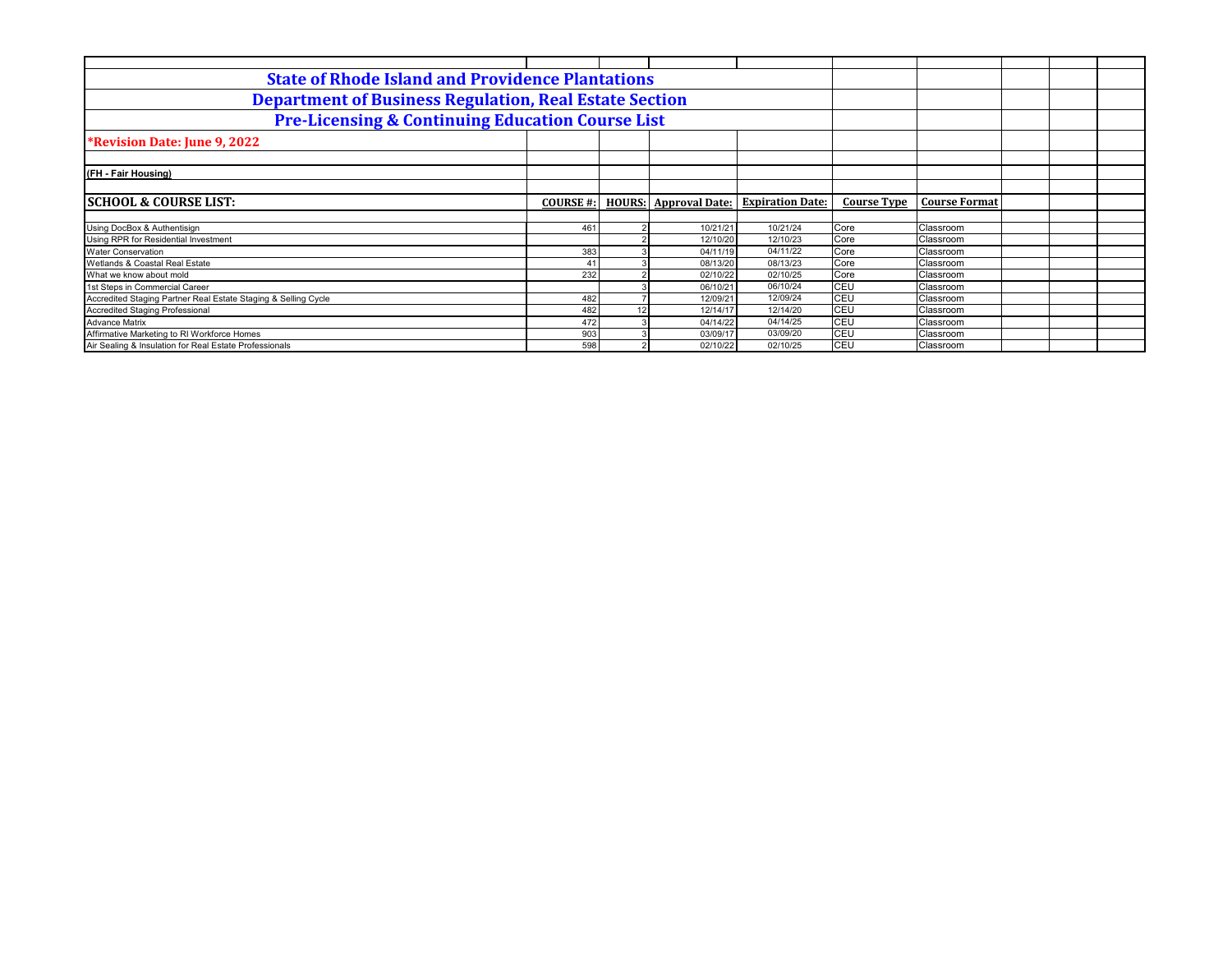| <b>State of Rhode Island and Providence Plantations</b>        |                  |               |                       |                         |                    |                      |  |
|----------------------------------------------------------------|------------------|---------------|-----------------------|-------------------------|--------------------|----------------------|--|
| <b>Department of Business Regulation, Real Estate Section</b>  |                  |               |                       |                         |                    |                      |  |
| <b>Pre-Licensing &amp; Continuing Education Course List</b>    |                  |               |                       |                         |                    |                      |  |
| <b>*Revision Date: June 9, 2022</b>                            |                  |               |                       |                         |                    |                      |  |
|                                                                |                  |               |                       |                         |                    |                      |  |
| (FH - Fair Housing)                                            |                  |               |                       |                         |                    |                      |  |
|                                                                |                  |               |                       |                         |                    |                      |  |
| <b>SCHOOL &amp; COURSE LIST:</b>                               | <b>COURSE #:</b> | <b>HOURS:</b> | <b>Approval Date:</b> | <b>Expiration Date:</b> | <b>Course Type</b> | <b>Course Format</b> |  |
|                                                                |                  |               |                       |                         |                    |                      |  |
| Using DocBox & Authentisign                                    | 461              |               | 10/21/21              | 10/21/24                | Core               | Classroom            |  |
| Using RPR for Residential Investment                           |                  |               | 12/10/20              | 12/10/23                | Core               | Classroom            |  |
| <b>Water Conservation</b>                                      | 383              |               | 04/11/19              | 04/11/22                | Core               | Classroom            |  |
| Wetlands & Coastal Real Estate                                 | $\mathbf{A}$     |               | 08/13/20              | 08/13/23                | Core               | Classroom            |  |
| What we know about mold                                        | 232              |               | 02/10/22              | 02/10/25                | Core               | Classroom            |  |
| 1st Steps in Commercial Career                                 |                  |               | 06/10/21              | 06/10/24                | CEU                | Classroom            |  |
| Accredited Staging Partner Real Estate Staging & Selling Cycle | 482              |               | 12/09/21              | 12/09/24                | CEU                | Classroom            |  |
| <b>Accredited Staging Professional</b>                         | 482              |               | 12/14/17              | 12/14/20                | CEU                | Classroom            |  |
| <b>Advance Matrix</b>                                          | 472              |               | 04/14/22              | 04/14/25                | CEU                | Classroom            |  |
| Affirmative Marketing to RI Workforce Homes                    | 903              |               | 03/09/17              | 03/09/20                | CEU                | Classroom            |  |
| Air Sealing & Insulation for Real Estate Professionals         | 598              |               | 02/10/22              | 02/10/25                | CEU                | Classroom            |  |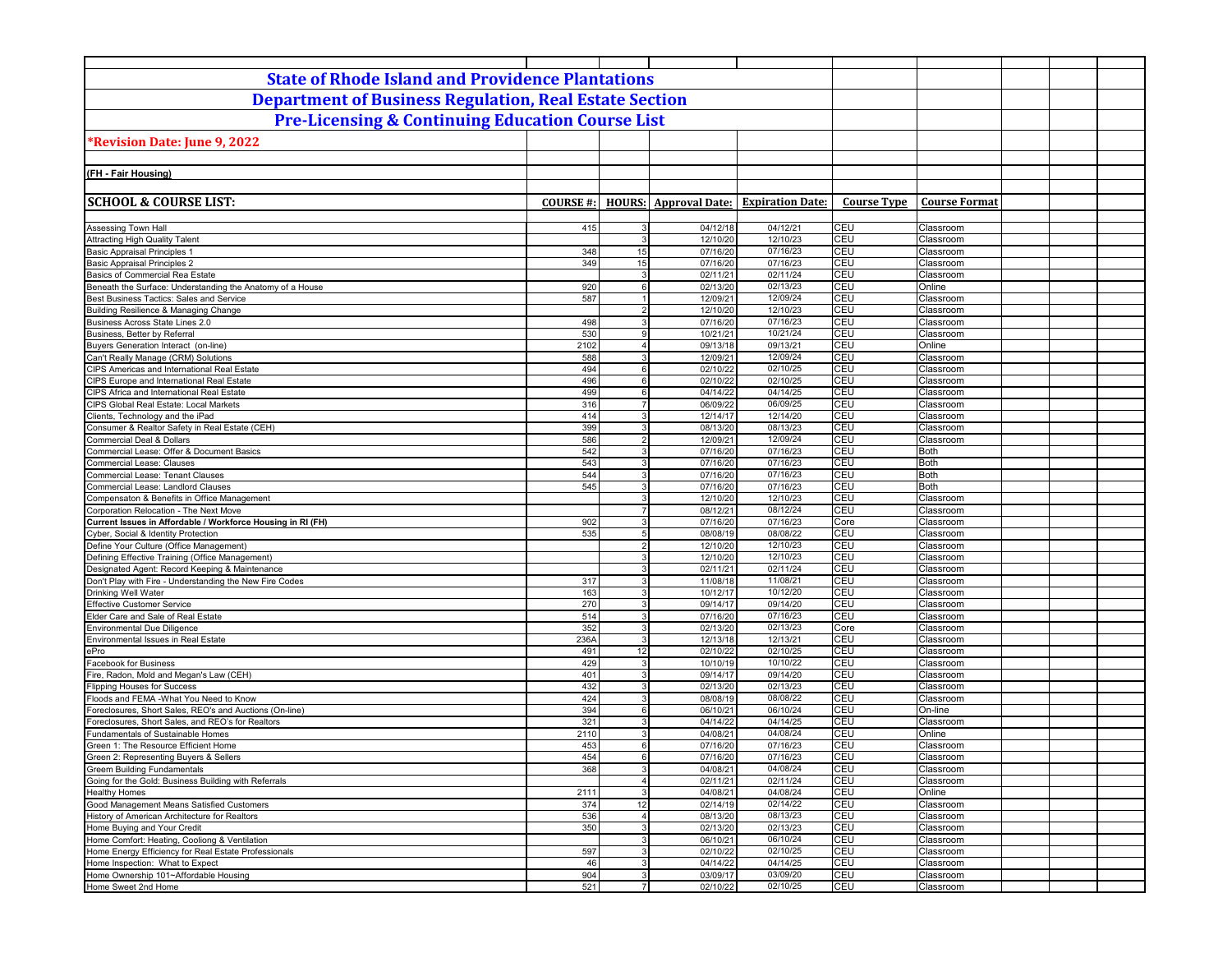| <b>State of Rhode Island and Providence Plantations</b>                                    |                  |                                  |                              |                         |                          |                        |  |  |
|--------------------------------------------------------------------------------------------|------------------|----------------------------------|------------------------------|-------------------------|--------------------------|------------------------|--|--|
| <b>Department of Business Regulation, Real Estate Section</b>                              |                  |                                  |                              |                         |                          |                        |  |  |
| <b>Pre-Licensing &amp; Continuing Education Course List</b>                                |                  |                                  |                              |                         |                          |                        |  |  |
|                                                                                            |                  |                                  |                              |                         |                          |                        |  |  |
| Revision Date: June 9, 2022                                                                |                  |                                  |                              |                         |                          |                        |  |  |
| (FH - Fair Housing)                                                                        |                  |                                  |                              |                         |                          |                        |  |  |
|                                                                                            |                  |                                  |                              |                         |                          |                        |  |  |
| <b>SCHOOL &amp; COURSE LIST:</b>                                                           | <b>COURSE #:</b> |                                  | <b>HOURS:</b> Approval Date: | <b>Expiration Date:</b> | <b>Course Type</b>       | <b>Course Format</b>   |  |  |
|                                                                                            |                  |                                  |                              |                         |                          |                        |  |  |
| Assessing Town Hall                                                                        | 415              | 3                                | 04/12/18                     | 04/12/21                | CEU                      | Classroom              |  |  |
| <b>Attracting High Quality Talent</b>                                                      |                  | 3                                | 12/10/20                     | 12/10/23                | CEU                      | Classroom              |  |  |
| <b>Basic Appraisal Principles 1</b><br><b>Basic Appraisal Principles 2</b>                 | 348<br>349       | 15<br>15                         | 07/16/20<br>07/16/20         | 07/16/23<br>07/16/23    | <b>CEU</b><br><b>CEU</b> | Classroom<br>Classroom |  |  |
| Basics of Commercial Rea Estate                                                            |                  | 3                                | 02/11/21                     | 02/11/24                | <b>CEU</b>               | Classroom              |  |  |
| Beneath the Surface: Understanding the Anatomy of a House                                  | 920              | $6 \overline{6}$                 | 02/13/20                     | 02/13/23                | CEU                      | Online                 |  |  |
| Best Business Tactics: Sales and Service                                                   | 587              | 1                                | 12/09/21                     | 12/09/24                | CEU                      | Classroom              |  |  |
| Building Resilience & Managing Change                                                      |                  | $\overline{2}$                   | 12/10/20                     | 12/10/23                | CEU                      | Classroom              |  |  |
| Business Across State Lines 2.0<br>Business, Better by Referral                            | 498<br>530       | 3<br>$\overline{9}$              | 07/16/20<br>10/21/21         | 07/16/23<br>10/21/24    | CEU<br>CEU               | Classroom<br>Classroom |  |  |
| Buyers Generation Interact (on-line)                                                       | 2102             | $\overline{4}$                   | 09/13/18                     | 09/13/21                | CEU                      | Online                 |  |  |
| Can't Really Manage (CRM) Solutions                                                        | 588              | 3                                | 12/09/21                     | 12/09/24                | <b>CEU</b>               | Classroom              |  |  |
| CIPS Americas and International Real Estate                                                | 494              | 6                                | 02/10/22                     | 02/10/25                | <b>CEU</b>               | Classroom              |  |  |
| CIPS Europe and International Real Estate                                                  | 496              | 6                                | 02/10/22                     | 02/10/25                | <b>CEU</b>               | Classroom              |  |  |
| CIPS Africa and International Real Estate                                                  | 499<br>316       | 6<br>$\overline{7}$              | 04/14/22<br>06/09/22         | 04/14/25<br>06/09/25    | CEU<br><b>CEU</b>        | Classroom<br>Classroom |  |  |
| CIPS Global Real Estate: Local Markets<br>Clients, Technology and the iPad                 | 414              | 3                                | 12/14/17                     | 12/14/20                | CEU                      | Classroom              |  |  |
| Consumer & Realtor Safety in Real Estate (CEH)                                             | 399              | 3                                | 08/13/20                     | 08/13/23                | CEU                      | Classroom              |  |  |
| Commercial Deal & Dollars                                                                  | 586              | $\overline{2}$                   | 12/09/21                     | 12/09/24                | CEU                      | Classroom              |  |  |
| Commercial Lease: Offer & Document Basics                                                  | 542              | 3                                | 07/16/20                     | 07/16/23                | CEU                      | Both                   |  |  |
| Commercial Lease: Clauses                                                                  | 543              | 3                                | 07/16/20                     | 07/16/23                | CEU                      | Both                   |  |  |
| Commercial Lease: Tenant Clauses<br>Commercial Lease: Landlord Clauses                     | 544<br>545       | $\overline{3}$<br>3 <sup>1</sup> | 07/16/20<br>07/16/20         | 07/16/23<br>07/16/23    | CEU<br>CEU               | Both<br><b>Both</b>    |  |  |
| Compensaton & Benefits in Office Management                                                |                  | 3                                | 12/10/20                     | 12/10/23                | CEU                      | Classroom              |  |  |
| Corporation Relocation - The Next Move                                                     |                  | $\overline{7}$                   | 08/12/21                     | 08/12/24                | CEU                      | Classroom              |  |  |
| Current Issues in Affordable / Workforce Housing in RI (FH)                                | 902              | 3                                | 07/16/20                     | 07/16/23                | Core                     | Classroom              |  |  |
| Cyber, Social & Identity Protection                                                        | 535              | 5                                | 08/08/19                     | 08/08/22                | <b>CEU</b>               | Classroom              |  |  |
| Define Your Culture (Office Management)<br>Defining Effective Training (Office Management) |                  | $\overline{a}$<br>$\overline{3}$ | 12/10/20                     | 12/10/23<br>12/10/23    | <b>CEU</b><br><b>CEU</b> | Classroom              |  |  |
| Designated Agent: Record Keeping & Maintenance                                             |                  | 3                                | 12/10/20<br>02/11/21         | 02/11/24                | CEU                      | Classroom<br>Classroom |  |  |
| Don't Play with Fire - Understanding the New Fire Codes                                    | 317              | $\mathbf{3}$                     | 11/08/18                     | 11/08/21                | <b>CEU</b>               | Classroom              |  |  |
| Drinking Well Water                                                                        | 163              | 3                                | 10/12/17                     | 10/12/20                | <b>CEU</b>               | Classroom              |  |  |
| <b>Effective Customer Service</b>                                                          | 270              | $\mathbf{3}$                     | 09/14/17                     | 09/14/20                | CEU                      | Classroom              |  |  |
| Elder Care and Sale of Real Estate                                                         | 514              | 3                                | 07/16/20                     | 07/16/23                | CEU                      | Classroom              |  |  |
| Environmental Due Diligence                                                                | 352<br>236A      | $\mathbf{3}$<br>3                | 02/13/20                     | 02/13/23<br>12/13/21    | Core<br>CEU              | Classroom<br>Classroom |  |  |
| Environmental Issues in Real Estate<br>ePro                                                | 491              | 12                               | 12/13/18<br>02/10/22         | 02/10/25                | CEU                      | Classroom              |  |  |
| Facebook for Business                                                                      | 429              | 3                                | 10/10/19                     | 10/10/22                | CEU                      | Classroom              |  |  |
| Fire, Radon, Mold and Megan's Law (CEH)                                                    | 401              | 3                                | 09/14/17                     | 09/14/20                | <b>CEU</b>               | Classroom              |  |  |
| <b>Flipping Houses for Success</b>                                                         | 432              | 3                                | 02/13/20                     | 02/13/23                | CEU                      | Classroom              |  |  |
| Floods and FEMA -What You Need to Know                                                     | 424              | 3                                | 08/08/19                     | 08/08/22                | CEU                      | Classroom              |  |  |
| Foreclosures, Short Sales, REO's and Auctions (On-line)                                    | 394              | $6 \overline{6}$<br>3            | 06/10/21                     | 06/10/24<br>04/14/25    | CEU                      | On-line                |  |  |
| Foreclosures, Short Sales, and REO's for Realtors<br>Fundamentals of Sustainable Homes     | 321<br>2110      | 3                                | 04/14/22<br>04/08/21         | 04/08/24                | CEU<br>CEU               | Classroom<br>Online    |  |  |
| Green 1: The Resource Efficient Home                                                       | 453              | 6                                | 07/16/20                     | 07/16/23                | <b>CEU</b>               | Classroom              |  |  |
| Green 2: Representing Buyers & Sellers                                                     | 454              | 6                                | 07/16/20                     | 07/16/23                | CEU                      | Classroom              |  |  |
| <b>Greem Building Fundamentals</b>                                                         | 368              | $\mathbf{3}$                     | 04/08/21                     | 04/08/24                | CEU                      | Classroom              |  |  |
| Going for the Gold: Business Building with Referrals                                       |                  | $\overline{4}$                   | 02/11/21                     | 02/11/24                | CEU                      | Classroom              |  |  |
| <b>Healthy Homes</b>                                                                       | 2111             | 3 <sup>1</sup>                   | 04/08/21                     | 04/08/24                | CEU                      | Online                 |  |  |
| Good Management Means Satisfied Customers<br>History of American Architecture for Realtors | 374<br>536       | 12<br>$\overline{4}$             | 02/14/19<br>08/13/20         | 02/14/22<br>08/13/23    | CEU<br>CEU               | Classroom<br>Classroom |  |  |
| Home Buying and Your Credit                                                                | 350              | $\mathbf{3}$                     | 02/13/20                     | 02/13/23                | CEU                      | Classroom              |  |  |
| Home Comfort: Heating, Cooliong & Ventilation                                              |                  | 3 <sup>1</sup>                   | 06/10/21                     | 06/10/24                | CEU                      | Classroom              |  |  |
| Home Energy Efficiency for Real Estate Professionals                                       | 597              | 3 <sup>1</sup>                   | 02/10/22                     | 02/10/25                | CEU                      | Classroom              |  |  |
| Home Inspection: What to Expect                                                            | 46               | 3 <sup>1</sup>                   | 04/14/22                     | 04/14/25                | CEU                      | Classroom              |  |  |
| Home Ownership 101~Affordable Housing                                                      | 904              | 3 <sup>1</sup>                   | 03/09/17                     | 03/09/20                | CEU                      | Classroom              |  |  |
| Home Sweet 2nd Home                                                                        | 521              | 7 <sup>1</sup>                   | 02/10/22                     | 02/10/25                | CEU                      | Classroom              |  |  |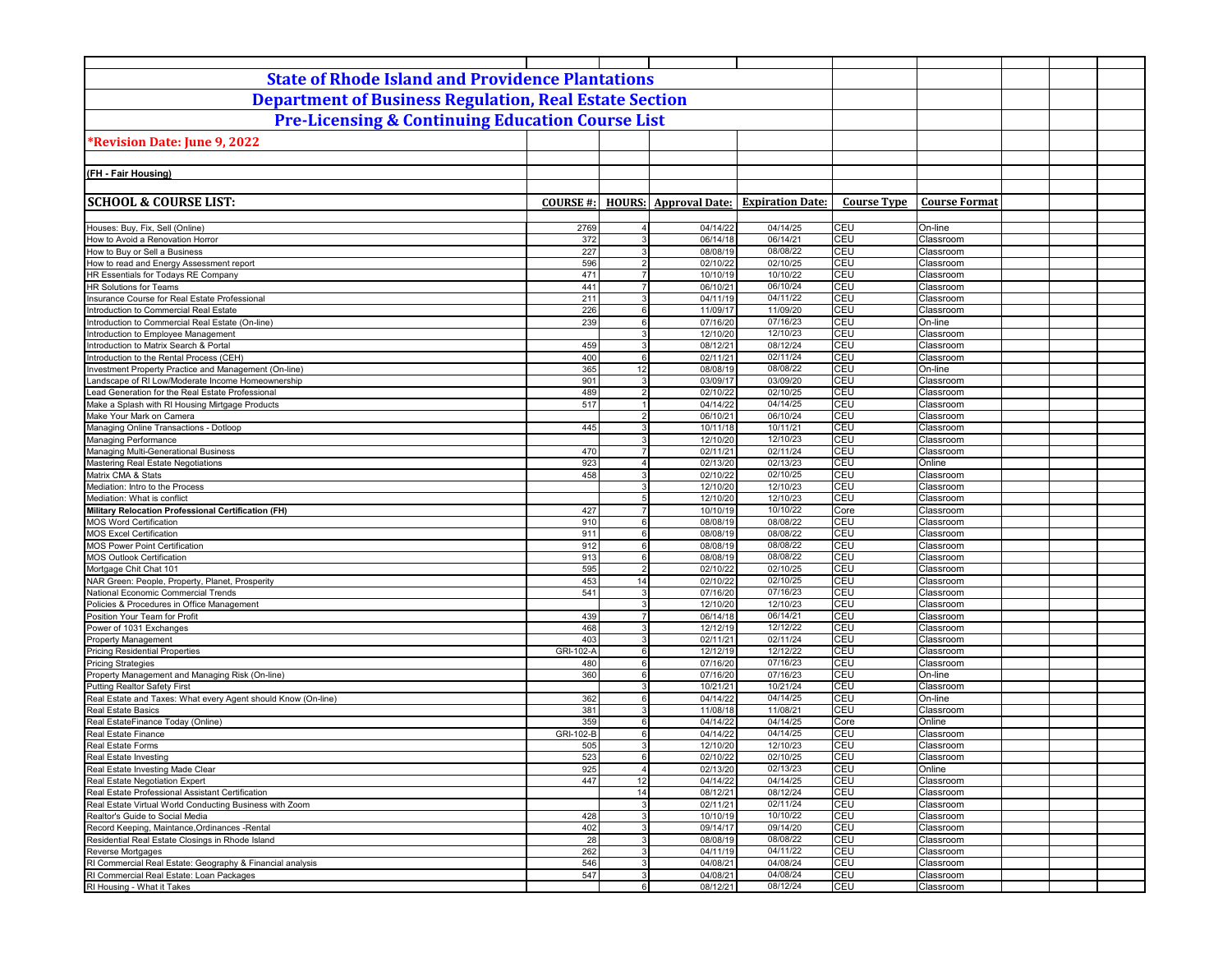| <b>State of Rhode Island and Providence Plantations</b>                                              |                  |                                  |                      |                                               |                          |                        |  |
|------------------------------------------------------------------------------------------------------|------------------|----------------------------------|----------------------|-----------------------------------------------|--------------------------|------------------------|--|
| <b>Department of Business Regulation, Real Estate Section</b>                                        |                  |                                  |                      |                                               |                          |                        |  |
| <b>Pre-Licensing &amp; Continuing Education Course List</b>                                          |                  |                                  |                      |                                               |                          |                        |  |
| *Revision Date: June 9, 2022                                                                         |                  |                                  |                      |                                               |                          |                        |  |
|                                                                                                      |                  |                                  |                      |                                               |                          |                        |  |
| (FH - Fair Housing)                                                                                  |                  |                                  |                      |                                               |                          |                        |  |
|                                                                                                      |                  |                                  |                      |                                               |                          |                        |  |
| <b>SCHOOL &amp; COURSE LIST:</b>                                                                     | <b>COURSE #:</b> |                                  |                      | <b>HOURS:</b> Approval Date: Expiration Date: | <b>Course Type</b>       | <b>Course Format</b>   |  |
|                                                                                                      |                  |                                  |                      |                                               | CEU                      |                        |  |
| Houses: Buy, Fix, Sell (Online)<br>How to Avoid a Renovation Horror                                  | 2769<br>372      | $\overline{4}$<br>3 <sup>1</sup> | 04/14/22<br>06/14/18 | 04/14/25<br>06/14/21                          | CEU                      | On-line<br>Classroom   |  |
| How to Buy or Sell a Business                                                                        | 227              | 3 <sup>1</sup>                   | 08/08/19             | 08/08/22                                      | CEU                      | Classroom              |  |
| How to read and Energy Assessment report                                                             | 596              | 2                                | 02/10/22             | 02/10/25                                      | CEU                      | Classroom              |  |
| HR Essentials for Todays RE Company                                                                  | 471<br>441       | 7 <sup>1</sup><br>7 <sup>1</sup> | 10/10/19             | 10/10/22                                      | CEU<br>CEU               | Classroom              |  |
| HR Solutions for Teams<br>Insurance Course for Real Estate Professional                              | 211              | $\mathbf{3}$                     | 06/10/21<br>04/11/19 | 06/10/24<br>04/11/22                          | CEU                      | Classroom<br>Classroom |  |
| Introduction to Commercial Real Estate                                                               | 226              | $6 \overline{6}$                 | 11/09/17             | 11/09/20                                      | CEU                      | Classroom              |  |
| Introduction to Commercial Real Estate (On-line)                                                     | 239              | $6 \overline{6}$                 | 07/16/20             | 07/16/23                                      | CEU                      | On-line                |  |
| Introduction to Employee Management                                                                  | 459              | 3 <sup>1</sup><br>$\mathbf{3}$   | 12/10/20             | 12/10/23<br>08/12/24                          | CEU<br>CEU               | Classroom              |  |
| Introduction to Matrix Search & Portal<br>Introduction to the Rental Process (CEH)                   | 400              | 6                                | 08/12/21<br>02/11/21 | 02/11/24                                      | CEU                      | Classroom<br>Classroom |  |
| Investment Property Practice and Management (On-line)                                                | 365              | 12                               | 08/08/19             | 08/08/22                                      | CEU                      | On-line                |  |
| Landscape of RI Low/Moderate Income Homeownership                                                    | 901              | $\overline{3}$                   | 03/09/17             | 03/09/20                                      | CEU                      | Classroom              |  |
| Lead Generation for the Real Estate Professional                                                     | 489<br>517       | $\overline{2}$<br>1              | 02/10/22<br>04/14/22 | 02/10/25<br>04/14/25                          | CEU<br>CEU               | Classroom              |  |
| Make a Splash with RI Housing Mirtgage Products<br>Make Your Mark on Camera                          |                  | $\overline{2}$                   | 06/10/21             | 06/10/24                                      | CEU                      | Classroom<br>Classroom |  |
| Managing Online Transactions - Dotloop                                                               | 445              | 3 <sup>1</sup>                   | 10/11/18             | 10/11/21                                      | CEU                      | Classroom              |  |
| Managing Performance                                                                                 |                  | 3                                | 12/10/20             | 12/10/23                                      | CEU                      | Classroom              |  |
| Managing Multi-Generational Business                                                                 | 470<br>923       | $\overline{7}$<br>$\overline{4}$ | 02/11/21             | 02/11/24<br>02/13/23                          | CEU<br>CEU               | Classroom<br>Online    |  |
| Mastering Real Estate Negotiations<br>Matrix CMA & Stats                                             | 458              | 3 <sup>1</sup>                   | 02/13/20<br>02/10/22 | 02/10/25                                      | CEU                      | Classroom              |  |
| Mediation: Intro to the Process                                                                      |                  | 3 <sup>1</sup>                   | 12/10/20             | 12/10/23                                      | CEU                      | Classroom              |  |
| Mediation: What is conflict                                                                          |                  | 5 <sup>1</sup>                   | 12/10/20             | 12/10/23                                      | CEU                      | Classroom              |  |
| Military Relocation Professional Certification (FH)<br><b>MOS Word Certification</b>                 | 427<br>910       | $\overline{7}$<br>6              | 10/10/19<br>08/08/19 | 10/10/22<br>08/08/22                          | Core<br>CEU              | Classroom<br>Classroom |  |
| <b>MOS Excel Certification</b>                                                                       | 911              | $6 \overline{6}$                 | 08/08/19             | 08/08/22                                      | CEU                      | Classroom              |  |
| <b>MOS Power Point Certification</b>                                                                 | 912              | 6                                | 08/08/19             | 08/08/22                                      | CEU                      | Classroom              |  |
| <b>MOS Outlook Certification</b>                                                                     | 913              | $6 \overline{6}$                 | 08/08/19             | 08/08/22                                      | CEU                      | Classroom              |  |
| Mortgage Chit Chat 101<br>NAR Green: People, Property, Planet, Prosperity                            | 595<br>453       | 2 <sup>1</sup><br>14             | 02/10/22<br>02/10/22 | 02/10/25<br>02/10/25                          | CEU<br>CEU               | Classroom<br>Classroom |  |
| National Economic Commercial Trends                                                                  | 541              | $\mathbf{3}$                     | 07/16/20             | 07/16/23                                      | CEU                      | Classroom              |  |
| Policies & Procedures in Office Management                                                           |                  | $\overline{3}$                   | 12/10/20             | 12/10/23                                      | CEU                      | Classroom              |  |
| Position Your Team for Profit                                                                        | 439              | $\overline{7}$                   | 06/14/18             | 06/14/21                                      | <b>CEU</b>               | Classroom              |  |
| Power of 1031 Exchanges<br><b>Property Management</b>                                                | 468<br>403       | 3 <sup>1</sup><br>$\overline{3}$ | 12/12/19<br>02/11/21 | 12/12/22<br>02/11/24                          | CEU<br>CEU               | Classroom<br>Classroom |  |
| <b>Pricing Residential Properties</b>                                                                | GRI-102-A        | 6                                | 12/12/19             | 12/12/22                                      | CEU                      | Classroom              |  |
| <b>Pricing Strategies</b>                                                                            | 480              | 6                                | 07/16/20             | 07/16/23                                      | CEU                      | Classroom              |  |
| Property Management and Managing Risk (On-line)                                                      | 360              | 6                                | 07/16/20             | 07/16/23                                      | CEU                      | On-line                |  |
| <b>Putting Realtor Safety First</b><br>Real Estate and Taxes: What every Agent should Know (On-line) | 362              | 3<br>6                           | 10/21/21<br>04/14/22 | 10/21/24<br>04/14/25                          | CEU<br>CEU               | Classroom<br>On-line   |  |
| Real Estate Basics                                                                                   | 381              | 3                                | 11/08/18             | 11/08/21                                      | CEU                      | Classroom              |  |
| Real EstateFinance Today (Online)                                                                    | 359              | $6 \overline{6}$                 | 04/14/22             | 04/14/25                                      | Core                     | Online                 |  |
| Real Estate Finance                                                                                  | GRI-102-B        | 6                                | 04/14/22             | 04/14/25                                      | CEU                      | Classroom              |  |
| Real Estate Forms                                                                                    | 505              | 3 <sup>1</sup>                   | 12/10/20             | 12/10/23                                      | CEU                      | Classroom              |  |
| Real Estate Investing<br>Real Estate Investing Made Clear                                            | 523<br>925       | 61<br>4 <sup>1</sup>             | 02/10/22<br>02/13/20 | 02/10/25<br>02/13/23                          | <b>CEU</b><br>CEU        | Classroom<br>Online    |  |
| Real Estate Negotiation Expert                                                                       | 447              | 12                               | 04/14/22             | 04/14/25                                      | CEU                      | Classroom              |  |
| Real Estate Professional Assistant Certification                                                     |                  | 14                               | 08/12/21             | 08/12/24                                      | CEU                      | Classroom              |  |
| Real Estate Virtual World Conducting Business with Zoom                                              |                  | 3                                | 02/11/21             | 02/11/24                                      | CEU                      | Classroom              |  |
| Realtor's Guide to Social Media<br>Record Keeping, Maintance, Ordinances - Rental                    | 428<br>402       | 3 <sup>1</sup><br>3              | 10/10/19<br>09/14/17 | 10/10/22<br>09/14/20                          | <b>CEU</b><br><b>CEU</b> | Classroom<br>Classroom |  |
| Residential Real Estate Closings in Rhode Island                                                     | 28               | 3                                | 08/08/19             | 08/08/22                                      | CEU                      | Classroom              |  |
| Reverse Mortgages                                                                                    | 262              | 3                                | 04/11/19             | 04/11/22                                      | CEU                      | Classroom              |  |
| RI Commercial Real Estate: Geography & Financial analysis                                            | 546              | 3 <sup>1</sup>                   | 04/08/21             | 04/08/24                                      | CEU                      | Classroom              |  |
| RI Commercial Real Estate: Loan Packages<br>RI Housing - What it Takes                               | 547              | 3 <br>6                          | 04/08/21<br>08/12/21 | 04/08/24<br>08/12/24                          | CEU<br>CEU               | Classroom<br>Classroom |  |
|                                                                                                      |                  |                                  |                      |                                               |                          |                        |  |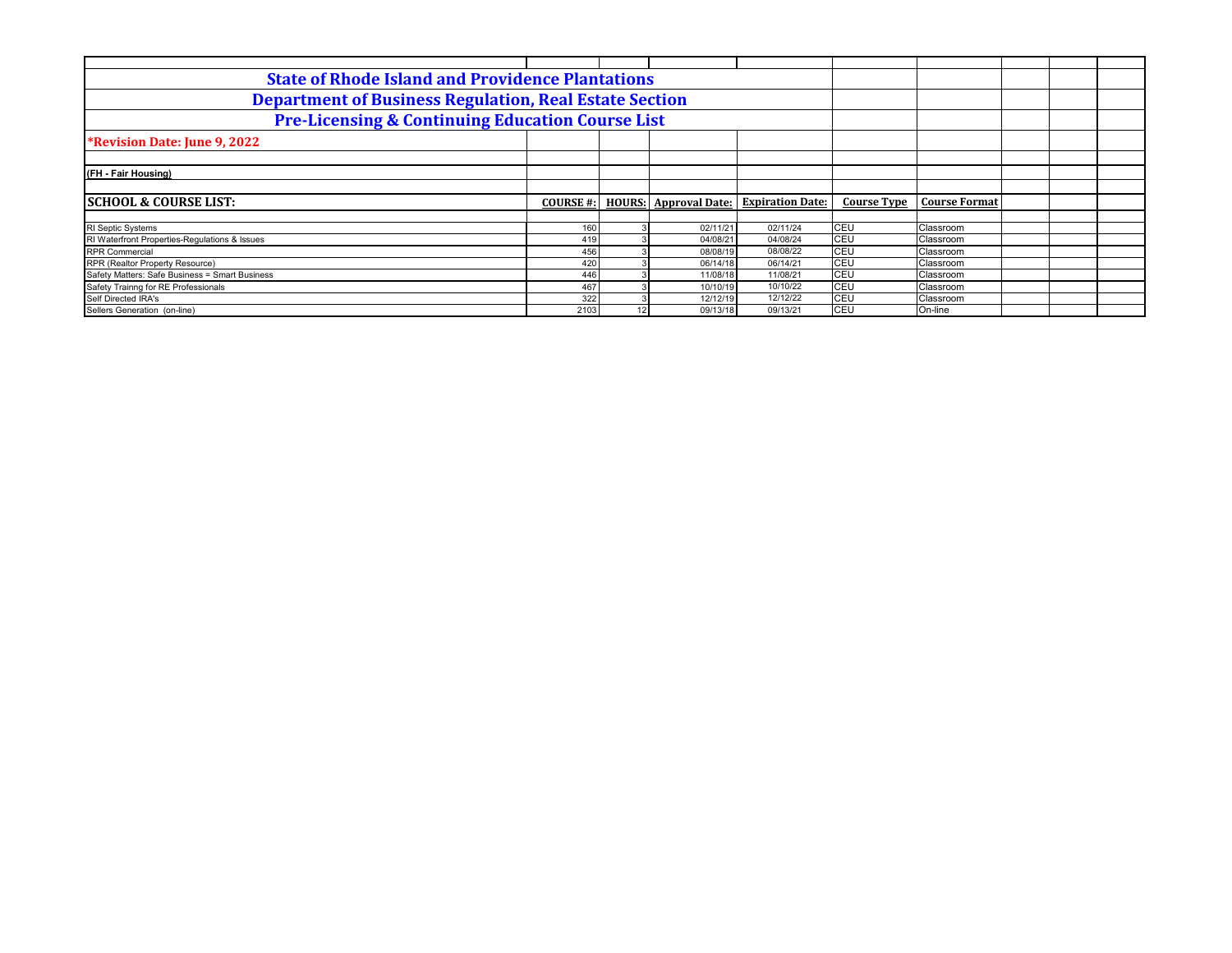| <b>State of Rhode Island and Providence Plantations</b>       |                 |               |                       |                         |                    |                      |  |  |
|---------------------------------------------------------------|-----------------|---------------|-----------------------|-------------------------|--------------------|----------------------|--|--|
| <b>Department of Business Regulation, Real Estate Section</b> |                 |               |                       |                         |                    |                      |  |  |
| <b>Pre-Licensing &amp; Continuing Education Course List</b>   |                 |               |                       |                         |                    |                      |  |  |
| <b>*Revision Date: June 9, 2022</b>                           |                 |               |                       |                         |                    |                      |  |  |
|                                                               |                 |               |                       |                         |                    |                      |  |  |
| (FH - Fair Housing)                                           |                 |               |                       |                         |                    |                      |  |  |
|                                                               |                 |               |                       |                         |                    |                      |  |  |
| <b>SCHOOL &amp; COURSE LIST:</b>                              | <b>COURSE#:</b> | <b>HOURS:</b> | <b>Approval Date:</b> | <b>Expiration Date:</b> | <b>Course Type</b> | <b>Course Format</b> |  |  |
|                                                               |                 |               |                       |                         |                    |                      |  |  |
| <b>RI</b> Septic Systems                                      | 160             |               | 02/11/21              | 02/11/24                | CEU                | Classroom            |  |  |
| RI Waterfront Properties-Regulations & Issues                 | 419             |               | 04/08/21              | 04/08/24                | CEU                | Classroom            |  |  |
| <b>RPR Commercial</b>                                         | 456             |               | 08/08/19              | 08/08/22                | CEU                | Classroom            |  |  |
| RPR (Realtor Property Resource)                               | 420             |               | 06/14/18              | 06/14/21                | CEU                | Classroom            |  |  |
| Safety Matters: Safe Business = Smart Business                | 446             |               | 11/08/18              | 11/08/21                | CEU                | Classroom            |  |  |
| Safety Trainng for RE Professionals                           | 467             |               | 10/10/19              | 10/10/22                | CEU                | Classroom            |  |  |
| Self Directed IRA's                                           | 322             |               | 12/12/19              | 12/12/22                | <b>CEU</b>         | Classroom            |  |  |
| Sellers Generation (on-line)                                  | 2103            | 12            | 09/13/18              | 09/13/21                | CEU                | On-line              |  |  |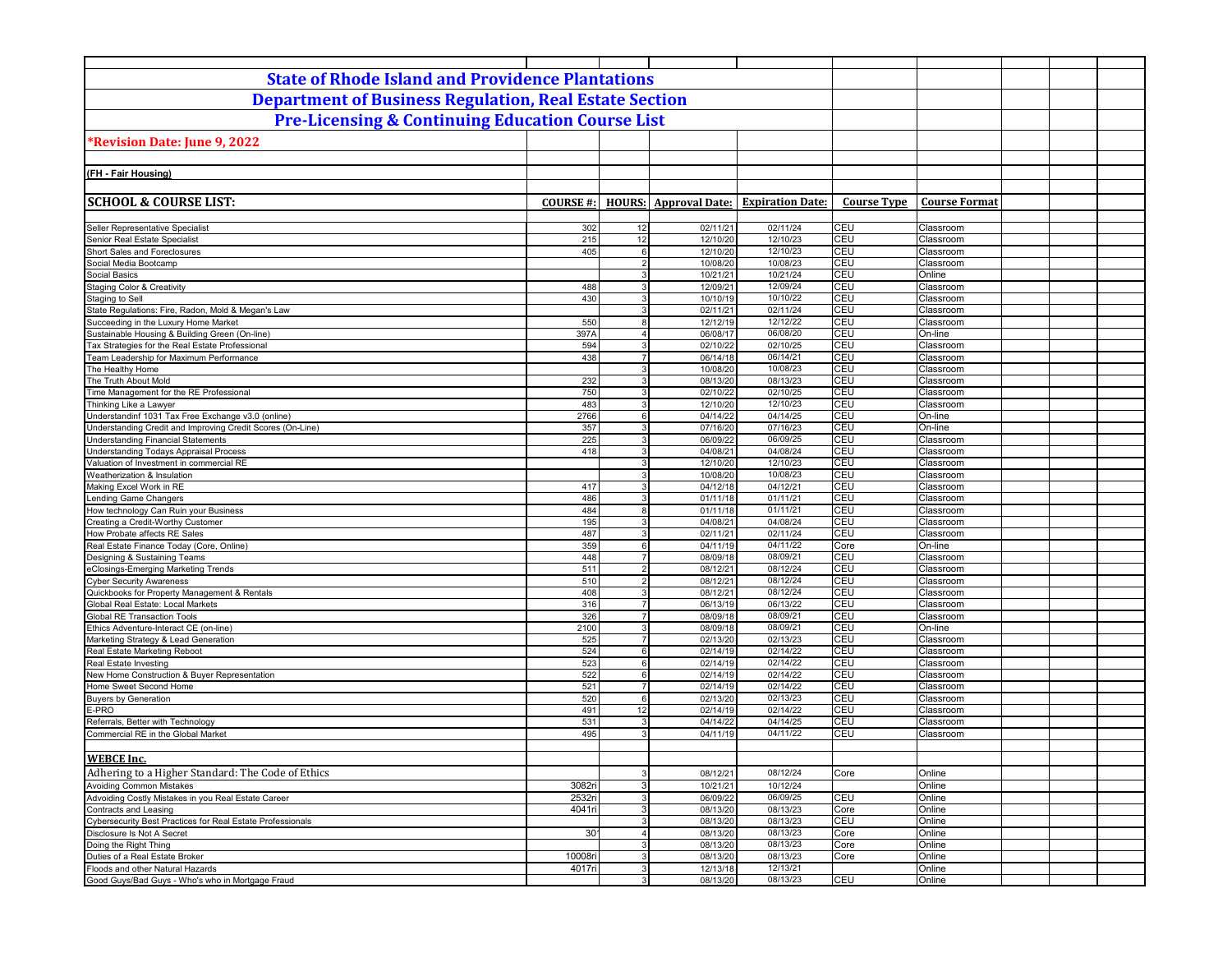| <b>State of Rhode Island and Providence Plantations</b>                                                 |                  |                       |                              |                                   |                    |                        |  |
|---------------------------------------------------------------------------------------------------------|------------------|-----------------------|------------------------------|-----------------------------------|--------------------|------------------------|--|
| <b>Department of Business Regulation, Real Estate Section</b>                                           |                  |                       |                              |                                   |                    |                        |  |
| <b>Pre-Licensing &amp; Continuing Education Course List</b>                                             |                  |                       |                              |                                   |                    |                        |  |
|                                                                                                         |                  |                       |                              |                                   |                    |                        |  |
| Revision Date: June 9, 2022                                                                             |                  |                       |                              |                                   |                    |                        |  |
|                                                                                                         |                  |                       |                              |                                   |                    |                        |  |
| (FH - Fair Housing)                                                                                     |                  |                       |                              |                                   |                    |                        |  |
|                                                                                                         |                  |                       |                              |                                   |                    |                        |  |
| <b>SCHOOL &amp; COURSE LIST:</b>                                                                        | <b>COURSE#:</b>  |                       | <b>HOURS:</b> Approval Date: | <b>Expiration Date:</b>           | <b>Course Type</b> | <b>Course Format</b>   |  |
|                                                                                                         |                  |                       |                              |                                   |                    |                        |  |
| Seller Representative Specialist<br>Senior Real Estate Specialist                                       | 302<br>215       | 12<br>12              | 02/11/21<br>12/10/20         | 02/11/24<br>12/10/23              | CEU<br>CEU         | Classroom<br>Classroom |  |
| Short Sales and Foreclosures                                                                            | 405              | 6                     | 12/10/20                     | 12/10/23                          | <b>CEU</b>         | Classroom              |  |
| Social Media Bootcamp                                                                                   |                  | $2 \vert$             | 10/08/20                     | 10/08/23                          | CEU                | Classroom              |  |
| Social Basics                                                                                           |                  | 3                     | 10/21/21                     | 10/21/24                          | CEU                | Online                 |  |
| <b>Staging Color &amp; Creativity</b>                                                                   | 488              | 3                     | 12/09/21                     | 12/09/24                          | CEU                | Classroom              |  |
| Staging to Sell                                                                                         | 430              | $\mathbf{3}$          | 10/10/19                     | 10/10/22                          | CEU                | Classroom              |  |
| State Regulations: Fire, Radon, Mold & Megan's Law                                                      |                  | $\overline{3}$        | 02/11/21                     | 02/11/24                          | CEU                | Classroom              |  |
| Succeeding in the Luxury Home Market<br>Sustainable Housing & Building Green (On-line)                  | 550<br>397A      | 8<br>$\overline{4}$   | 12/12/19<br>06/08/17         | 12/12/22<br>06/08/20              | CEU<br>CEU         | Classroom<br>On-line   |  |
| Tax Strategies for the Real Estate Professional                                                         | 594              | $\mathbf{3}$          | 02/10/22                     | 02/10/25                          | CEU                | Classroom              |  |
| Team Leadership for Maximum Performance                                                                 | 438              | $\overline{7}$        | 06/14/18                     | 06/14/21                          | CEU                | Classroom              |  |
| The Healthy Home                                                                                        |                  | 3                     | 10/08/20                     | 10/08/23                          | CEU                | Classroom              |  |
| The Truth About Mold                                                                                    | 232              | $\mathbf{3}$          | 08/13/20                     | 08/13/23                          | CEU                | Classroom              |  |
| Time Management for the RE Professional                                                                 | 750              | $\mathbf{3}$          | 02/10/22                     | 02/10/25                          | CEU                | Classroom              |  |
| Thinking Like a Lawyer                                                                                  | 483              | $\overline{3}$        | 12/10/20                     | 12/10/23                          | CEU                | Classroom              |  |
| Understandinf 1031 Tax Free Exchange v3.0 (online)                                                      | 2766             | 6                     | 04/14/22                     | 04/14/25                          | CEU                | On-line                |  |
| Understanding Credit and Improving Credit Scores (On-Line)<br><b>Understanding Financial Statements</b> | 357<br>225       | $\overline{3}$<br>3   | 07/16/20                     | $\overline{07/16/23}$<br>06/09/25 | CEU<br>CEU         | On-line                |  |
| <b>Understanding Todays Appraisal Process</b>                                                           | 418              | 3                     | 06/09/22<br>04/08/21         | 04/08/24                          | CEU                | Classroom<br>Classroom |  |
| Valuation of Investment in commercial RE                                                                |                  | 3                     | 12/10/20                     | 12/10/23                          | CEU                | Classroom              |  |
| Weatherization & Insulation                                                                             |                  | 3                     | 10/08/20                     | 10/08/23                          | CEU                | Classroom              |  |
| Making Excel Work in RE                                                                                 | 417              | 3                     | 04/12/18                     | 04/12/21                          | CEU                | Classroom              |  |
| Lending Game Changers                                                                                   | 486              | 3                     | 01/11/18                     | 01/11/21                          | CEU                | Classroom              |  |
| How technology Can Ruin your Business                                                                   | 484              | 8                     | 01/11/18                     | 01/11/21                          | CEU                | Classroom              |  |
| reating a Credit-Worthy Customer                                                                        | 195              | $\mathbf{3}$          | 04/08/21                     | 04/08/24                          | CEU                | Classroom              |  |
| How Probate affects RE Sales<br>Real Estate Finance Today (Core, Online)                                | 487<br>359       | 3<br>$6 \overline{6}$ | 02/11/21                     | 02/11/24<br>04/11/22              | CEU<br>Core        | Classroom<br>On-line   |  |
| Designing & Sustaining Teams                                                                            | 448              | $\overline{7}$        | 04/11/19<br>08/09/18         | 08/09/21                          | CEU                | Classroom              |  |
| eClosings-Emerging Marketing Trends                                                                     | 511              | $\overline{2}$        | 08/12/21                     | 08/12/24                          | CEU                | Classroom              |  |
| <b>Cyber Security Awareness</b>                                                                         | 510              | $\overline{2}$        | 08/12/21                     | 08/12/24                          | CEU                | Classroom              |  |
| Quickbooks for Property Management & Rentals                                                            | 408              | 3                     | 08/12/21                     | 08/12/24                          | CEU                | Classroom              |  |
| Global Real Estate: Local Markets                                                                       | 316              | $\overline{7}$        | 06/13/19                     | 06/13/22                          | CEU                | Classroom              |  |
| <b>Global RE Transaction Tools</b>                                                                      | 326              | $\overline{7}$        | 08/09/18                     | 08/09/21                          | CEU                | Classroom              |  |
| Ethics Adventure-Interact CE (on-line)                                                                  | 2100             | $\overline{3}$        | 08/09/18                     | 08/09/21                          | CEU                | On-line                |  |
| Marketing Strategy & Lead Generation<br>Real Estate Marketing Reboot                                    | 525              | $\overline{7}$<br>6   | 02/13/20                     | 02/13/23<br>02/14/22              | CEU<br>CEU         | Classroom<br>Classroom |  |
| Real Estate Investing                                                                                   | 524<br>523       | $6 \overline{6}$      | 02/14/19<br>02/14/19         | 02/14/22                          | CEU                | Classroom              |  |
| New Home Construction & Buyer Representation                                                            | 522              | $6 \mid$              | 02/14/19                     | 02/14/22                          | CEU                | Classroom              |  |
| Home Sweet Second Home                                                                                  | 521              | $\overline{7}$        | 02/14/19                     | 02/14/22                          | CEU                | Classroom              |  |
| <b>Buyers by Generation</b>                                                                             | 520              | $6 \overline{6}$      | 02/13/20                     | 02/13/23                          | CEU                | Classroom              |  |
| E-PRO                                                                                                   | 491              | 12                    | 02/14/19                     | 02/14/22                          | CEU                | Classroom              |  |
| Referrals, Better with Technology                                                                       | 531              | $\overline{3}$        | 04/14/22                     | 04/14/25                          | CEU                | Classroom              |  |
| Commercial RE in the Global Market                                                                      | 495              | 3                     | 04/11/19                     | 04/11/22                          | CEU                | Classroom              |  |
|                                                                                                         |                  |                       |                              |                                   |                    |                        |  |
| <u>WEBCE Inc.</u>                                                                                       |                  |                       |                              |                                   |                    |                        |  |
| Adhering to a Higher Standard: The Code of Ethics                                                       |                  | $\mathbf{3}$          | 08/12/21                     | 08/12/24                          | Core               | Online                 |  |
| <b>Avoiding Common Mistakes</b><br>Advoiding Costly Mistakes in you Real Estate Career                  | 3082ri<br>2532ri | 3 <br>3 <sup>1</sup>  | 10/21/21<br>06/09/22         | 10/12/24<br>06/09/25              | CEU                | Online<br>Online       |  |
| Contracts and Leasing                                                                                   | 4041ri           | 3 <sup>1</sup>        | 08/13/20                     | 08/13/23                          | Core               | Online                 |  |
| Cybersecurity Best Practices for Real Estate Professionals                                              |                  | 3 <sup>1</sup>        | 08/13/20                     | 08/13/23                          | CEU                | Online                 |  |
| Disclosure Is Not A Secret                                                                              | 30 <sup>1</sup>  | $\overline{4}$        | 08/13/20                     | 08/13/23                          | Core               | Online                 |  |
| Doing the Right Thing                                                                                   |                  | 3                     | 08/13/20                     | 08/13/23                          | Core               | Online                 |  |
| Duties of a Real Estate Broker                                                                          | 10008ri          | 3                     | 08/13/20                     | 08/13/23                          | Core               | Online                 |  |
| Floods and other Natural Hazards                                                                        | 4017ri           | 3 <sup>1</sup>        | 12/13/18                     | 12/13/21                          |                    | Online                 |  |
| Good Guys/Bad Guys - Who's who in Mortgage Fraud                                                        |                  | 3                     | 08/13/20                     | 08/13/23                          | <b>CEU</b>         | Online                 |  |